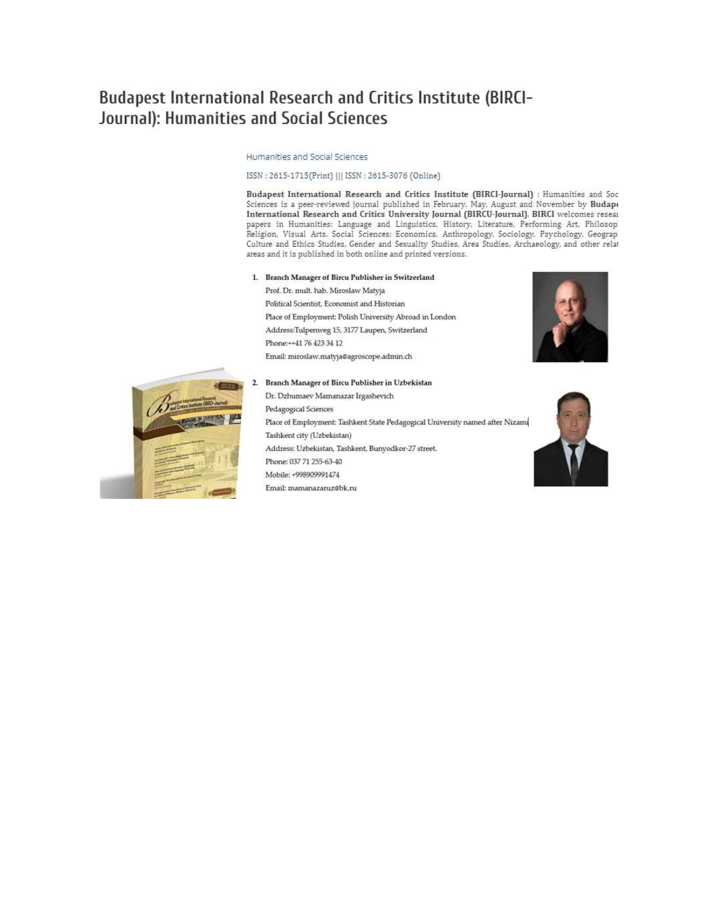# Budapest International Research and Critics Institute (BIRCI-Journal): Humanities and Social Sciences

Humanities and Social Sciences

#### ISSN: 2615-1715(Print) ||| ISSN: 2615-3076 (Online)

Budapest International Research and Critics Institute (BIRCI-Journal) : Humanities and Soc Sciences is a peer-reviewed journal published in February, May, August and November by Budape International Research and Critics University Journal (BIRCU-Journal). BIRCI welcomes resear papers in Humanities: Language and Linguistics, History, Literature, Performing Art, Philosop Religion, Visual Arts. Social Sciences: Economics, Anthropology, Sociology, Psychology, Geograp Culture and Ethics Studies, Gender and Sexuality Studies, Area Studies, Archaeology, and other relat areas and it is published in both online and printed versions.

#### 1. Branch Manager of Bircu Publisher in Switzerland

Prof. Dr. mult. hab. Miroslaw Matyja Political Scientist, Economist and Historian Place of Employment: Polish University Abroad in London Address:Tulpenweg 15, 3177 Laupen, Switzerland Phone:++41 76 423 34 12 Email: miroslaw.matyja@agroscope.admin.ch





#### Branch Manager of Bircu Publisher in Uzbekistan

Dr. Dzhumaev Mamanazar Irgashevich Pedagogical Sciences Place of Employment: Tashkent State Pedagogical University named after Nizami Tashkent city (Uzbekistan) Address: Uzbekistan, Tashkent, Bunyodkor-27 street. Phone: 037 71 255-63-40 Mobile: +998909991474 Email: mamanazaruz@bk.ru

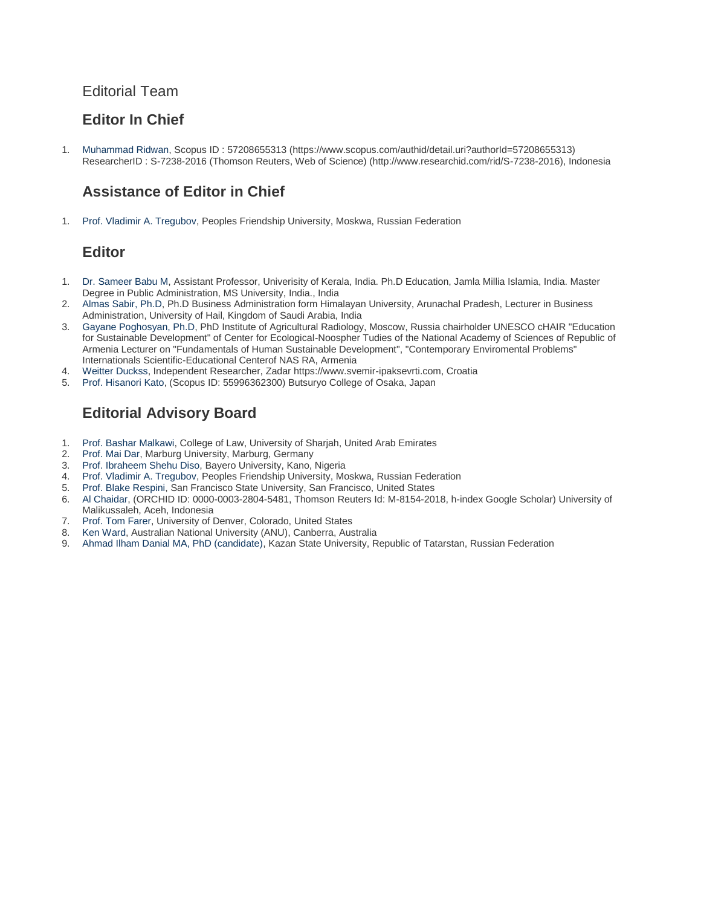# Editorial Team

# **Editor In Chief**

1. [Muhammad Ridwan,](javascript:openRTWindow() Scopus ID : 57208655313 (https://www.scopus.com/authid/detail.uri?authorId=57208655313) ResearcherID : S-7238-2016 (Thomson Reuters, Web of Science) (http://www.researchid.com/rid/S-7238-2016), Indonesia

# **Assistance of Editor in Chief**

1. [Prof. Vladimir A. Tregubov,](javascript:openRTWindow() Peoples Friendship University, Moskwa, Russian Federation

# **Editor**

- 1. [Dr. Sameer Babu M,](javascript:openRTWindow() Assistant Professor, Univerisity of Kerala, India. Ph.D Education, Jamla Millia Islamia, India. Master Degree in Public Administration, MS University, India., India
- 2. [Almas Sabir, Ph.D,](javascript:openRTWindow() Ph.D Business Administration form Himalayan University, Arunachal Pradesh, Lecturer in Business Administration, University of Hail, Kingdom of Saudi Arabia, India
- 3. [Gayane Poghosyan, Ph.D,](javascript:openRTWindow() PhD Institute of Agricultural Radiology, Moscow, Russia chairholder UNESCO cHAIR "Education for Sustainable Development" of Center for Ecological-Noospher Tudies of the National Academy of Sciences of Republic of Armenia Lecturer on "Fundamentals of Human Sustainable Development", "Contemporary Enviromental Problems" Internationals Scientific-Educational Centerof NAS RA, Armenia
- 4. [Weitter Duckss,](javascript:openRTWindow() Independent Researcher, Zadar https://www.svemir-ipaksevrti.com, Croatia
- 5. [Prof. Hisanori Kato,](javascript:openRTWindow() (Scopus ID: 55996362300) Butsuryo College of Osaka, Japan

# **Editorial Advisory Board**

- 1. [Prof. Bashar Malkawi,](javascript:openRTWindow() College of Law, University of Sharjah, United Arab Emirates
- 2. [Prof. Mai Dar,](javascript:openRTWindow() Marburg University, Marburg, Germany
- 3. [Prof. Ibraheem Shehu Diso,](javascript:openRTWindow() Bayero University, Kano, Nigeria
- 4. [Prof. Vladimir A. Tregubov,](javascript:openRTWindow() Peoples Friendship University, Moskwa, Russian Federation
- 5. [Prof. Blake Respini,](javascript:openRTWindow() San Francisco State University, San Francisco, United States
- 6. [Al Chaidar,](javascript:openRTWindow() (ORCHID ID: 0000-0003-2804-5481, Thomson Reuters Id: M-8154-2018, h-index Google Scholar) University of Malikussaleh, Aceh, Indonesia
- 7. [Prof. Tom Farer,](javascript:openRTWindow() University of Denver, Colorado, United States
- 8. [Ken Ward,](javascript:openRTWindow() Australian National University (ANU), Canberra, Australia
- 9. [Ahmad Ilham Danial MA, PhD \(candidate\),](javascript:openRTWindow() Kazan State University, Republic of Tatarstan, Russian Federation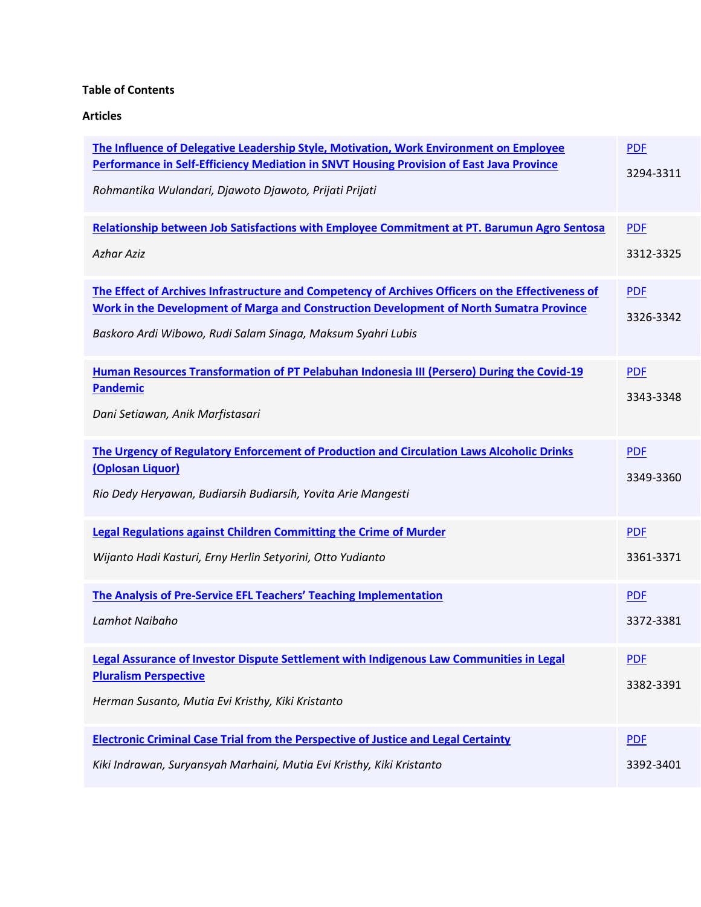# **Table of Contents**

**Articles**

| The Influence of Delegative Leadership Style, Motivation, Work Environment on Employee<br>Performance in Self-Efficiency Mediation in SNVT Housing Provision of East Java Province<br>Rohmantika Wulandari, Djawoto Djawoto, Prijati Prijati                       | <b>PDF</b><br>3294-3311 |
|--------------------------------------------------------------------------------------------------------------------------------------------------------------------------------------------------------------------------------------------------------------------|-------------------------|
| Relationship between Job Satisfactions with Employee Commitment at PT. Barumun Agro Sentosa<br><b>Azhar Aziz</b>                                                                                                                                                   | <b>PDF</b><br>3312-3325 |
| The Effect of Archives Infrastructure and Competency of Archives Officers on the Effectiveness of<br><b>Work in the Development of Marga and Construction Development of North Sumatra Province</b><br>Baskoro Ardi Wibowo, Rudi Salam Sinaga, Maksum Syahri Lubis | <b>PDF</b><br>3326-3342 |
| Human Resources Transformation of PT Pelabuhan Indonesia III (Persero) During the Covid-19<br><b>Pandemic</b><br>Dani Setiawan, Anik Marfistasari                                                                                                                  | <b>PDF</b><br>3343-3348 |
| The Urgency of Regulatory Enforcement of Production and Circulation Laws Alcoholic Drinks<br>(Oplosan Liquor)<br>Rio Dedy Heryawan, Budiarsih Budiarsih, Yovita Arie Mangesti                                                                                      | <b>PDF</b><br>3349-3360 |
| Legal Regulations against Children Committing the Crime of Murder<br>Wijanto Hadi Kasturi, Erny Herlin Setyorini, Otto Yudianto                                                                                                                                    | <b>PDF</b><br>3361-3371 |
| The Analysis of Pre-Service EFL Teachers' Teaching Implementation<br>Lamhot Naibaho                                                                                                                                                                                | <b>PDF</b><br>3372-3381 |
| Legal Assurance of Investor Dispute Settlement with Indigenous Law Communities in Legal<br><b>Pluralism Perspective</b><br>Herman Susanto, Mutia Evi Kristhy, Kiki Kristanto                                                                                       | <b>PDF</b><br>3382-3391 |
| <b>Electronic Criminal Case Trial from the Perspective of Justice and Legal Certainty</b><br>Kiki Indrawan, Suryansyah Marhaini, Mutia Evi Kristhy, Kiki Kristanto                                                                                                 | <b>PDF</b><br>3392-3401 |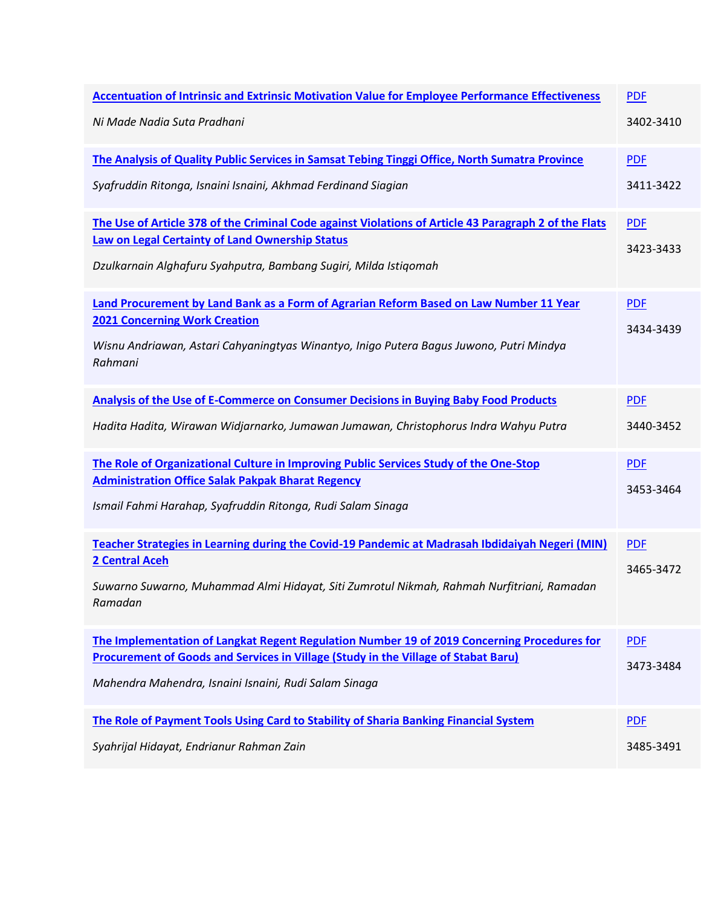| <b>Accentuation of Intrinsic and Extrinsic Motivation Value for Employee Performance Effectiveness</b> | <b>PDF</b> |
|--------------------------------------------------------------------------------------------------------|------------|
| Ni Made Nadia Suta Pradhani                                                                            | 3402-3410  |
| The Analysis of Quality Public Services in Samsat Tebing Tinggi Office, North Sumatra Province         | <b>PDF</b> |
| Syafruddin Ritonga, Isnaini Isnaini, Akhmad Ferdinand Siagian                                          | 3411-3422  |
| The Use of Article 378 of the Criminal Code against Violations of Article 43 Paragraph 2 of the Flats  | <b>PDF</b> |
| <b>Law on Legal Certainty of Land Ownership Status</b>                                                 | 3423-3433  |
| Dzulkarnain Alghafuru Syahputra, Bambang Sugiri, Milda Istiqomah                                       |            |
| Land Procurement by Land Bank as a Form of Agrarian Reform Based on Law Number 11 Year                 | <b>PDF</b> |
| <b>2021 Concerning Work Creation</b>                                                                   | 3434-3439  |
| Wisnu Andriawan, Astari Cahyaningtyas Winantyo, Inigo Putera Bagus Juwono, Putri Mindya<br>Rahmani     |            |
| Analysis of the Use of E-Commerce on Consumer Decisions in Buying Baby Food Products                   | <b>PDF</b> |
| Hadita Hadita, Wirawan Widjarnarko, Jumawan Jumawan, Christophorus Indra Wahyu Putra                   | 3440-3452  |
| The Role of Organizational Culture in Improving Public Services Study of the One-Stop                  | <b>PDF</b> |
| <b>Administration Office Salak Pakpak Bharat Regency</b>                                               | 3453-3464  |
| Ismail Fahmi Harahap, Syafruddin Ritonga, Rudi Salam Sinaga                                            |            |
| Teacher Strategies in Learning during the Covid-19 Pandemic at Madrasah Ibdidaiyah Negeri (MIN)        | <b>PDF</b> |
| 2 Central Aceh                                                                                         | 3465-3472  |
| Suwarno Suwarno, Muhammad Almi Hidayat, Siti Zumrotul Nikmah, Rahmah Nurfitriani, Ramadan<br>Ramadan   |            |
| The Implementation of Langkat Regent Regulation Number 19 of 2019 Concerning Procedures for            | <b>PDF</b> |
| Procurement of Goods and Services in Village (Study in the Village of Stabat Baru)                     | 3473-3484  |
| Mahendra Mahendra, Isnaini Isnaini, Rudi Salam Sinaga                                                  |            |
| The Role of Payment Tools Using Card to Stability of Sharia Banking Financial System                   | <b>PDF</b> |
| Syahrijal Hidayat, Endrianur Rahman Zain                                                               | 3485-3491  |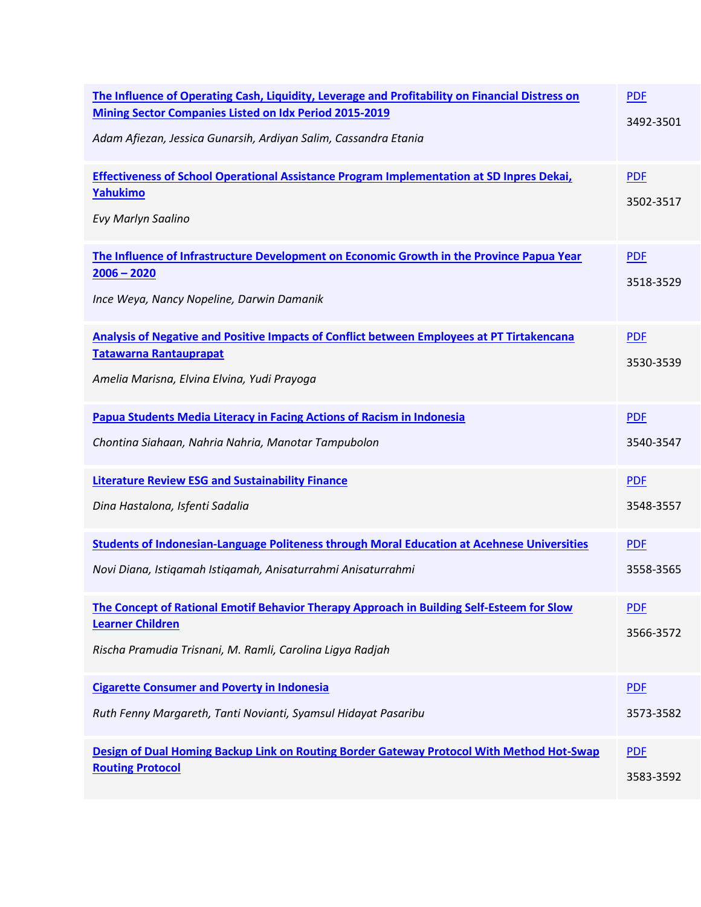| The Influence of Operating Cash, Liquidity, Leverage and Profitability on Financial Distress on<br><b>Mining Sector Companies Listed on Idx Period 2015-2019</b><br>Adam Afiezan, Jessica Gunarsih, Ardiyan Salim, Cassandra Etania | <b>PDF</b><br>3492-3501 |
|-------------------------------------------------------------------------------------------------------------------------------------------------------------------------------------------------------------------------------------|-------------------------|
| Effectiveness of School Operational Assistance Program Implementation at SD Inpres Dekai,<br>Yahukimo<br>Evy Marlyn Saalino                                                                                                         | <b>PDF</b><br>3502-3517 |
| The Influence of Infrastructure Development on Economic Growth in the Province Papua Year<br>$2006 - 2020$<br>Ince Weya, Nancy Nopeline, Darwin Damanik                                                                             | <b>PDF</b><br>3518-3529 |
| Analysis of Negative and Positive Impacts of Conflict between Employees at PT Tirtakencana<br><b>Tatawarna Rantauprapat</b><br>Amelia Marisna, Elvina Elvina, Yudi Prayoga                                                          | <b>PDF</b><br>3530-3539 |
| Papua Students Media Literacy in Facing Actions of Racism in Indonesia                                                                                                                                                              | <b>PDF</b>              |
| Chontina Siahaan, Nahria Nahria, Manotar Tampubolon                                                                                                                                                                                 | 3540-3547               |
| <b>Literature Review ESG and Sustainability Finance</b>                                                                                                                                                                             | <b>PDF</b>              |
| Dina Hastalona, Isfenti Sadalia                                                                                                                                                                                                     | 3548-3557               |
| <b>Students of Indonesian-Language Politeness through Moral Education at Acehnese Universities</b>                                                                                                                                  | <b>PDF</b>              |
| Novi Diana, Istiqamah Istiqamah, Anisaturrahmi Anisaturrahmi                                                                                                                                                                        | 3558-3565               |
| The Concept of Rational Emotif Behavior Therapy Approach in Building Self-Esteem for Slow<br><b>Learner Children</b><br>Rischa Pramudia Trisnani, M. Ramli, Carolina Ligya Radjah                                                   | <b>PDF</b><br>3566-3572 |
| <b>Cigarette Consumer and Poverty in Indonesia</b>                                                                                                                                                                                  | <b>PDF</b>              |
| Ruth Fenny Margareth, Tanti Novianti, Syamsul Hidayat Pasaribu                                                                                                                                                                      | 3573-3582               |
| Design of Dual Homing Backup Link on Routing Border Gateway Protocol With Method Hot-Swap                                                                                                                                           | <b>PDF</b>              |
| <b>Routing Protocol</b>                                                                                                                                                                                                             | 3583-3592               |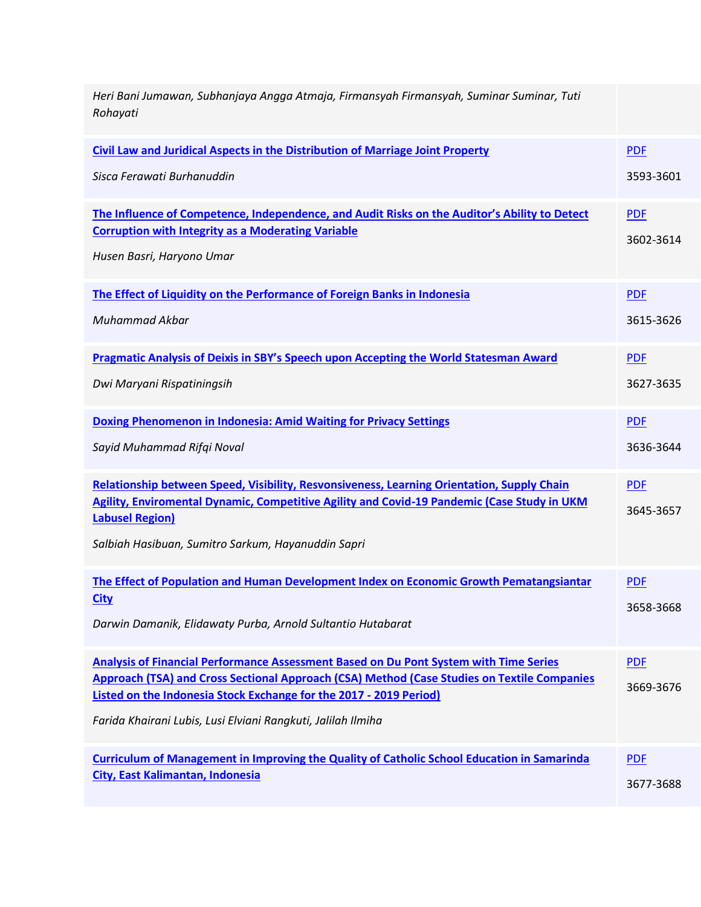| Heri Bani Jumawan, Subhanjaya Angga Atmaja, Firmansyah Firmansyah, Suminar Suminar, Tuti<br>Rohayati                                                                     |            |
|--------------------------------------------------------------------------------------------------------------------------------------------------------------------------|------------|
| Civil Law and Juridical Aspects in the Distribution of Marriage Joint Property                                                                                           | <b>PDF</b> |
| Sisca Ferawati Burhanuddin                                                                                                                                               | 3593-3601  |
| The Influence of Competence, Independence, and Audit Risks on the Auditor's Ability to Detect                                                                            | <b>PDF</b> |
| <b>Corruption with Integrity as a Moderating Variable</b>                                                                                                                | 3602-3614  |
| Husen Basri, Haryono Umar                                                                                                                                                |            |
| The Effect of Liquidity on the Performance of Foreign Banks in Indonesia                                                                                                 | <b>PDF</b> |
| <b>Muhammad Akbar</b>                                                                                                                                                    | 3615-3626  |
| Pragmatic Analysis of Deixis in SBY's Speech upon Accepting the World Statesman Award                                                                                    | <b>PDF</b> |
| Dwi Maryani Rispatiningsih                                                                                                                                               | 3627-3635  |
| Doxing Phenomenon in Indonesia: Amid Waiting for Privacy Settings                                                                                                        | <b>PDF</b> |
| Sayid Muhammad Rifqi Noval                                                                                                                                               | 3636-3644  |
| Relationship between Speed, Visibility, Resvonsiveness, Learning Orientation, Supply Chain                                                                               | <b>PDF</b> |
| Agility, Enviromental Dynamic, Competitive Agility and Covid-19 Pandemic (Case Study in UKM<br><b>Labusel Region)</b>                                                    | 3645-3657  |
|                                                                                                                                                                          |            |
| Salbiah Hasibuan, Sumitro Sarkum, Hayanuddin Sapri                                                                                                                       |            |
| The Effect of Population and Human Development Index on Economic Growth Pematangsiantar                                                                                  | <b>PDF</b> |
| <b>City</b>                                                                                                                                                              | 3658-3668  |
| Darwin Damanik, Elidawaty Purba, Arnold Sultantio Hutabarat                                                                                                              |            |
| <b>Analysis of Financial Performance Assessment Based on Du Pont System with Time Series</b>                                                                             | <b>PDF</b> |
| Approach (TSA) and Cross Sectional Approach (CSA) Method (Case Studies on Textile Companies<br><b>Listed on the Indonesia Stock Exchange for the 2017 - 2019 Period)</b> | 3669-3676  |
| Farida Khairani Lubis, Lusi Elviani Rangkuti, Jalilah Ilmiha                                                                                                             |            |
| <b>Curriculum of Management in Improving the Quality of Catholic School Education in Samarinda</b>                                                                       | <b>PDF</b> |
| City, East Kalimantan, Indonesia                                                                                                                                         | 3677-3688  |
|                                                                                                                                                                          |            |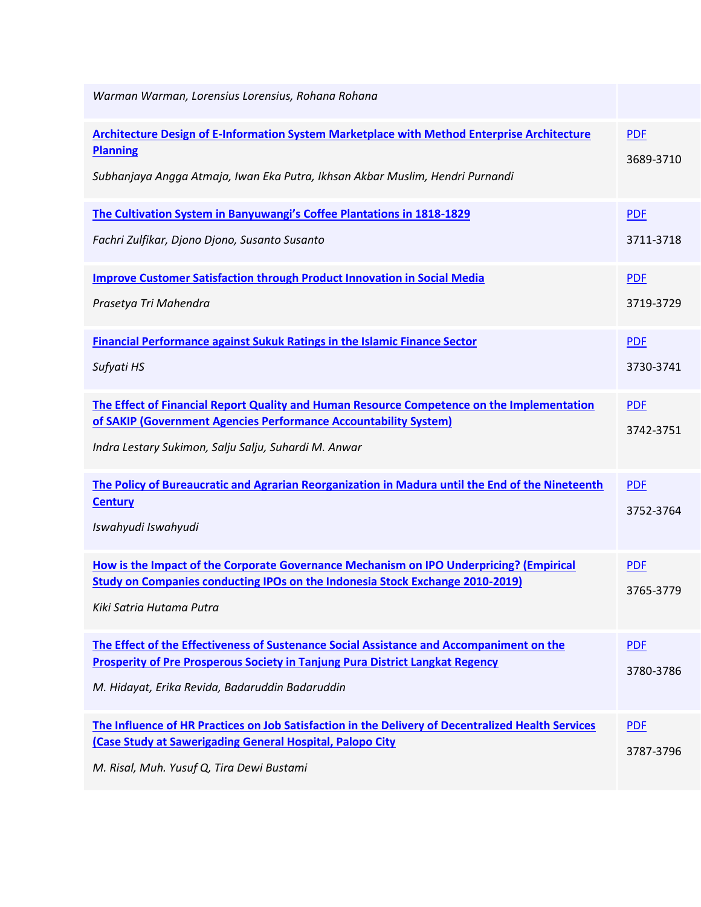| Warman Warman, Lorensius Lorensius, Rohana Rohana                                                                                                                                                                                   |                         |
|-------------------------------------------------------------------------------------------------------------------------------------------------------------------------------------------------------------------------------------|-------------------------|
| Architecture Design of E-Information System Marketplace with Method Enterprise Architecture<br><b>Planning</b><br>Subhanjaya Angga Atmaja, Iwan Eka Putra, Ikhsan Akbar Muslim, Hendri Purnandi                                     | <b>PDF</b><br>3689-3710 |
| The Cultivation System in Banyuwangi's Coffee Plantations in 1818-1829<br>Fachri Zulfikar, Djono Djono, Susanto Susanto                                                                                                             | <b>PDF</b><br>3711-3718 |
| <b>Improve Customer Satisfaction through Product Innovation in Social Media</b><br>Prasetya Tri Mahendra                                                                                                                            | <b>PDF</b><br>3719-3729 |
| Financial Performance against Sukuk Ratings in the Islamic Finance Sector<br>Sufyati HS                                                                                                                                             | <b>PDF</b><br>3730-3741 |
| The Effect of Financial Report Quality and Human Resource Competence on the Implementation<br>of SAKIP (Government Agencies Performance Accountability System)<br>Indra Lestary Sukimon, Salju Salju, Suhardi M. Anwar              | <b>PDF</b><br>3742-3751 |
| The Policy of Bureaucratic and Agrarian Reorganization in Madura until the End of the Nineteenth<br><b>Century</b><br>Iswahyudi Iswahyudi                                                                                           | <b>PDF</b><br>3752-3764 |
| How is the Impact of the Corporate Governance Mechanism on IPO Underpricing? (Empirical<br>Study on Companies conducting IPOs on the Indonesia Stock Exchange 2010-2019)<br>Kiki Satria Hutama Putra                                | <b>PDF</b><br>3765-3779 |
| The Effect of the Effectiveness of Sustenance Social Assistance and Accompaniment on the<br><b>Prosperity of Pre Prosperous Society in Tanjung Pura District Langkat Regency</b><br>M. Hidayat, Erika Revida, Badaruddin Badaruddin | <b>PDF</b><br>3780-3786 |
| The Influence of HR Practices on Job Satisfaction in the Delivery of Decentralized Health Services<br><b>(Case Study at Sawerigading General Hospital, Palopo City</b><br>M. Risal, Muh. Yusuf Q, Tira Dewi Bustami                 | <b>PDF</b><br>3787-3796 |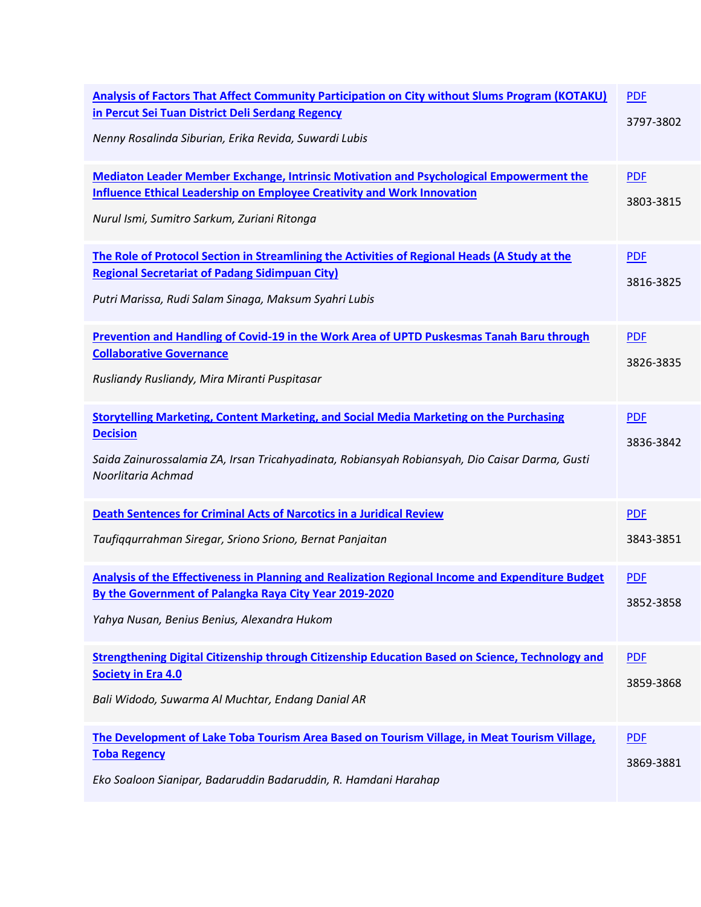| Analysis of Factors That Affect Community Participation on City without Slums Program (KOTAKU)<br>in Percut Sei Tuan District Deli Serdang Regency<br>Nenny Rosalinda Siburian, Erika Revida, Suwardi Lubis                               | <b>PDF</b><br>3797-3802 |
|-------------------------------------------------------------------------------------------------------------------------------------------------------------------------------------------------------------------------------------------|-------------------------|
| <b>Mediaton Leader Member Exchange, Intrinsic Motivation and Psychological Empowerment the</b><br><b>Influence Ethical Leadership on Employee Creativity and Work Innovation</b><br>Nurul Ismi, Sumitro Sarkum, Zuriani Ritonga           | <b>PDF</b><br>3803-3815 |
| The Role of Protocol Section in Streamlining the Activities of Regional Heads (A Study at the<br><b>Regional Secretariat of Padang Sidimpuan City)</b><br>Putri Marissa, Rudi Salam Sinaga, Maksum Syahri Lubis                           | <b>PDF</b><br>3816-3825 |
| Prevention and Handling of Covid-19 in the Work Area of UPTD Puskesmas Tanah Baru through<br><b>Collaborative Governance</b><br>Rusliandy Rusliandy, Mira Miranti Puspitasar                                                              | <b>PDF</b><br>3826-3835 |
| <b>Storytelling Marketing, Content Marketing, and Social Media Marketing on the Purchasing</b><br><b>Decision</b><br>Saida Zainurossalamia ZA, Irsan Tricahyadinata, Robiansyah Robiansyah, Dio Caisar Darma, Gusti<br>Noorlitaria Achmad | <b>PDF</b><br>3836-3842 |
| <b>Death Sentences for Criminal Acts of Narcotics in a Juridical Review</b><br>Taufiqqurrahman Siregar, Sriono Sriono, Bernat Panjaitan                                                                                                   | <b>PDF</b><br>3843-3851 |
| Analysis of the Effectiveness in Planning and Realization Regional Income and Expenditure Budget<br>By the Government of Palangka Raya City Year 2019-2020<br>Yahya Nusan, Benius Benius, Alexandra Hukom                                 | <b>PDF</b><br>3852-3858 |
| Strengthening Digital Citizenship through Citizenship Education Based on Science, Technology and<br><b>Society in Era 4.0</b><br>Bali Widodo, Suwarma Al Muchtar, Endang Danial AR                                                        | <b>PDF</b><br>3859-3868 |
| The Development of Lake Toba Tourism Area Based on Tourism Village, in Meat Tourism Village,<br><b>Toba Regency</b><br>Eko Soaloon Sianipar, Badaruddin Badaruddin, R. Hamdani Harahap                                                    | <b>PDF</b><br>3869-3881 |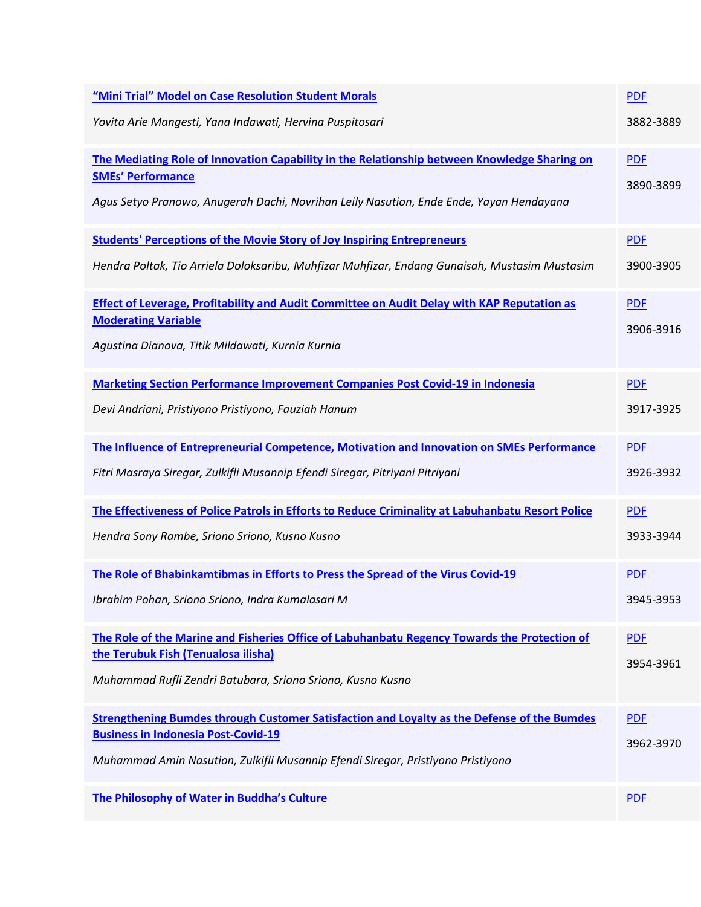| "Mini Trial" Model on Case Resolution Student Morals                                                                                | <b>PDF</b> |
|-------------------------------------------------------------------------------------------------------------------------------------|------------|
| Yovita Arie Mangesti, Yana Indawati, Hervina Puspitosari                                                                            | 3882-3889  |
| The Mediating Role of Innovation Capability in the Relationship between Knowledge Sharing on                                        | <b>PDF</b> |
| <b>SMEs' Performance</b><br>Agus Setyo Pranowo, Anugerah Dachi, Novrihan Leily Nasution, Ende Ende, Yayan Hendayana                 | 3890-3899  |
| <b>Students' Perceptions of the Movie Story of Joy Inspiring Entrepreneurs</b>                                                      | <b>PDF</b> |
| Hendra Poltak, Tio Arriela Doloksaribu, Muhfizar Muhfizar, Endang Gunaisah, Mustasim Mustasim                                       | 3900-3905  |
| <b>Effect of Leverage, Profitability and Audit Committee on Audit Delay with KAP Reputation as</b>                                  | <b>PDF</b> |
| <b>Moderating Variable</b><br>Agustina Dianova, Titik Mildawati, Kurnia Kurnia                                                      | 3906-3916  |
| <b>Marketing Section Performance Improvement Companies Post Covid-19 in Indonesia</b>                                               | <b>PDF</b> |
| Devi Andriani, Pristiyono Pristiyono, Fauziah Hanum                                                                                 | 3917-3925  |
| The Influence of Entrepreneurial Competence, Motivation and Innovation on SMEs Performance                                          | <b>PDF</b> |
| Fitri Masraya Siregar, Zulkifli Musannip Efendi Siregar, Pitriyani Pitriyani                                                        | 3926-3932  |
| The Effectiveness of Police Patrols in Efforts to Reduce Criminality at Labuhanbatu Resort Police                                   | <b>PDF</b> |
| Hendra Sony Rambe, Sriono Sriono, Kusno Kusno                                                                                       | 3933-3944  |
| The Role of Bhabinkamtibmas in Efforts to Press the Spread of the Virus Covid-19                                                    | <b>PDF</b> |
| Ibrahim Pohan, Sriono Sriono, Indra Kumalasari M                                                                                    | 3945-3953  |
| The Role of the Marine and Fisheries Office of Labuhanbatu Regency Towards the Protection of<br>the Terubuk Fish (Tenualosa ilisha) | <b>PDF</b> |
| Muhammad Rufli Zendri Batubara, Sriono Sriono, Kusno Kusno                                                                          | 3954-3961  |
| Strengthening Bumdes through Customer Satisfaction and Loyalty as the Defense of the Bumdes                                         | <b>PDF</b> |
| <b>Business in Indonesia Post-Covid-19</b>                                                                                          | 3962-3970  |
| Muhammad Amin Nasution, Zulkifli Musannip Efendi Siregar, Pristiyono Pristiyono                                                     |            |
| The Philosophy of Water in Buddha's Culture                                                                                         | <b>PDF</b> |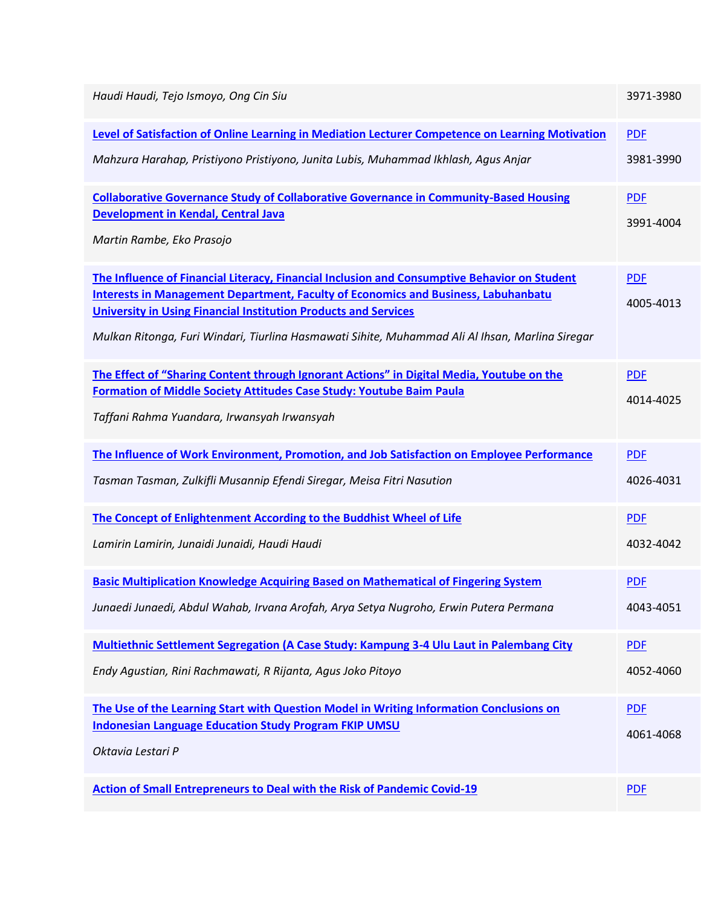| Haudi Haudi, Tejo Ismoyo, Ong Cin Siu                                                                                                                                                                                                                                                                                                                                  | 3971-3980               |
|------------------------------------------------------------------------------------------------------------------------------------------------------------------------------------------------------------------------------------------------------------------------------------------------------------------------------------------------------------------------|-------------------------|
| Level of Satisfaction of Online Learning in Mediation Lecturer Competence on Learning Motivation                                                                                                                                                                                                                                                                       | <b>PDF</b>              |
| Mahzura Harahap, Pristiyono Pristiyono, Junita Lubis, Muhammad Ikhlash, Aqus Anjar                                                                                                                                                                                                                                                                                     | 3981-3990               |
| <b>Collaborative Governance Study of Collaborative Governance in Community-Based Housing</b><br>Development in Kendal, Central Java<br>Martin Rambe, Eko Prasojo                                                                                                                                                                                                       | <b>PDF</b><br>3991-4004 |
| The Influence of Financial Literacy, Financial Inclusion and Consumptive Behavior on Student<br><b>Interests in Management Department, Faculty of Economics and Business, Labuhanbatu</b><br><b>University in Using Financial Institution Products and Services</b><br>Mulkan Ritonga, Furi Windari, Tiurlina Hasmawati Sihite, Muhammad Ali Al Ihsan, Marlina Siregar | <b>PDF</b><br>4005-4013 |
| The Effect of "Sharing Content through Ignorant Actions" in Digital Media, Youtube on the<br><b>Formation of Middle Society Attitudes Case Study: Youtube Baim Paula</b><br>Taffani Rahma Yuandara, Irwansyah Irwansyah                                                                                                                                                | <b>PDF</b><br>4014-4025 |
| The Influence of Work Environment, Promotion, and Job Satisfaction on Employee Performance                                                                                                                                                                                                                                                                             | <b>PDF</b>              |
| Tasman Tasman, Zulkifli Musannip Efendi Siregar, Meisa Fitri Nasution                                                                                                                                                                                                                                                                                                  | 4026-4031               |
| The Concept of Enlightenment According to the Buddhist Wheel of Life                                                                                                                                                                                                                                                                                                   | <b>PDF</b>              |
|                                                                                                                                                                                                                                                                                                                                                                        |                         |
| Lamirin Lamirin, Junaidi Junaidi, Haudi Haudi                                                                                                                                                                                                                                                                                                                          | 4032-4042               |
| <b>Basic Multiplication Knowledge Acquiring Based on Mathematical of Fingering System</b>                                                                                                                                                                                                                                                                              | <b>PDF</b>              |
| Junaedi Junaedi, Abdul Wahab, Irvana Arofah, Arya Setya Nugroho, Erwin Putera Permana                                                                                                                                                                                                                                                                                  | 4043-4051               |
| <b>Multiethnic Settlement Segregation (A Case Study: Kampung 3-4 Ulu Laut in Palembang City</b>                                                                                                                                                                                                                                                                        | <b>PDF</b>              |
| Endy Agustian, Rini Rachmawati, R Rijanta, Agus Joko Pitoyo                                                                                                                                                                                                                                                                                                            | 4052-4060               |
| The Use of the Learning Start with Question Model in Writing Information Conclusions on                                                                                                                                                                                                                                                                                | <b>PDF</b>              |
| <b>Indonesian Language Education Study Program FKIP UMSU</b><br>Oktavia Lestari P                                                                                                                                                                                                                                                                                      | 4061-4068               |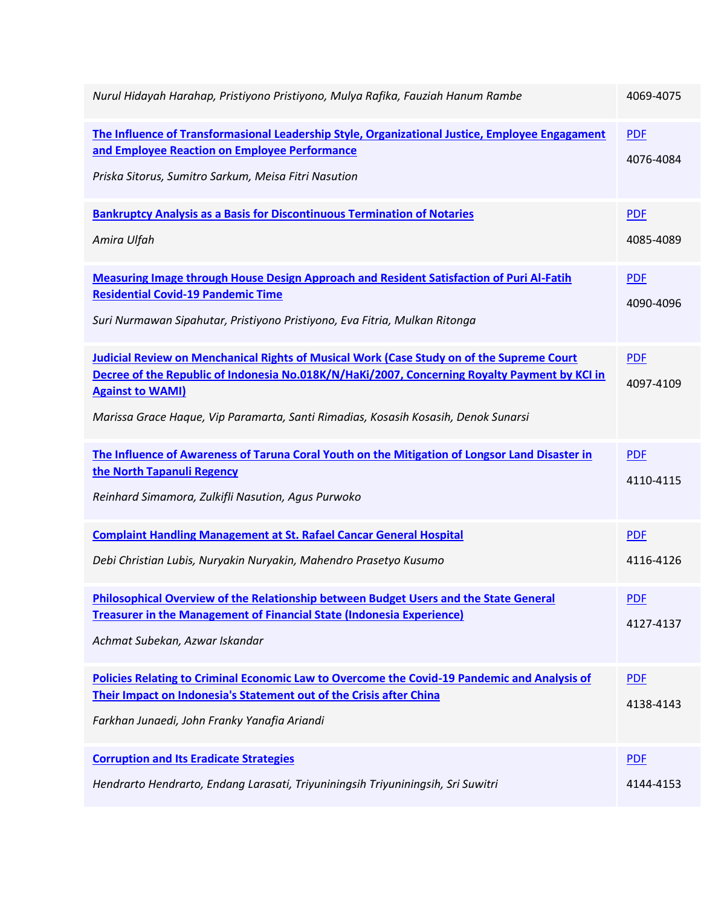| Nurul Hidayah Harahap, Pristiyono Pristiyono, Mulya Rafika, Fauziah Hanum Rambe                                                                                                                                                                                                                                    | 4069-4075               |
|--------------------------------------------------------------------------------------------------------------------------------------------------------------------------------------------------------------------------------------------------------------------------------------------------------------------|-------------------------|
| The Influence of Transformasional Leadership Style, Organizational Justice, Employee Engagament<br>and Employee Reaction on Employee Performance<br>Priska Sitorus, Sumitro Sarkum, Meisa Fitri Nasution                                                                                                           | <b>PDF</b><br>4076-4084 |
| <b>Bankruptcy Analysis as a Basis for Discontinuous Termination of Notaries</b><br>Amira Ulfah                                                                                                                                                                                                                     | <b>PDF</b><br>4085-4089 |
| <b>Measuring Image through House Design Approach and Resident Satisfaction of Puri Al-Fatih</b><br><b>Residential Covid-19 Pandemic Time</b><br>Suri Nurmawan Sipahutar, Pristiyono Pristiyono, Eva Fitria, Mulkan Ritonga                                                                                         | <b>PDF</b><br>4090-4096 |
| <b>Judicial Review on Menchanical Rights of Musical Work (Case Study on of the Supreme Court</b><br>Decree of the Republic of Indonesia No.018K/N/HaKi/2007, Concerning Royalty Payment by KCI in<br><b>Against to WAMI)</b><br>Marissa Grace Haque, Vip Paramarta, Santi Rimadias, Kosasih Kosasih, Denok Sunarsi | <b>PDF</b><br>4097-4109 |
| The Influence of Awareness of Taruna Coral Youth on the Mitigation of Longsor Land Disaster in<br>the North Tapanuli Regency<br>Reinhard Simamora, Zulkifli Nasution, Agus Purwoko                                                                                                                                 | <b>PDF</b><br>4110-4115 |
| <b>Complaint Handling Management at St. Rafael Cancar General Hospital</b><br>Debi Christian Lubis, Nuryakin Nuryakin, Mahendro Prasetyo Kusumo                                                                                                                                                                    | <b>PDF</b><br>4116-4126 |
| <b>Philosophical Overview of the Relationship between Budget Users and the State General</b><br><b>Treasurer in the Management of Financial State (Indonesia Experience)</b><br>Achmat Subekan, Azwar Iskandar                                                                                                     | <b>PDF</b><br>4127-4137 |
| Policies Relating to Criminal Economic Law to Overcome the Covid-19 Pandemic and Analysis of<br>Their Impact on Indonesia's Statement out of the Crisis after China<br>Farkhan Junaedi, John Franky Yanafia Ariandi                                                                                                | <b>PDF</b><br>4138-4143 |
|                                                                                                                                                                                                                                                                                                                    |                         |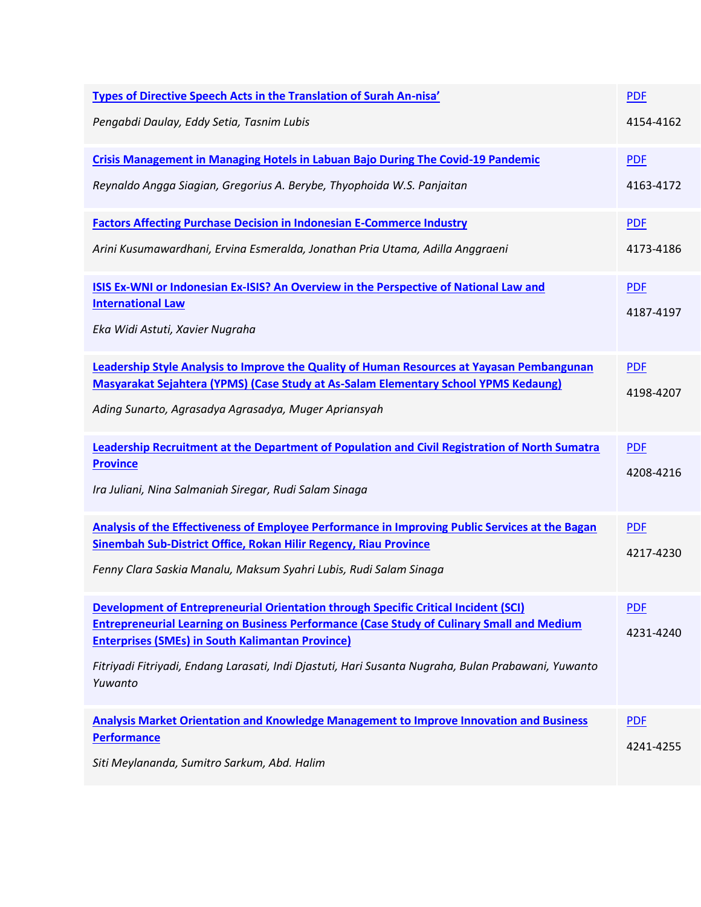| Types of Directive Speech Acts in the Translation of Surah An-nisa'                                                                                         | <b>PDF</b> |
|-------------------------------------------------------------------------------------------------------------------------------------------------------------|------------|
| Pengabdi Daulay, Eddy Setia, Tasnim Lubis                                                                                                                   | 4154-4162  |
| <b>Crisis Management in Managing Hotels in Labuan Bajo During The Covid-19 Pandemic</b>                                                                     | <b>PDF</b> |
| Reynaldo Angga Siagian, Gregorius A. Berybe, Thyophoida W.S. Panjaitan                                                                                      | 4163-4172  |
| <b>Factors Affecting Purchase Decision in Indonesian E-Commerce Industry</b>                                                                                | <b>PDF</b> |
| Arini Kusumawardhani, Ervina Esmeralda, Jonathan Pria Utama, Adilla Anggraeni                                                                               | 4173-4186  |
| <b>ISIS Ex-WNI or Indonesian Ex-ISIS? An Overview in the Perspective of National Law and</b>                                                                | <b>PDF</b> |
| <b>International Law</b><br>Eka Widi Astuti, Xavier Nugraha                                                                                                 | 4187-4197  |
| <b>Leadership Style Analysis to Improve the Quality of Human Resources at Yayasan Pembangunan</b>                                                           | <b>PDF</b> |
| Masyarakat Sejahtera (YPMS) (Case Study at As-Salam Elementary School YPMS Kedaung)<br>Ading Sunarto, Agrasadya Agrasadya, Muger Apriansyah                 | 4198-4207  |
| <b>Leadership Recruitment at the Department of Population and Civil Registration of North Sumatra</b>                                                       | <b>PDF</b> |
| <b>Province</b><br>Ira Juliani, Nina Salmaniah Siregar, Rudi Salam Sinaga                                                                                   | 4208-4216  |
| Analysis of the Effectiveness of Employee Performance in Improving Public Services at the Bagan                                                             | <b>PDF</b> |
| Sinembah Sub-District Office, Rokan Hilir Regency, Riau Province<br>Fenny Clara Saskia Manalu, Maksum Syahri Lubis, Rudi Salam Sinaga                       | 4217-4230  |
| Development of Entrepreneurial Orientation through Specific Critical Incident (SCI)                                                                         | <b>PDF</b> |
| <b>Entrepreneurial Learning on Business Performance (Case Study of Culinary Small and Medium</b><br><b>Enterprises (SMEs) in South Kalimantan Province)</b> | 4231-4240  |
| Fitriyadi Fitriyadi, Endang Larasati, Indi Djastuti, Hari Susanta Nugraha, Bulan Prabawani, Yuwanto<br>Yuwanto                                              |            |
| <b>Analysis Market Orientation and Knowledge Management to Improve Innovation and Business</b>                                                              | <b>PDF</b> |
| <b>Performance</b>                                                                                                                                          |            |
| Siti Meylananda, Sumitro Sarkum, Abd. Halim                                                                                                                 | 4241-4255  |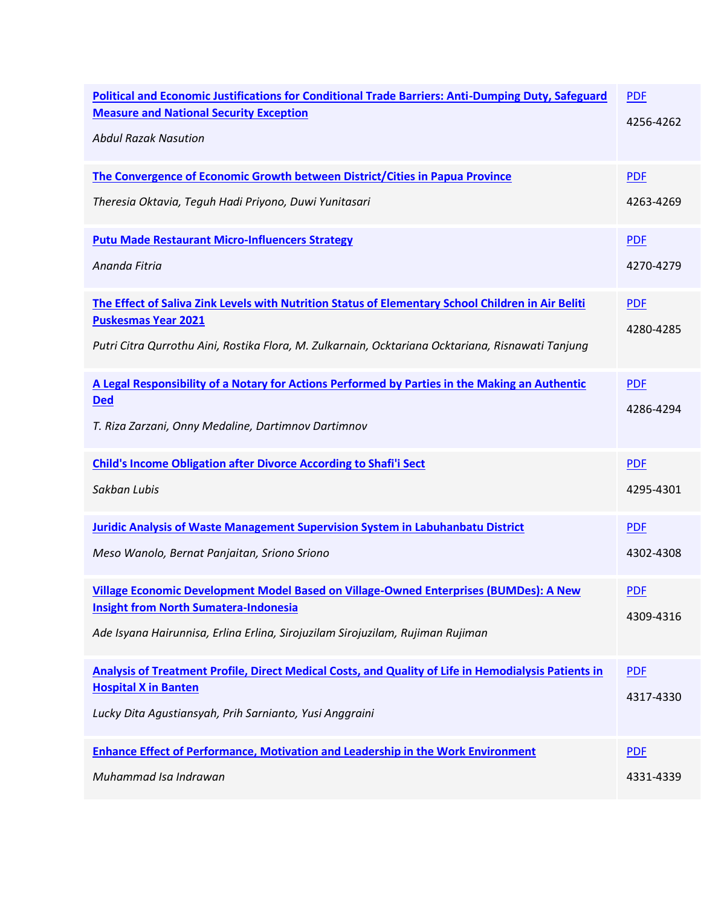| <b>Political and Economic Justifications for Conditional Trade Barriers: Anti-Dumping Duty, Safeguard</b><br><b>Measure and National Security Exception</b><br><b>Abdul Razak Nasution</b> | <b>PDF</b><br>4256-4262 |
|--------------------------------------------------------------------------------------------------------------------------------------------------------------------------------------------|-------------------------|
| The Convergence of Economic Growth between District/Cities in Papua Province                                                                                                               | <b>PDF</b>              |
| Theresia Oktavia, Teguh Hadi Priyono, Duwi Yunitasari                                                                                                                                      | 4263-4269               |
| <b>Putu Made Restaurant Micro-Influencers Strategy</b>                                                                                                                                     | <b>PDF</b>              |
| Ananda Fitria                                                                                                                                                                              | 4270-4279               |
| The Effect of Saliva Zink Levels with Nutrition Status of Elementary School Children in Air Beliti<br><b>Puskesmas Year 2021</b>                                                           | <b>PDF</b>              |
| Putri Citra Qurrothu Aini, Rostika Flora, M. Zulkarnain, Ocktariana Ocktariana, Risnawati Tanjung                                                                                          | 4280-4285               |
| A Legal Responsibility of a Notary for Actions Performed by Parties in the Making an Authentic<br><b>Ded</b>                                                                               | <b>PDF</b>              |
| T. Riza Zarzani, Onny Medaline, Dartimnov Dartimnov                                                                                                                                        | 4286-4294               |
| <b>Child's Income Obligation after Divorce According to Shafi'i Sect</b>                                                                                                                   | <b>PDF</b>              |
| Sakban Lubis                                                                                                                                                                               | 4295-4301               |
| <b>Juridic Analysis of Waste Management Supervision System in Labuhanbatu District</b>                                                                                                     | <b>PDF</b>              |
| Meso Wanolo, Bernat Panjaitan, Sriono Sriono                                                                                                                                               | 4302-4308               |
| Village Economic Development Model Based on Village-Owned Enterprises (BUMDes): A New<br><b>Insight from North Sumatera-Indonesia</b>                                                      | <b>PDF</b>              |
| Ade Isyana Hairunnisa, Erlina Erlina, Sirojuzilam Sirojuzilam, Rujiman Rujiman                                                                                                             | 4309-4316               |
| Analysis of Treatment Profile, Direct Medical Costs, and Quality of Life in Hemodialysis Patients in<br><b>Hospital X in Banten</b>                                                        | <b>PDF</b>              |
| Lucky Dita Agustiansyah, Prih Sarnianto, Yusi Anggraini                                                                                                                                    | 4317-4330               |
| <b>Enhance Effect of Performance, Motivation and Leadership in the Work Environment</b>                                                                                                    | <b>PDF</b>              |
| Muhammad Isa Indrawan                                                                                                                                                                      | 4331-4339               |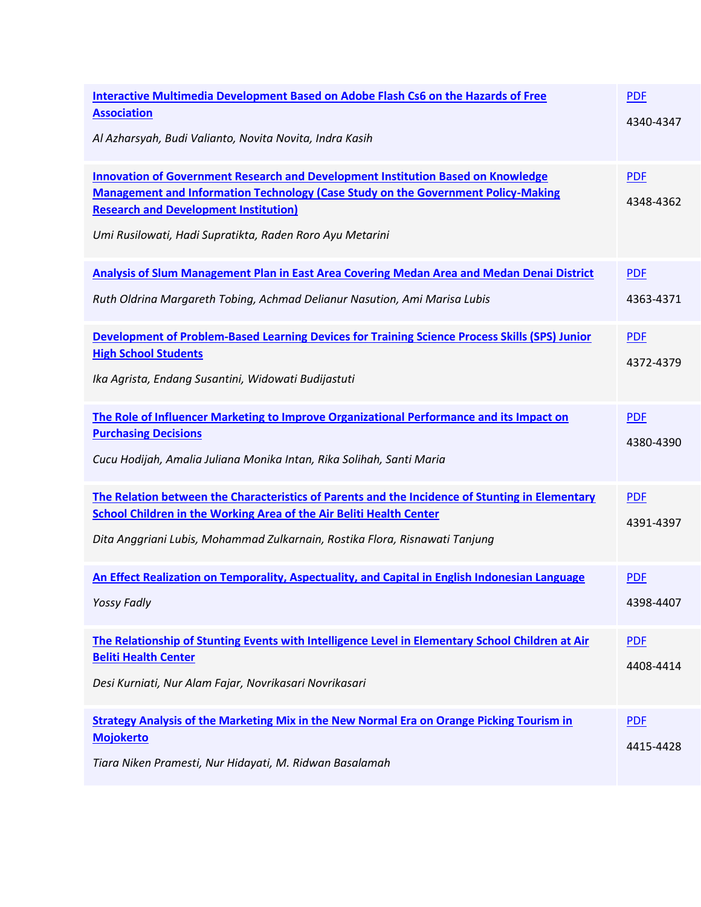| Interactive Multimedia Development Based on Adobe Flash Cs6 on the Hazards of Free<br><b>Association</b><br>Al Azharsyah, Budi Valianto, Novita Novita, Indra Kasih                                                                                                                             | <b>PDF</b><br>4340-4347 |
|-------------------------------------------------------------------------------------------------------------------------------------------------------------------------------------------------------------------------------------------------------------------------------------------------|-------------------------|
| <b>Innovation of Government Research and Development Institution Based on Knowledge</b><br><b>Management and Information Technology (Case Study on the Government Policy-Making</b><br><b>Research and Development Institution)</b><br>Umi Rusilowati, Hadi Supratikta, Raden Roro Ayu Metarini | <b>PDF</b><br>4348-4362 |
| Analysis of Slum Management Plan in East Area Covering Medan Area and Medan Denai District<br>Ruth Oldrina Margareth Tobing, Achmad Delianur Nasution, Ami Marisa Lubis                                                                                                                         | <b>PDF</b><br>4363-4371 |
| Development of Problem-Based Learning Devices for Training Science Process Skills (SPS) Junior<br><b>High School Students</b><br>Ika Agrista, Endang Susantini, Widowati Budijastuti                                                                                                            | <b>PDF</b><br>4372-4379 |
| The Role of Influencer Marketing to Improve Organizational Performance and its Impact on<br><b>Purchasing Decisions</b><br>Cucu Hodijah, Amalia Juliana Monika Intan, Rika Solihah, Santi Maria                                                                                                 | <b>PDF</b><br>4380-4390 |
| The Relation between the Characteristics of Parents and the Incidence of Stunting in Elementary<br><b>School Children in the Working Area of the Air Beliti Health Center</b><br>Dita Anggriani Lubis, Mohammad Zulkarnain, Rostika Flora, Risnawati Tanjung                                    | <b>PDF</b><br>4391-4397 |
| An Effect Realization on Temporality, Aspectuality, and Capital in English Indonesian Language<br><b>Yossy Fadly</b>                                                                                                                                                                            | <b>PDF</b><br>4398-4407 |
| The Relationship of Stunting Events with Intelligence Level in Elementary School Children at Air<br><b>Beliti Health Center</b><br>Desi Kurniati, Nur Alam Fajar, Novrikasari Novrikasari                                                                                                       | <b>PDF</b><br>4408-4414 |
| Strategy Analysis of the Marketing Mix in the New Normal Era on Orange Picking Tourism in<br><b>Mojokerto</b><br>Tiara Niken Pramesti, Nur Hidayati, M. Ridwan Basalamah                                                                                                                        | <b>PDF</b><br>4415-4428 |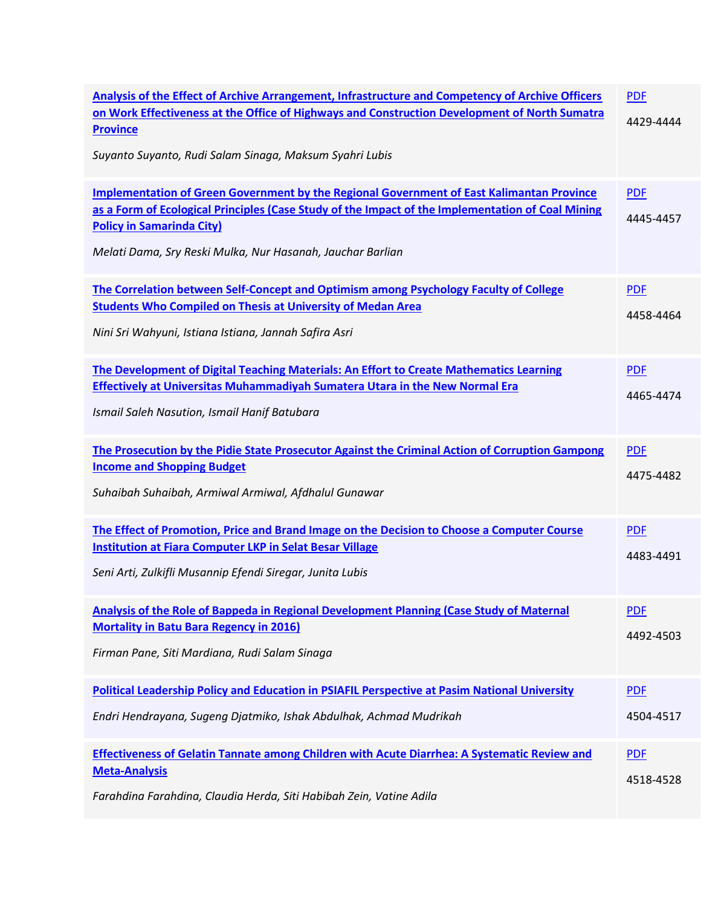| Analysis of the Effect of Archive Arrangement, Infrastructure and Competency of Archive Officers<br>on Work Effectiveness at the Office of Highways and Construction Development of North Sumatra<br><b>Province</b><br>Suyanto Suyanto, Rudi Salam Sinaga, Maksum Syahri Lubis                         | <b>PDF</b><br>4429-4444 |
|---------------------------------------------------------------------------------------------------------------------------------------------------------------------------------------------------------------------------------------------------------------------------------------------------------|-------------------------|
| <b>Implementation of Green Government by the Regional Government of East Kalimantan Province</b><br>as a Form of Ecological Principles (Case Study of the Impact of the Implementation of Coal Mining<br><b>Policy in Samarinda City)</b><br>Melati Dama, Sry Reski Mulka, Nur Hasanah, Jauchar Barlian | <b>PDF</b><br>4445-4457 |
| The Correlation between Self-Concept and Optimism among Psychology Faculty of College<br><b>Students Who Compiled on Thesis at University of Medan Area</b><br>Nini Sri Wahyuni, Istiana Istiana, Jannah Safira Asri                                                                                    | <b>PDF</b><br>4458-4464 |
| The Development of Digital Teaching Materials: An Effort to Create Mathematics Learning<br><b>Effectively at Universitas Muhammadiyah Sumatera Utara in the New Normal Era</b><br>Ismail Saleh Nasution, Ismail Hanif Batubara                                                                          | <b>PDF</b><br>4465-4474 |
| The Prosecution by the Pidie State Prosecutor Against the Criminal Action of Corruption Gampong<br><b>Income and Shopping Budget</b><br>Suhaibah Suhaibah, Armiwal Armiwal, Afdhalul Gunawar                                                                                                            | <b>PDF</b><br>4475-4482 |
| The Effect of Promotion, Price and Brand Image on the Decision to Choose a Computer Course<br><b>Institution at Fiara Computer LKP in Selat Besar Village</b><br>Seni Arti, Zulkifli Musannip Efendi Siregar, Junita Lubis                                                                              | <b>PDF</b><br>4483-4491 |
| Analysis of the Role of Bappeda in Regional Development Planning (Case Study of Maternal<br><b>Mortality in Batu Bara Regency in 2016)</b><br>Firman Pane, Siti Mardiana, Rudi Salam Sinaga                                                                                                             | <b>PDF</b><br>4492-4503 |
| Political Leadership Policy and Education in PSIAFIL Perspective at Pasim National University<br>Endri Hendrayana, Sugeng Djatmiko, Ishak Abdulhak, Achmad Mudrikah                                                                                                                                     | <b>PDF</b><br>4504-4517 |
| Effectiveness of Gelatin Tannate among Children with Acute Diarrhea: A Systematic Review and<br><b>Meta-Analysis</b><br>Farahdina Farahdina, Claudia Herda, Siti Habibah Zein, Vatine Adila                                                                                                             | <b>PDF</b><br>4518-4528 |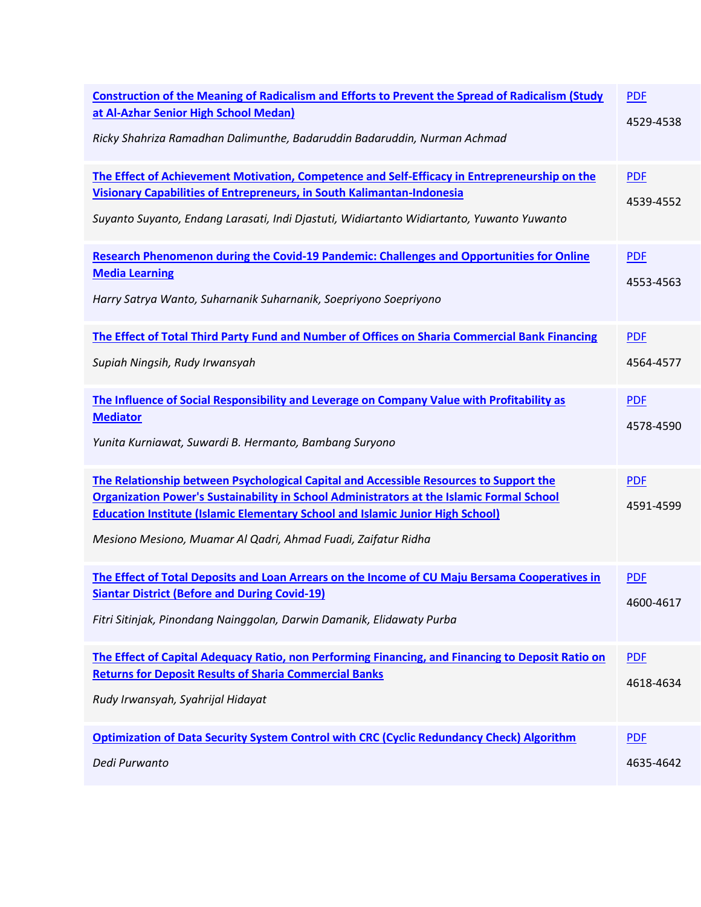| <b>Construction of the Meaning of Radicalism and Efforts to Prevent the Spread of Radicalism (Study</b><br>at Al-Azhar Senior High School Medan)<br>Ricky Shahriza Ramadhan Dalimunthe, Badaruddin Badaruddin, Nurman Achmad                                                                                                                         | <b>PDF</b><br>4529-4538 |
|------------------------------------------------------------------------------------------------------------------------------------------------------------------------------------------------------------------------------------------------------------------------------------------------------------------------------------------------------|-------------------------|
| The Effect of Achievement Motivation, Competence and Self-Efficacy in Entrepreneurship on the<br><b>Visionary Capabilities of Entrepreneurs, in South Kalimantan-Indonesia</b><br>Suyanto Suyanto, Endang Larasati, Indi Djastuti, Widiartanto Widiartanto, Yuwanto Yuwanto                                                                          | <b>PDF</b><br>4539-4552 |
| <b>Research Phenomenon during the Covid-19 Pandemic: Challenges and Opportunities for Online</b><br><b>Media Learning</b><br>Harry Satrya Wanto, Suharnanik Suharnanik, Soepriyono Soepriyono                                                                                                                                                        | <b>PDF</b><br>4553-4563 |
| The Effect of Total Third Party Fund and Number of Offices on Sharia Commercial Bank Financing<br>Supiah Ningsih, Rudy Irwansyah                                                                                                                                                                                                                     | <b>PDF</b><br>4564-4577 |
| The Influence of Social Responsibility and Leverage on Company Value with Profitability as<br><b>Mediator</b><br>Yunita Kurniawat, Suwardi B. Hermanto, Bambang Suryono                                                                                                                                                                              | <b>PDF</b><br>4578-4590 |
| The Relationship between Psychological Capital and Accessible Resources to Support the<br><b>Organization Power's Sustainability in School Administrators at the Islamic Formal School</b><br><b>Education Institute (Islamic Elementary School and Islamic Junior High School)</b><br>Mesiono Mesiono, Muamar Al Qadri, Ahmad Fuadi, Zaifatur Ridha | <b>PDF</b><br>4591-4599 |
| The Effect of Total Deposits and Loan Arrears on the Income of CU Maju Bersama Cooperatives in<br><b>Siantar District (Before and During Covid-19)</b><br>Fitri Sitinjak, Pinondang Nainggolan, Darwin Damanik, Elidawaty Purba                                                                                                                      | <b>PDF</b><br>4600-4617 |
| The Effect of Capital Adequacy Ratio, non Performing Financing, and Financing to Deposit Ratio on<br><b>Returns for Deposit Results of Sharia Commercial Banks</b><br>Rudy Irwansyah, Syahrijal Hidayat                                                                                                                                              | <b>PDF</b><br>4618-4634 |
| <b>Optimization of Data Security System Control with CRC (Cyclic Redundancy Check) Algorithm</b><br>Dedi Purwanto                                                                                                                                                                                                                                    | <b>PDF</b><br>4635-4642 |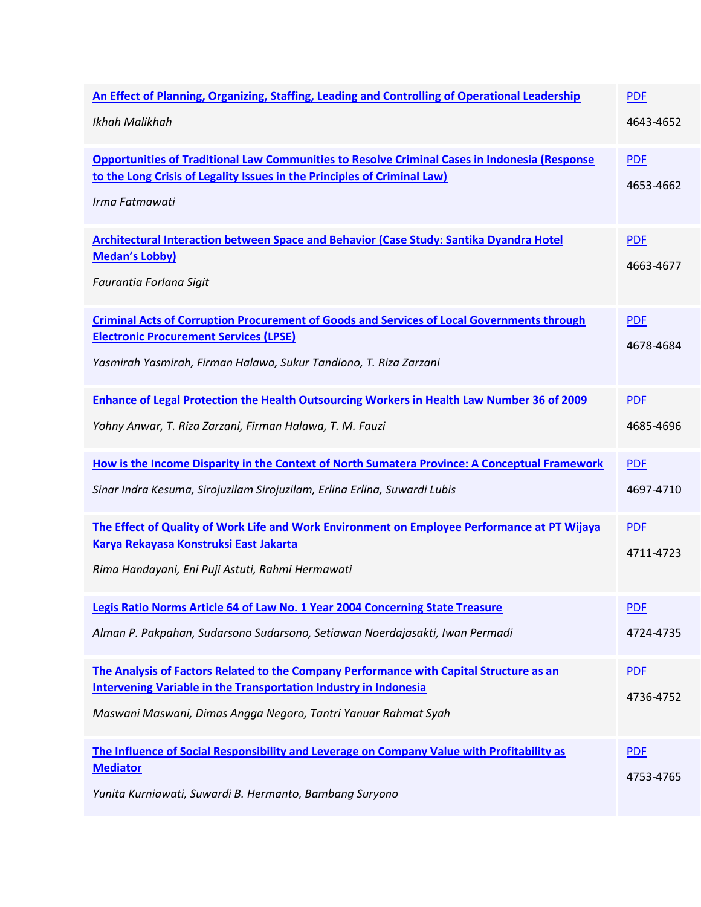| An Effect of Planning, Organizing, Staffing, Leading and Controlling of Operational Leadership<br>Ikhah Malikhah                                                                                                              | <b>PDF</b><br>4643-4652 |
|-------------------------------------------------------------------------------------------------------------------------------------------------------------------------------------------------------------------------------|-------------------------|
| <b>Opportunities of Traditional Law Communities to Resolve Criminal Cases in Indonesia (Response</b><br>to the Long Crisis of Legality Issues in the Principles of Criminal Law)<br>Irma Fatmawati                            | <b>PDF</b><br>4653-4662 |
| <b>Architectural Interaction between Space and Behavior (Case Study: Santika Dyandra Hotel</b><br><b>Medan's Lobby)</b><br>Faurantia Forlana Sigit                                                                            | <b>PDF</b><br>4663-4677 |
| <b>Criminal Acts of Corruption Procurement of Goods and Services of Local Governments through</b><br><b>Electronic Procurement Services (LPSE)</b><br>Yasmirah Yasmirah, Firman Halawa, Sukur Tandiono, T. Riza Zarzani       | <b>PDF</b><br>4678-4684 |
| <b>Enhance of Legal Protection the Health Outsourcing Workers in Health Law Number 36 of 2009</b><br>Yohny Anwar, T. Riza Zarzani, Firman Halawa, T. M. Fauzi                                                                 | <b>PDF</b><br>4685-4696 |
| How is the Income Disparity in the Context of North Sumatera Province: A Conceptual Framework<br>Sinar Indra Kesuma, Sirojuzilam Sirojuzilam, Erlina Erlina, Suwardi Lubis                                                    | <b>PDF</b><br>4697-4710 |
| The Effect of Quality of Work Life and Work Environment on Employee Performance at PT Wijaya<br>Karya Rekayasa Konstruksi East Jakarta<br>Rima Handayani, Eni Puji Astuti, Rahmi Hermawati                                    | <b>PDF</b><br>4711-4723 |
| Legis Ratio Norms Article 64 of Law No. 1 Year 2004 Concerning State Treasure<br>Alman P. Pakpahan, Sudarsono Sudarsono, Setiawan Noerdajasakti, Iwan Permadi                                                                 | <b>PDF</b><br>4724-4735 |
| The Analysis of Factors Related to the Company Performance with Capital Structure as an<br>Intervening Variable in the Transportation Industry in Indonesia<br>Maswani Maswani, Dimas Angga Negoro, Tantri Yanuar Rahmat Syah | <b>PDF</b><br>4736-4752 |
| The Influence of Social Responsibility and Leverage on Company Value with Profitability as<br><b>Mediator</b><br>Yunita Kurniawati, Suwardi B. Hermanto, Bambang Suryono                                                      | <b>PDF</b><br>4753-4765 |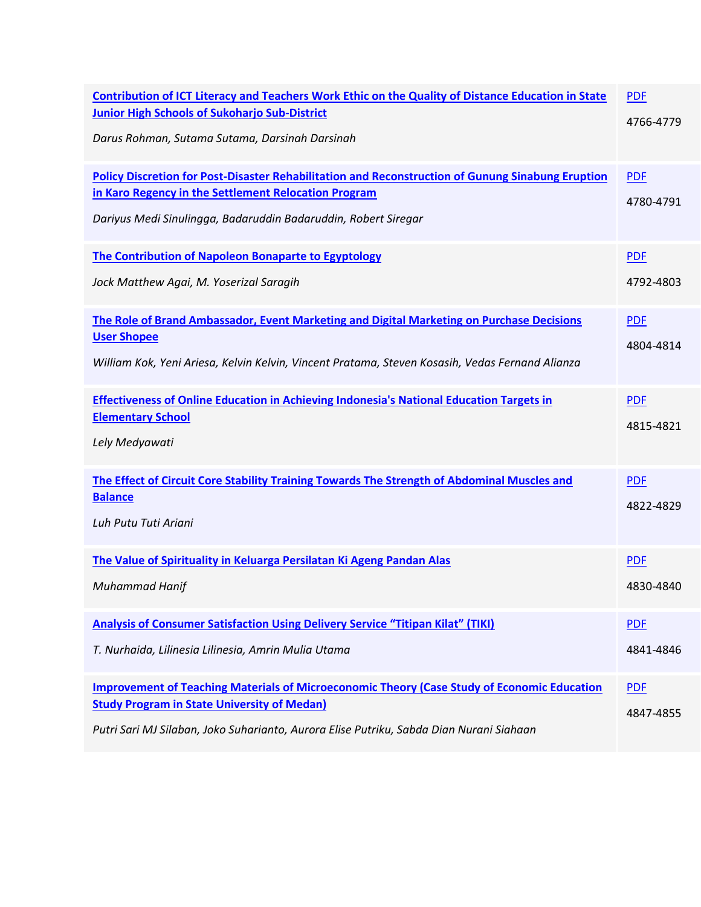| <b>Contribution of ICT Literacy and Teachers Work Ethic on the Quality of Distance Education in State</b><br><b>Junior High Schools of Sukoharjo Sub-District</b><br>Darus Rohman, Sutama Sutama, Darsinah Darsinah                                 | <b>PDF</b><br>4766-4779 |
|-----------------------------------------------------------------------------------------------------------------------------------------------------------------------------------------------------------------------------------------------------|-------------------------|
| <b>Policy Discretion for Post-Disaster Rehabilitation and Reconstruction of Gunung Sinabung Eruption</b><br>in Karo Regency in the Settlement Relocation Program<br>Dariyus Medi Sinulingga, Badaruddin Badaruddin, Robert Siregar                  | <b>PDF</b><br>4780-4791 |
| The Contribution of Napoleon Bonaparte to Egyptology<br>Jock Matthew Agai, M. Yoserizal Saragih                                                                                                                                                     | <b>PDF</b><br>4792-4803 |
| The Role of Brand Ambassador, Event Marketing and Digital Marketing on Purchase Decisions<br><b>User Shopee</b><br>William Kok, Yeni Ariesa, Kelvin Kelvin, Vincent Pratama, Steven Kosasih, Vedas Fernand Alianza                                  | <b>PDF</b><br>4804-4814 |
| <b>Effectiveness of Online Education in Achieving Indonesia's National Education Targets in</b><br><b>Elementary School</b><br>Lely Medyawati                                                                                                       | <b>PDF</b><br>4815-4821 |
| The Effect of Circuit Core Stability Training Towards The Strength of Abdominal Muscles and<br><b>Balance</b><br>Luh Putu Tuti Ariani                                                                                                               | <b>PDF</b><br>4822-4829 |
| The Value of Spirituality in Keluarga Persilatan Ki Ageng Pandan Alas<br>Muhammad Hanif                                                                                                                                                             | <b>PDF</b><br>4830-4840 |
| <b>Analysis of Consumer Satisfaction Using Delivery Service "Titipan Kilat" (TIKI)</b><br>T. Nurhaida, Lilinesia Lilinesia, Amrin Mulia Utama                                                                                                       | <b>PDF</b><br>4841-4846 |
| <b>Improvement of Teaching Materials of Microeconomic Theory (Case Study of Economic Education</b><br><b>Study Program in State University of Medan)</b><br>Putri Sari MJ Silaban, Joko Suharianto, Aurora Elise Putriku, Sabda Dian Nurani Siahaan | <b>PDF</b><br>4847-4855 |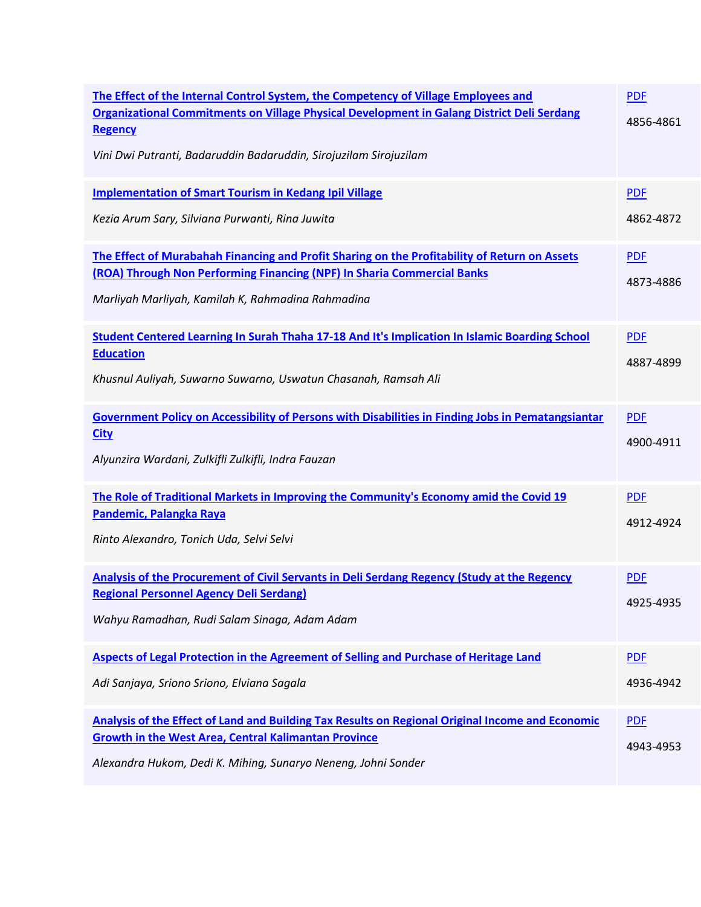| The Effect of the Internal Control System, the Competency of Village Employees and<br>Organizational Commitments on Village Physical Development in Galang District Deli Serdang<br>Regency<br>Vini Dwi Putranti, Badaruddin Badaruddin, Sirojuzilam Sirojuzilam | <b>PDF</b><br>4856-4861 |
|------------------------------------------------------------------------------------------------------------------------------------------------------------------------------------------------------------------------------------------------------------------|-------------------------|
| <b>Implementation of Smart Tourism in Kedang Ipil Village</b><br>Kezia Arum Sary, Silviana Purwanti, Rina Juwita                                                                                                                                                 | <b>PDF</b><br>4862-4872 |
| The Effect of Murabahah Financing and Profit Sharing on the Profitability of Return on Assets<br>(ROA) Through Non Performing Financing (NPF) In Sharia Commercial Banks<br>Marliyah Marliyah, Kamilah K, Rahmadina Rahmadina                                    | <b>PDF</b><br>4873-4886 |
| Student Centered Learning In Surah Thaha 17-18 And It's Implication In Islamic Boarding School<br><b>Education</b><br>Khusnul Auliyah, Suwarno Suwarno, Uswatun Chasanah, Ramsah Ali                                                                             | <b>PDF</b><br>4887-4899 |
| <b>Government Policy on Accessibility of Persons with Disabilities in Finding Jobs in Pematangsiantar</b><br><b>City</b><br>Alyunzira Wardani, Zulkifli Zulkifli, Indra Fauzan                                                                                   | <b>PDF</b><br>4900-4911 |
| The Role of Traditional Markets in Improving the Community's Economy amid the Covid 19<br>Pandemic, Palangka Raya<br>Rinto Alexandro, Tonich Uda, Selvi Selvi                                                                                                    | <b>PDF</b><br>4912-4924 |
| <b>Analysis of the Procurement of Civil Servants in Deli Serdang Regency (Study at the Regency</b><br><b>Regional Personnel Agency Deli Serdang)</b><br>Wahyu Ramadhan, Rudi Salam Sinaga, Adam Adam                                                             | <b>PDF</b><br>4925-4935 |
| Aspects of Legal Protection in the Agreement of Selling and Purchase of Heritage Land<br>Adi Sanjaya, Sriono Sriono, Elviana Sagala                                                                                                                              | <b>PDF</b><br>4936-4942 |
| Analysis of the Effect of Land and Building Tax Results on Regional Original Income and Economic<br><b>Growth in the West Area, Central Kalimantan Province</b><br>Alexandra Hukom, Dedi K. Mihing, Sunaryo Neneng, Johni Sonder                                 | <b>PDF</b><br>4943-4953 |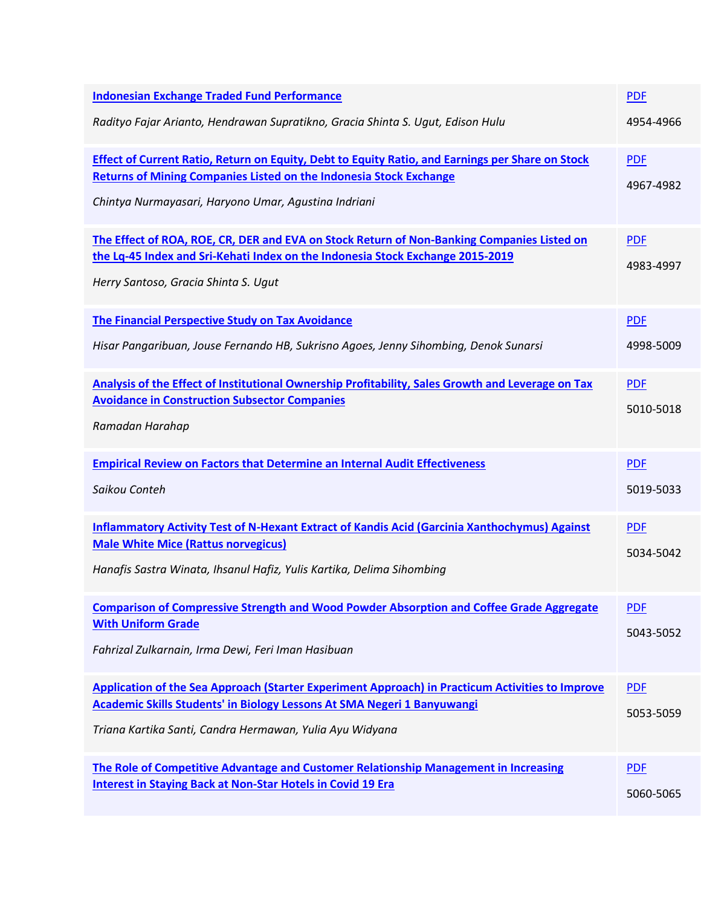| <b>Indonesian Exchange Traded Fund Performance</b>                                                                                                        | <b>PDF</b> |
|-----------------------------------------------------------------------------------------------------------------------------------------------------------|------------|
| Radityo Fajar Arianto, Hendrawan Supratikno, Gracia Shinta S. Ugut, Edison Hulu                                                                           | 4954-4966  |
| Effect of Current Ratio, Return on Equity, Debt to Equity Ratio, and Earnings per Share on Stock                                                          | <b>PDF</b> |
| <b>Returns of Mining Companies Listed on the Indonesia Stock Exchange</b><br>Chintya Nurmayasari, Haryono Umar, Agustina Indriani                         | 4967-4982  |
| The Effect of ROA, ROE, CR, DER and EVA on Stock Return of Non-Banking Companies Listed on                                                                | <b>PDF</b> |
| the Lq-45 Index and Sri-Kehati Index on the Indonesia Stock Exchange 2015-2019<br>Herry Santoso, Gracia Shinta S. Ugut                                    | 4983-4997  |
| The Financial Perspective Study on Tax Avoidance                                                                                                          | <b>PDF</b> |
| Hisar Pangaribuan, Jouse Fernando HB, Sukrisno Agoes, Jenny Sihombing, Denok Sunarsi                                                                      | 4998-5009  |
| Analysis of the Effect of Institutional Ownership Profitability, Sales Growth and Leverage on Tax<br><b>Avoidance in Construction Subsector Companies</b> | <b>PDF</b> |
| Ramadan Harahap                                                                                                                                           | 5010-5018  |
| <b>Empirical Review on Factors that Determine an Internal Audit Effectiveness</b>                                                                         | <b>PDF</b> |
| Saikou Conteh                                                                                                                                             | 5019-5033  |
| <b>Inflammatory Activity Test of N-Hexant Extract of Kandis Acid (Garcinia Xanthochymus) Against</b>                                                      | <b>PDF</b> |
| <b>Male White Mice (Rattus norvegicus)</b><br>Hanafis Sastra Winata, Ihsanul Hafiz, Yulis Kartika, Delima Sihombing                                       | 5034-5042  |
| <b>Comparison of Compressive Strength and Wood Powder Absorption and Coffee Grade Aggregate</b>                                                           | <b>PDF</b> |
| <b>With Uniform Grade</b><br>Fahrizal Zulkarnain, Irma Dewi, Feri Iman Hasibuan                                                                           | 5043-5052  |
| Application of the Sea Approach (Starter Experiment Approach) in Practicum Activities to Improve                                                          | <b>PDF</b> |
| <b>Academic Skills Students' in Biology Lessons At SMA Negeri 1 Banyuwangi</b><br>Triana Kartika Santi, Candra Hermawan, Yulia Ayu Widyana                | 5053-5059  |
| The Role of Competitive Advantage and Customer Relationship Management in Increasing                                                                      | <b>PDF</b> |
| <b>Interest in Staying Back at Non-Star Hotels in Covid 19 Era</b>                                                                                        | 5060-5065  |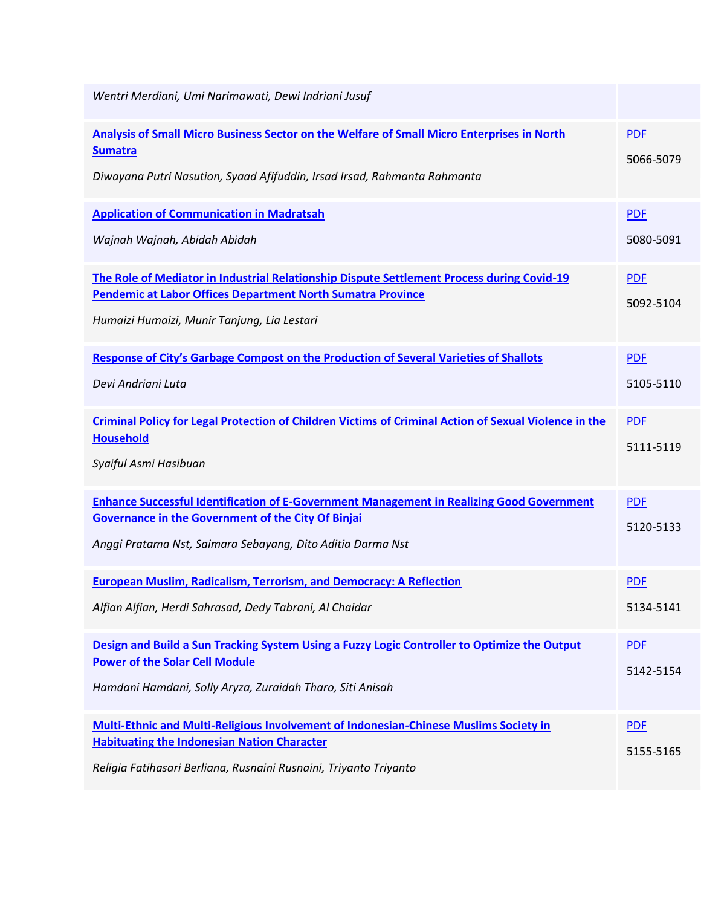| Wentri Merdiani, Umi Narimawati, Dewi Indriani Jusuf                                                                                                                                                                        |                         |
|-----------------------------------------------------------------------------------------------------------------------------------------------------------------------------------------------------------------------------|-------------------------|
| Analysis of Small Micro Business Sector on the Welfare of Small Micro Enterprises in North<br><b>Sumatra</b><br>Diwayana Putri Nasution, Syaad Afifuddin, Irsad Irsad, Rahmanta Rahmanta                                    | <b>PDF</b><br>5066-5079 |
| <b>Application of Communication in Madratsah</b><br>Wajnah Wajnah, Abidah Abidah                                                                                                                                            | <b>PDF</b><br>5080-5091 |
| The Role of Mediator in Industrial Relationship Dispute Settlement Process during Covid-19<br><b>Pendemic at Labor Offices Department North Sumatra Province</b><br>Humaizi Humaizi, Munir Tanjung, Lia Lestari             | <b>PDF</b><br>5092-5104 |
| <b>Response of City's Garbage Compost on the Production of Several Varieties of Shallots</b><br>Devi Andriani Luta                                                                                                          | <b>PDF</b><br>5105-5110 |
| <b>Criminal Policy for Legal Protection of Children Victims of Criminal Action of Sexual Violence in the</b><br><b>Household</b><br>Syaiful Asmi Hasibuan                                                                   | <b>PDF</b><br>5111-5119 |
| <b>Enhance Successful Identification of E-Government Management in Realizing Good Government</b><br><b>Governance in the Government of the City Of Binjai</b><br>Anggi Pratama Nst, Saimara Sebayang, Dito Aditia Darma Nst | <b>PDF</b><br>5120-5133 |
| <b>European Muslim, Radicalism, Terrorism, and Democracy: A Reflection</b><br>Alfian Alfian, Herdi Sahrasad, Dedy Tabrani, Al Chaidar                                                                                       | <b>PDF</b><br>5134-5141 |
| Design and Build a Sun Tracking System Using a Fuzzy Logic Controller to Optimize the Output<br><b>Power of the Solar Cell Module</b><br>Hamdani Hamdani, Solly Aryza, Zuraidah Tharo, Siti Anisah                          | <b>PDF</b><br>5142-5154 |
| <b>Multi-Ethnic and Multi-Religious Involvement of Indonesian-Chinese Muslims Society in</b><br><b>Habituating the Indonesian Nation Character</b><br>Religia Fatihasari Berliana, Rusnaini Rusnaini, Triyanto Triyanto     | <b>PDF</b><br>5155-5165 |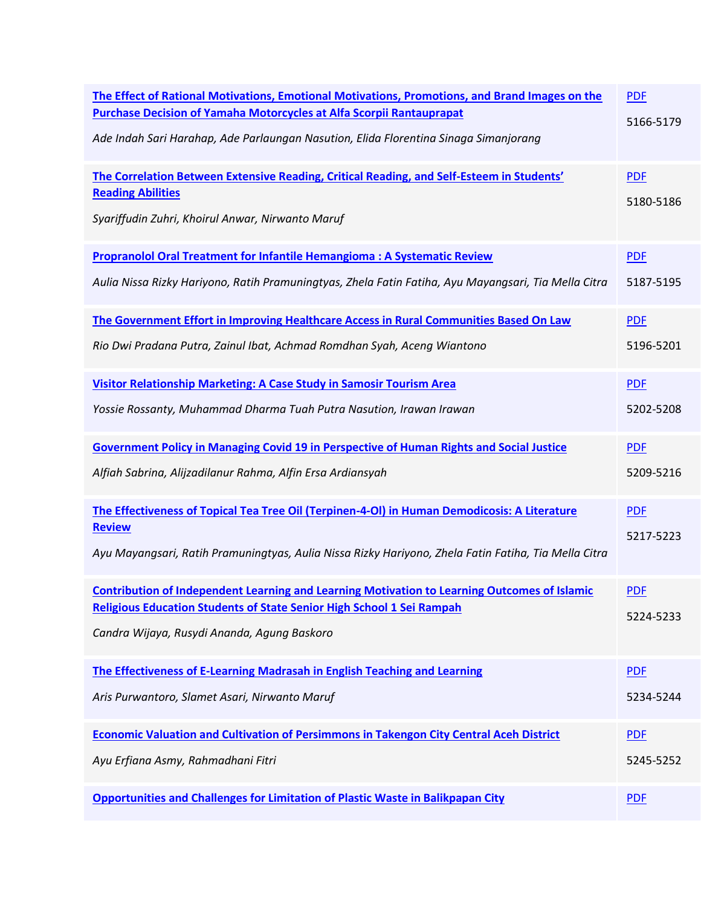| The Effect of Rational Motivations, Emotional Motivations, Promotions, and Brand Images on the<br><b>Purchase Decision of Yamaha Motorcycles at Alfa Scorpii Rantauprapat</b><br>Ade Indah Sari Harahap, Ade Parlaungan Nasution, Elida Florentina Sinaga Simanjorang | <b>PDF</b><br>5166-5179 |
|-----------------------------------------------------------------------------------------------------------------------------------------------------------------------------------------------------------------------------------------------------------------------|-------------------------|
| The Correlation Between Extensive Reading, Critical Reading, and Self-Esteem in Students'<br><b>Reading Abilities</b><br>Syariffudin Zuhri, Khoirul Anwar, Nirwanto Maruf                                                                                             | <b>PDF</b><br>5180-5186 |
| Propranolol Oral Treatment for Infantile Hemangioma : A Systematic Review                                                                                                                                                                                             | <b>PDF</b>              |
| Aulia Nissa Rizky Hariyono, Ratih Pramuningtyas, Zhela Fatin Fatiha, Ayu Mayangsari, Tia Mella Citra                                                                                                                                                                  | 5187-5195               |
| The Government Effort in Improving Healthcare Access in Rural Communities Based On Law                                                                                                                                                                                | <b>PDF</b>              |
| Rio Dwi Pradana Putra, Zainul Ibat, Achmad Romdhan Syah, Aceng Wiantono                                                                                                                                                                                               | 5196-5201               |
| Visitor Relationship Marketing: A Case Study in Samosir Tourism Area                                                                                                                                                                                                  | <b>PDF</b>              |
| Yossie Rossanty, Muhammad Dharma Tuah Putra Nasution, Irawan Irawan                                                                                                                                                                                                   | 5202-5208               |
| <b>Government Policy in Managing Covid 19 in Perspective of Human Rights and Social Justice</b>                                                                                                                                                                       | <b>PDF</b>              |
| Alfiah Sabrina, Alijzadilanur Rahma, Alfin Ersa Ardiansyah                                                                                                                                                                                                            | 5209-5216               |
| The Effectiveness of Topical Tea Tree Oil (Terpinen-4-OI) in Human Demodicosis: A Literature<br><b>Review</b><br>Ayu Mayangsari, Ratih Pramuningtyas, Aulia Nissa Rizky Hariyono, Zhela Fatin Fatiha, Tia Mella Citra                                                 | <b>PDF</b><br>5217-5223 |
| <b>Contribution of Independent Learning and Learning Motivation to Learning Outcomes of Islamic</b><br><b>Religious Education Students of State Senior High School 1 Sei Rampah</b><br>Candra Wijaya, Rusydi Ananda, Agung Baskoro                                    | <b>PDF</b><br>5224-5233 |
| The Effectiveness of E-Learning Madrasah in English Teaching and Learning                                                                                                                                                                                             | <b>PDF</b>              |
| Aris Purwantoro, Slamet Asari, Nirwanto Maruf                                                                                                                                                                                                                         | 5234-5244               |
| <b>Economic Valuation and Cultivation of Persimmons in Takengon City Central Aceh District</b>                                                                                                                                                                        | <b>PDF</b>              |
| Ayu Erfiana Asmy, Rahmadhani Fitri                                                                                                                                                                                                                                    | 5245-5252               |
| <b>Opportunities and Challenges for Limitation of Plastic Waste in Balikpapan City</b>                                                                                                                                                                                | <b>PDF</b>              |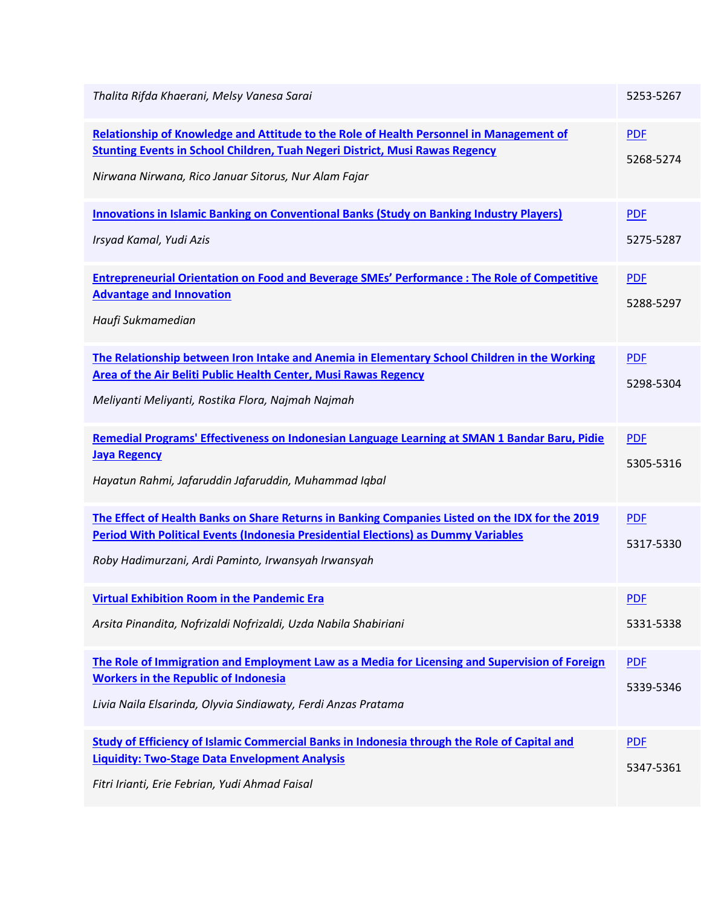| Thalita Rifda Khaerani, Melsy Vanesa Sarai                                                                                                                                                                                                          | 5253-5267               |
|-----------------------------------------------------------------------------------------------------------------------------------------------------------------------------------------------------------------------------------------------------|-------------------------|
| Relationship of Knowledge and Attitude to the Role of Health Personnel in Management of<br><b>Stunting Events in School Children, Tuah Negeri District, Musi Rawas Regency</b><br>Nirwana Nirwana, Rico Januar Sitorus, Nur Alam Fajar              | <b>PDF</b><br>5268-5274 |
| <b>Innovations in Islamic Banking on Conventional Banks (Study on Banking Industry Players)</b><br>Irsyad Kamal, Yudi Azis                                                                                                                          | <b>PDF</b><br>5275-5287 |
| <b>Entrepreneurial Orientation on Food and Beverage SMEs' Performance : The Role of Competitive</b><br><b>Advantage and Innovation</b><br>Haufi Sukmamedian                                                                                         | <b>PDF</b><br>5288-5297 |
| The Relationship between Iron Intake and Anemia in Elementary School Children in the Working<br>Area of the Air Beliti Public Health Center, Musi Rawas Regency<br>Meliyanti Meliyanti, Rostika Flora, Najmah Najmah                                | <b>PDF</b><br>5298-5304 |
| Remedial Programs' Effectiveness on Indonesian Language Learning at SMAN 1 Bandar Baru, Pidie<br><b>Jaya Regency</b><br>Hayatun Rahmi, Jafaruddin Jafaruddin, Muhammad Iqbal                                                                        | <b>PDF</b><br>5305-5316 |
| The Effect of Health Banks on Share Returns in Banking Companies Listed on the IDX for the 2019<br><b>Period With Political Events (Indonesia Presidential Elections) as Dummy Variables</b><br>Roby Hadimurzani, Ardi Paminto, Irwansyah Irwansyah | <b>PDF</b><br>5317-5330 |
| <b>Virtual Exhibition Room in the Pandemic Era</b><br>Arsita Pinandita, Nofrizaldi Nofrizaldi, Uzda Nabila Shabiriani                                                                                                                               | <b>PDF</b><br>5331-5338 |
| The Role of Immigration and Employment Law as a Media for Licensing and Supervision of Foreign<br><b>Workers in the Republic of Indonesia</b><br>Livia Naila Elsarinda, Olyvia Sindiawaty, Ferdi Anzas Pratama                                      | <b>PDF</b><br>5339-5346 |
| Study of Efficiency of Islamic Commercial Banks in Indonesia through the Role of Capital and<br><b>Liquidity: Two-Stage Data Envelopment Analysis</b><br>Fitri Irianti, Erie Febrian, Yudi Ahmad Faisal                                             | <b>PDF</b><br>5347-5361 |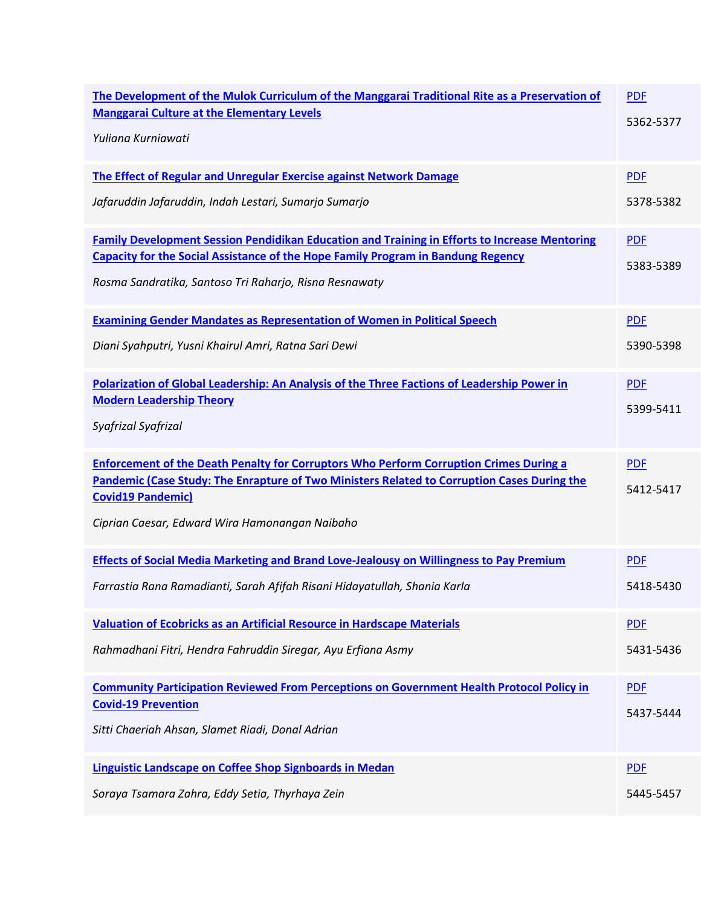| The Development of the Mulok Curriculum of the Manggarai Traditional Rite as a Preservation of<br><b>Manggarai Culture at the Elementary Levels</b><br>Yuliana Kurniawati                                                                                                  | <b>PDF</b><br>5362-5377 |
|----------------------------------------------------------------------------------------------------------------------------------------------------------------------------------------------------------------------------------------------------------------------------|-------------------------|
| The Effect of Regular and Unregular Exercise against Network Damage                                                                                                                                                                                                        | <b>PDF</b>              |
| Jafaruddin Jafaruddin, Indah Lestari, Sumarjo Sumarjo                                                                                                                                                                                                                      | 5378-5382               |
| <b>Family Development Session Pendidikan Education and Training in Efforts to Increase Mentoring</b><br><b>Capacity for the Social Assistance of the Hope Family Program in Bandung Regency</b><br>Rosma Sandratika, Santoso Tri Raharjo, Risna Resnawaty                  | <b>PDF</b><br>5383-5389 |
| <b>Examining Gender Mandates as Representation of Women in Political Speech</b>                                                                                                                                                                                            | <b>PDF</b>              |
| Diani Syahputri, Yusni Khairul Amri, Ratna Sari Dewi                                                                                                                                                                                                                       | 5390-5398               |
| Polarization of Global Leadership: An Analysis of the Three Factions of Leadership Power in<br><b>Modern Leadership Theory</b><br>Syafrizal Syafrizal                                                                                                                      | <b>PDF</b><br>5399-5411 |
| <b>Enforcement of the Death Penalty for Corruptors Who Perform Corruption Crimes During a</b><br>Pandemic (Case Study: The Enrapture of Two Ministers Related to Corruption Cases During the<br><b>Covid19 Pandemic)</b><br>Ciprian Caesar, Edward Wira Hamonangan Naibaho | <b>PDF</b><br>5412-5417 |
| <b>Effects of Social Media Marketing and Brand Love-Jealousy on Willingness to Pay Premium</b>                                                                                                                                                                             | <b>PDF</b>              |
| Farrastia Rana Ramadianti, Sarah Afifah Risani Hidayatullah, Shania Karla                                                                                                                                                                                                  | 5418-5430               |
| Valuation of Ecobricks as an Artificial Resource in Hardscape Materials                                                                                                                                                                                                    | <b>PDF</b>              |
| Rahmadhani Fitri, Hendra Fahruddin Siregar, Ayu Erfiana Asmy                                                                                                                                                                                                               | 5431-5436               |
| <b>Community Participation Reviewed From Perceptions on Government Health Protocol Policy in</b><br><b>Covid-19 Prevention</b><br>Sitti Chaeriah Ahsan, Slamet Riadi, Donal Adrian                                                                                         | <b>PDF</b><br>5437-5444 |
| Linguistic Landscape on Coffee Shop Signboards in Medan                                                                                                                                                                                                                    | <b>PDF</b>              |
| Soraya Tsamara Zahra, Eddy Setia, Thyrhaya Zein                                                                                                                                                                                                                            | 5445-5457               |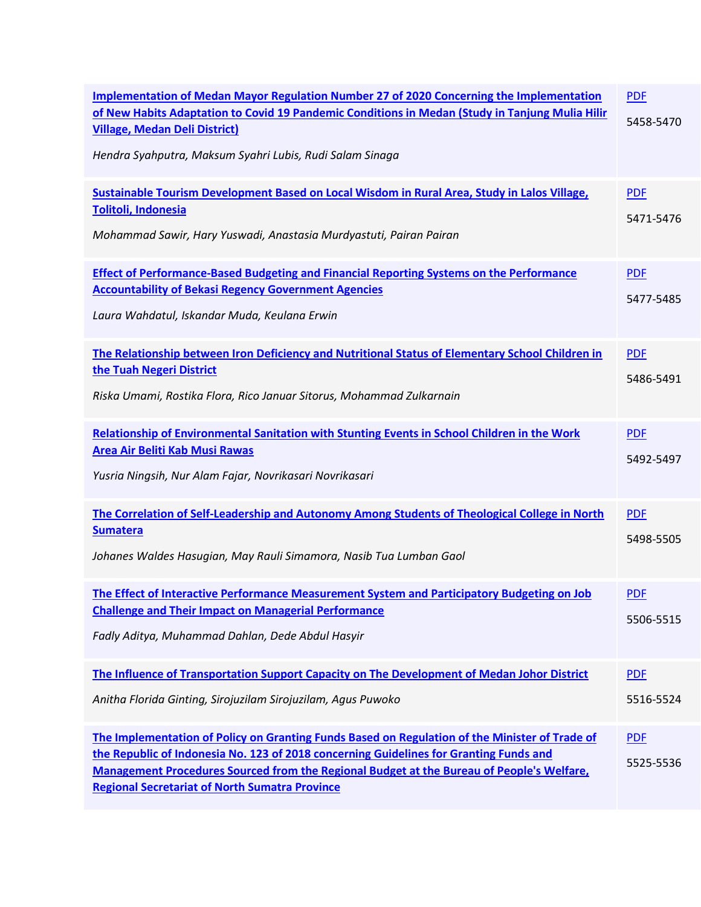| <b>Implementation of Medan Mayor Regulation Number 27 of 2020 Concerning the Implementation</b><br>of New Habits Adaptation to Covid 19 Pandemic Conditions in Medan (Study in Tanjung Mulia Hilir<br><b>Village, Medan Deli District)</b><br>Hendra Syahputra, Maksum Syahri Lubis, Rudi Salam Sinaga                                                | <b>PDF</b><br>5458-5470 |
|-------------------------------------------------------------------------------------------------------------------------------------------------------------------------------------------------------------------------------------------------------------------------------------------------------------------------------------------------------|-------------------------|
| Sustainable Tourism Development Based on Local Wisdom in Rural Area, Study in Lalos Village,<br>Tolitoli, Indonesia<br>Mohammad Sawir, Hary Yuswadi, Anastasia Murdyastuti, Pairan Pairan                                                                                                                                                             | <b>PDF</b><br>5471-5476 |
| <b>Effect of Performance-Based Budgeting and Financial Reporting Systems on the Performance</b><br><b>Accountability of Bekasi Regency Government Agencies</b><br>Laura Wahdatul, Iskandar Muda, Keulana Erwin                                                                                                                                        | <b>PDF</b><br>5477-5485 |
| The Relationship between Iron Deficiency and Nutritional Status of Elementary School Children in<br>the Tuah Negeri District<br>Riska Umami, Rostika Flora, Rico Januar Sitorus, Mohammad Zulkarnain                                                                                                                                                  | <b>PDF</b><br>5486-5491 |
| Relationship of Environmental Sanitation with Stunting Events in School Children in the Work<br>Area Air Beliti Kab Musi Rawas<br>Yusria Ningsih, Nur Alam Fajar, Novrikasari Novrikasari                                                                                                                                                             | <b>PDF</b><br>5492-5497 |
| The Correlation of Self-Leadership and Autonomy Among Students of Theological College in North<br><b>Sumatera</b><br>Johanes Waldes Hasugian, May Rauli Simamora, Nasib Tua Lumban Gaol                                                                                                                                                               | <b>PDF</b><br>5498-5505 |
| The Effect of Interactive Performance Measurement System and Participatory Budgeting on Job<br><b>Challenge and Their Impact on Managerial Performance</b><br>Fadly Aditya, Muhammad Dahlan, Dede Abdul Hasyir                                                                                                                                        | <b>PDF</b><br>5506-5515 |
| The Influence of Transportation Support Capacity on The Development of Medan Johor District<br>Anitha Florida Ginting, Sirojuzilam Sirojuzilam, Agus Puwoko                                                                                                                                                                                           | <b>PDF</b><br>5516-5524 |
| The Implementation of Policy on Granting Funds Based on Regulation of the Minister of Trade of<br>the Republic of Indonesia No. 123 of 2018 concerning Guidelines for Granting Funds and<br><b>Management Procedures Sourced from the Regional Budget at the Bureau of People's Welfare,</b><br><b>Regional Secretariat of North Sumatra Province</b> | <b>PDF</b><br>5525-5536 |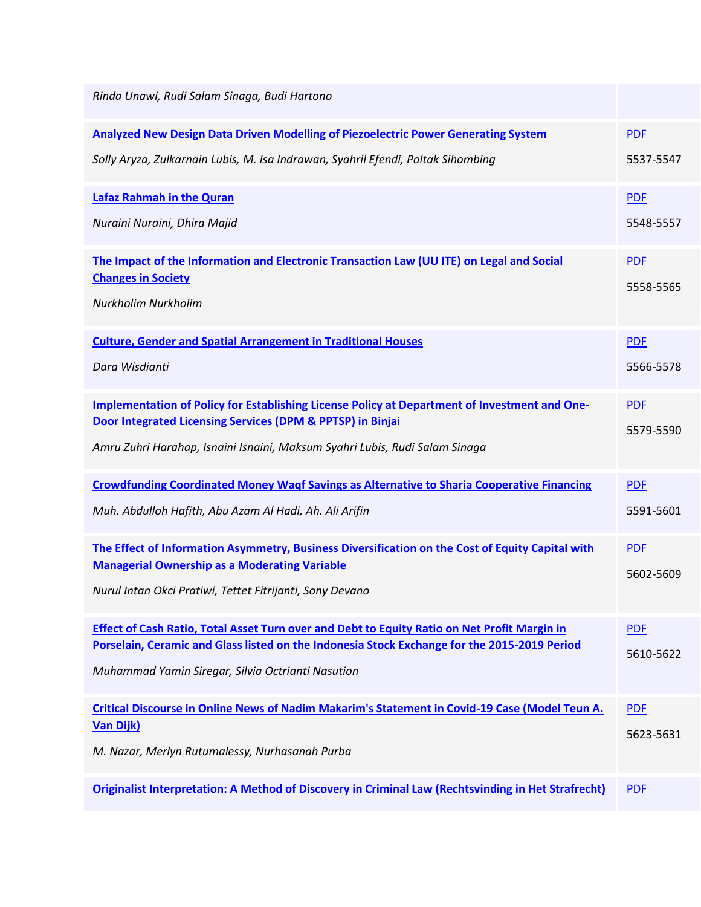| Rinda Unawi, Rudi Salam Sinaga, Budi Hartono                                                                                                                                                                                                      |                         |
|---------------------------------------------------------------------------------------------------------------------------------------------------------------------------------------------------------------------------------------------------|-------------------------|
| <b>Analyzed New Design Data Driven Modelling of Piezoelectric Power Generating System</b><br>Solly Aryza, Zulkarnain Lubis, M. Isa Indrawan, Syahril Efendi, Poltak Sihombing                                                                     | <b>PDF</b><br>5537-5547 |
| <b>Lafaz Rahmah in the Quran</b><br>Nuraini Nuraini, Dhira Majid                                                                                                                                                                                  | <b>PDF</b><br>5548-5557 |
| The Impact of the Information and Electronic Transaction Law (UU ITE) on Legal and Social<br><b>Changes in Society</b><br>Nurkholim Nurkholim                                                                                                     | <b>PDF</b><br>5558-5565 |
| <b>Culture, Gender and Spatial Arrangement in Traditional Houses</b><br>Dara Wisdianti                                                                                                                                                            | <b>PDF</b><br>5566-5578 |
| Implementation of Policy for Establishing License Policy at Department of Investment and One-<br>Door Integrated Licensing Services (DPM & PPTSP) in Binjai<br>Amru Zuhri Harahap, Isnaini Isnaini, Maksum Syahri Lubis, Rudi Salam Sinaga        | <b>PDF</b><br>5579-5590 |
| <b>Crowdfunding Coordinated Money Wagf Savings as Alternative to Sharia Cooperative Financing</b><br>Muh. Abdulloh Hafith, Abu Azam Al Hadi, Ah. Ali Arifin                                                                                       | <b>PDF</b><br>5591-5601 |
| The Effect of Information Asymmetry, Business Diversification on the Cost of Equity Capital with<br><b>Managerial Ownership as a Moderating Variable</b><br>Nurul Intan Okci Pratiwi, Tettet Fitrijanti, Sony Devano                              | <b>PDF</b><br>5602-5609 |
| Effect of Cash Ratio, Total Asset Turn over and Debt to Equity Ratio on Net Profit Margin in<br>Porselain, Ceramic and Glass listed on the Indonesia Stock Exchange for the 2015-2019 Period<br>Muhammad Yamin Siregar, Silvia Octrianti Nasution | <b>PDF</b><br>5610-5622 |
| Critical Discourse in Online News of Nadim Makarim's Statement in Covid-19 Case (Model Teun A.<br><b>Van Dijk)</b><br>M. Nazar, Merlyn Rutumalessy, Nurhasanah Purba                                                                              | <b>PDF</b><br>5623-5631 |
| Originalist Interpretation: A Method of Discovery in Criminal Law (Rechtsvinding in Het Strafrecht)                                                                                                                                               | <b>PDF</b>              |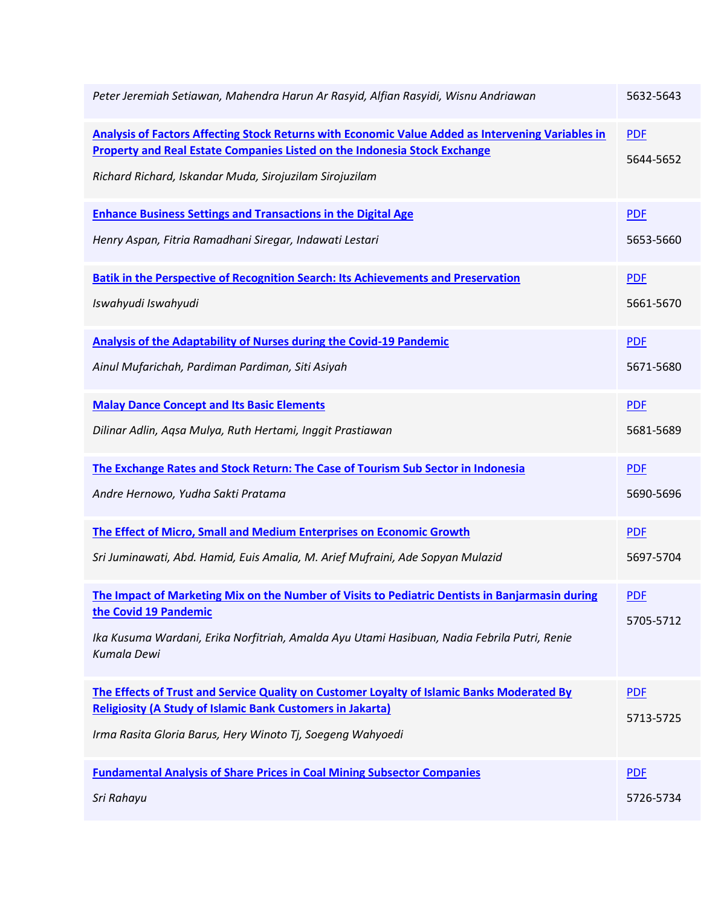| Peter Jeremiah Setiawan, Mahendra Harun Ar Rasyid, Alfian Rasyidi, Wisnu Andriawan                                                                                                                                                               | 5632-5643               |
|--------------------------------------------------------------------------------------------------------------------------------------------------------------------------------------------------------------------------------------------------|-------------------------|
| Analysis of Factors Affecting Stock Returns with Economic Value Added as Intervening Variables in<br><b>Property and Real Estate Companies Listed on the Indonesia Stock Exchange</b><br>Richard Richard, Iskandar Muda, Sirojuzilam Sirojuzilam | <b>PDF</b><br>5644-5652 |
| <b>Enhance Business Settings and Transactions in the Digital Age</b>                                                                                                                                                                             | <b>PDF</b>              |
| Henry Aspan, Fitria Ramadhani Siregar, Indawati Lestari                                                                                                                                                                                          | 5653-5660               |
| <b>Batik in the Perspective of Recognition Search: Its Achievements and Preservation</b>                                                                                                                                                         | <b>PDF</b>              |
| Iswahyudi Iswahyudi                                                                                                                                                                                                                              | 5661-5670               |
| <b>Analysis of the Adaptability of Nurses during the Covid-19 Pandemic</b>                                                                                                                                                                       | <b>PDF</b>              |
| Ainul Mufarichah, Pardiman Pardiman, Siti Asiyah                                                                                                                                                                                                 | 5671-5680               |
| <b>Malay Dance Concept and Its Basic Elements</b>                                                                                                                                                                                                | <b>PDF</b>              |
| Dilinar Adlin, Aqsa Mulya, Ruth Hertami, Inggit Prastiawan                                                                                                                                                                                       | 5681-5689               |
| The Exchange Rates and Stock Return: The Case of Tourism Sub Sector in Indonesia                                                                                                                                                                 | <b>PDF</b>              |
| Andre Hernowo, Yudha Sakti Pratama                                                                                                                                                                                                               | 5690-5696               |
| The Effect of Micro, Small and Medium Enterprises on Economic Growth                                                                                                                                                                             | <b>PDF</b>              |
| Sri Juminawati, Abd. Hamid, Euis Amalia, M. Arief Mufraini, Ade Sopyan Mulazid                                                                                                                                                                   | 5697-5704               |
| The Impact of Marketing Mix on the Number of Visits to Pediatric Dentists in Banjarmasin during<br>the Covid 19 Pandemic<br>Ika Kusuma Wardani, Erika Norfitriah, Amalda Ayu Utami Hasibuan, Nadia Febrila Putri, Renie<br>Kumala Dewi           | <b>PDF</b><br>5705-5712 |
| The Effects of Trust and Service Quality on Customer Loyalty of Islamic Banks Moderated By<br><b>Religiosity (A Study of Islamic Bank Customers in Jakarta)</b><br>Irma Rasita Gloria Barus, Hery Winoto Tj, Soegeng Wahyoedi                    | <b>PDF</b><br>5713-5725 |
| <b>Fundamental Analysis of Share Prices in Coal Mining Subsector Companies</b>                                                                                                                                                                   | <b>PDF</b>              |
| Sri Rahayu                                                                                                                                                                                                                                       | 5726-5734               |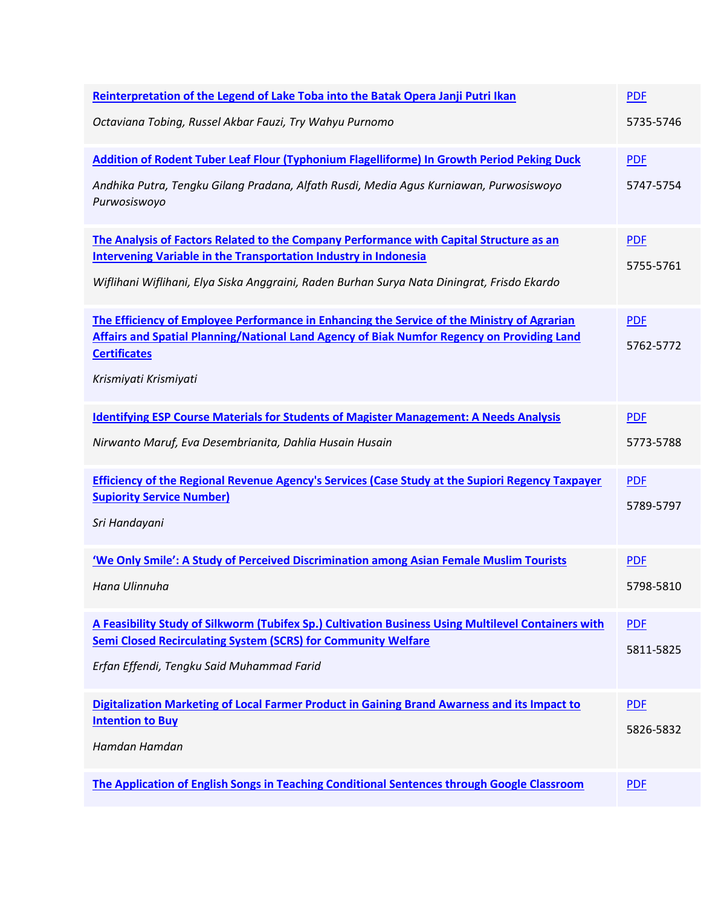| Reinterpretation of the Legend of Lake Toba into the Batak Opera Janji Putri Ikan                                                                                                                                | <b>PDF</b>              |
|------------------------------------------------------------------------------------------------------------------------------------------------------------------------------------------------------------------|-------------------------|
| Octaviana Tobing, Russel Akbar Fauzi, Try Wahyu Purnomo                                                                                                                                                          | 5735-5746               |
| Addition of Rodent Tuber Leaf Flour (Typhonium Flagelliforme) In Growth Period Peking Duck                                                                                                                       | <b>PDF</b>              |
| Andhika Putra, Tengku Gilang Pradana, Alfath Rusdi, Media Agus Kurniawan, Purwosiswoyo<br>Purwosiswoyo                                                                                                           | 5747-5754               |
| The Analysis of Factors Related to the Company Performance with Capital Structure as an                                                                                                                          | <b>PDF</b>              |
| <b>Intervening Variable in the Transportation Industry in Indonesia</b><br>Wiflihani Wiflihani, Elya Siska Anggraini, Raden Burhan Surya Nata Diningrat, Frisdo Ekardo                                           | 5755-5761               |
| The Efficiency of Employee Performance in Enhancing the Service of the Ministry of Agrarian<br>Affairs and Spatial Planning/National Land Agency of Biak Numfor Regency on Providing Land<br><b>Certificates</b> | <b>PDF</b><br>5762-5772 |
| Krismiyati Krismiyati                                                                                                                                                                                            |                         |
| <b>Identifying ESP Course Materials for Students of Magister Management: A Needs Analysis</b>                                                                                                                    | <b>PDF</b>              |
| Nirwanto Maruf, Eva Desembrianita, Dahlia Husain Husain                                                                                                                                                          | 5773-5788               |
| <b>Efficiency of the Regional Revenue Agency's Services (Case Study at the Supiori Regency Taxpayer</b>                                                                                                          | <b>PDF</b>              |
| <b>Supiority Service Number)</b><br>Sri Handayani                                                                                                                                                                | 5789-5797               |
| 'We Only Smile': A Study of Perceived Discrimination among Asian Female Muslim Tourists                                                                                                                          | <b>PDF</b>              |
| Hana Ulinnuha                                                                                                                                                                                                    | 5798-5810               |
| A Feasibility Study of Silkworm (Tubifex Sp.) Cultivation Business Using Multilevel Containers with                                                                                                              | <b>PDF</b>              |
| <b>Semi Closed Recirculating System (SCRS) for Community Welfare</b><br>Erfan Effendi, Tengku Said Muhammad Farid                                                                                                | 5811-5825               |
|                                                                                                                                                                                                                  |                         |
| Digitalization Marketing of Local Farmer Product in Gaining Brand Awarness and its Impact to<br><b>Intention to Buy</b>                                                                                          | <b>PDF</b>              |
| Hamdan Hamdan                                                                                                                                                                                                    | 5826-5832               |
| The Application of English Songs in Teaching Conditional Sentences through Google Classroom                                                                                                                      | <b>PDF</b>              |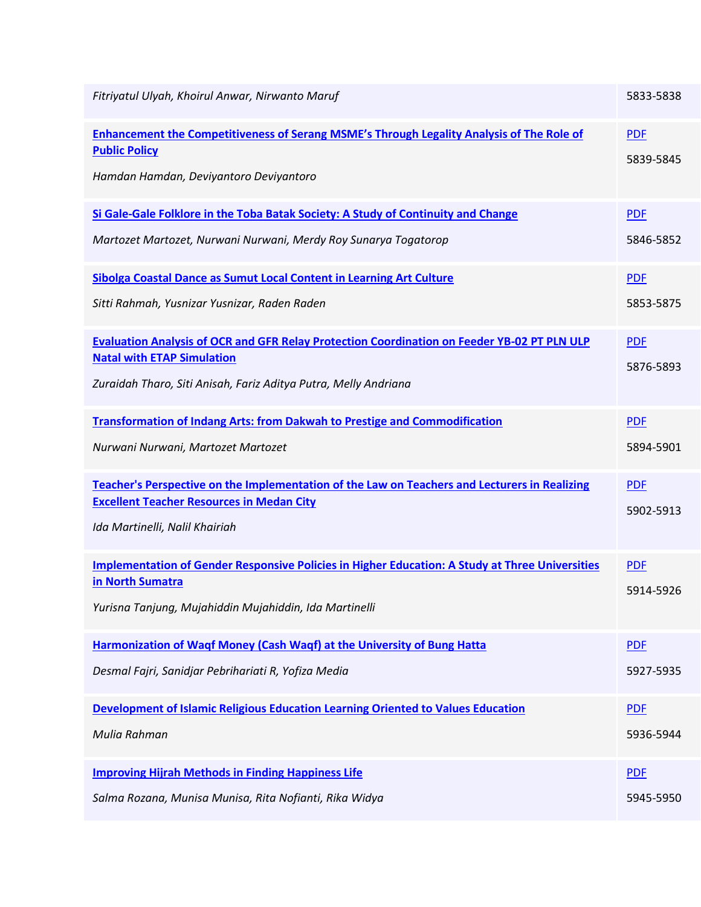| Fitriyatul Ulyah, Khoirul Anwar, Nirwanto Maruf                                                                                                                                                            | 5833-5838               |
|------------------------------------------------------------------------------------------------------------------------------------------------------------------------------------------------------------|-------------------------|
| <b>Enhancement the Competitiveness of Serang MSME's Through Legality Analysis of The Role of</b><br><b>Public Policy</b><br>Hamdan Hamdan, Deviyantoro Deviyantoro                                         | <b>PDF</b><br>5839-5845 |
| Si Gale-Gale Folklore in the Toba Batak Society: A Study of Continuity and Change                                                                                                                          | <b>PDF</b>              |
| Martozet Martozet, Nurwani Nurwani, Merdy Roy Sunarya Togatorop                                                                                                                                            | 5846-5852               |
| Sibolga Coastal Dance as Sumut Local Content in Learning Art Culture                                                                                                                                       | <b>PDF</b>              |
| Sitti Rahmah, Yusnizar Yusnizar, Raden Raden                                                                                                                                                               | 5853-5875               |
| <b>Evaluation Analysis of OCR and GFR Relay Protection Coordination on Feeder YB-02 PT PLN ULP</b><br><b>Natal with ETAP Simulation</b><br>Zuraidah Tharo, Siti Anisah, Fariz Aditya Putra, Melly Andriana | <b>PDF</b><br>5876-5893 |
| <b>Transformation of Indang Arts: from Dakwah to Prestige and Commodification</b>                                                                                                                          | <b>PDF</b>              |
| Nurwani Nurwani, Martozet Martozet                                                                                                                                                                         | 5894-5901               |
| Teacher's Perspective on the Implementation of the Law on Teachers and Lecturers in Realizing<br><b>Excellent Teacher Resources in Medan City</b><br>Ida Martinelli, Nalil Khairiah                        | <b>PDF</b><br>5902-5913 |
| <b>Implementation of Gender Responsive Policies in Higher Education: A Study at Three Universities</b><br>in North Sumatra<br>Yurisna Tanjung, Mujahiddin Mujahiddin, Ida Martinelli                       | <b>PDF</b><br>5914-5926 |
| Harmonization of Waqf Money (Cash Waqf) at the University of Bung Hatta                                                                                                                                    | <b>PDF</b>              |
| Desmal Fajri, Sanidjar Pebrihariati R, Yofiza Media                                                                                                                                                        | 5927-5935               |
| <b>Development of Islamic Religious Education Learning Oriented to Values Education</b>                                                                                                                    | <b>PDF</b>              |
| Mulia Rahman                                                                                                                                                                                               | 5936-5944               |
| <b>Improving Hijrah Methods in Finding Happiness Life</b>                                                                                                                                                  | <b>PDF</b>              |
| Salma Rozana, Munisa Munisa, Rita Nofianti, Rika Widya                                                                                                                                                     | 5945-5950               |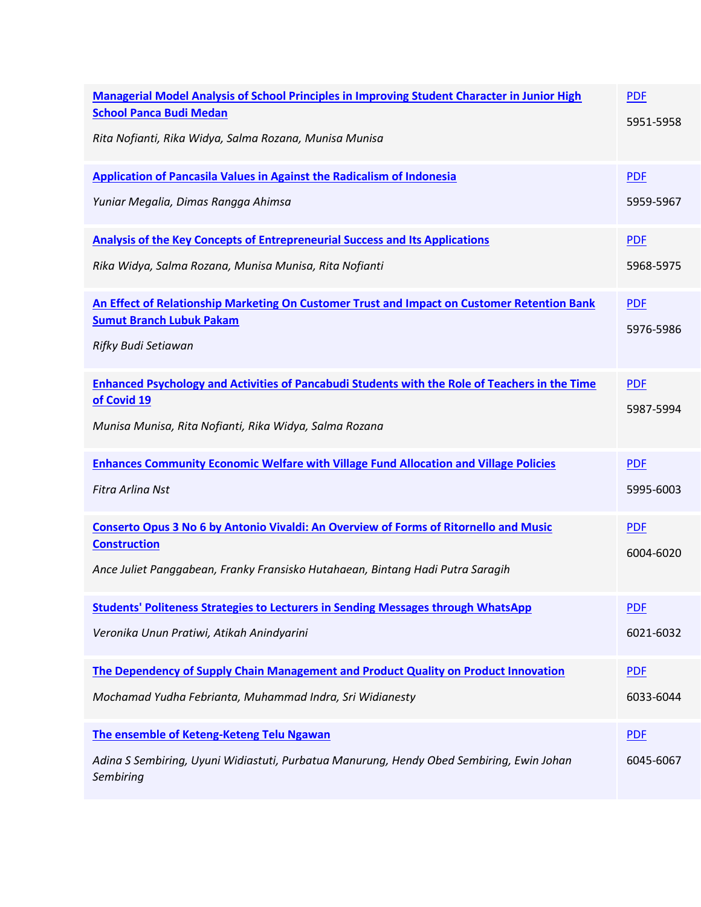| <b>Managerial Model Analysis of School Principles in Improving Student Character in Junior High</b><br><b>School Panca Budi Medan</b><br>Rita Nofianti, Rika Widya, Salma Rozana, Munisa Munisa | <b>PDF</b><br>5951-5958 |
|-------------------------------------------------------------------------------------------------------------------------------------------------------------------------------------------------|-------------------------|
| <b>Application of Pancasila Values in Against the Radicalism of Indonesia</b>                                                                                                                   | <b>PDF</b>              |
| Yuniar Megalia, Dimas Rangga Ahimsa                                                                                                                                                             | 5959-5967               |
| <b>Analysis of the Key Concepts of Entrepreneurial Success and Its Applications</b>                                                                                                             | <b>PDF</b>              |
| Rika Widya, Salma Rozana, Munisa Munisa, Rita Nofianti                                                                                                                                          | 5968-5975               |
| An Effect of Relationship Marketing On Customer Trust and Impact on Customer Retention Bank                                                                                                     | <b>PDF</b>              |
| <b>Sumut Branch Lubuk Pakam</b><br>Rifky Budi Setiawan                                                                                                                                          | 5976-5986               |
| <b>Enhanced Psychology and Activities of Pancabudi Students with the Role of Teachers in the Time</b><br>of Covid 19                                                                            | <b>PDF</b>              |
| Munisa Munisa, Rita Nofianti, Rika Widya, Salma Rozana                                                                                                                                          | 5987-5994               |
| <b>Enhances Community Economic Welfare with Village Fund Allocation and Village Policies</b>                                                                                                    | <b>PDF</b>              |
| Fitra Arlina Nst                                                                                                                                                                                | 5995-6003               |
| <b>Conserto Opus 3 No 6 by Antonio Vivaldi: An Overview of Forms of Ritornello and Music</b><br><b>Construction</b>                                                                             | <b>PDF</b>              |
| Ance Juliet Panggabean, Franky Fransisko Hutahaean, Bintang Hadi Putra Saragih                                                                                                                  | 6004-6020               |
| <b>Students' Politeness Strategies to Lecturers in Sending Messages through WhatsApp</b>                                                                                                        | <b>PDF</b>              |
| Veronika Unun Pratiwi, Atikah Anindyarini                                                                                                                                                       | 6021-6032               |
| The Dependency of Supply Chain Management and Product Quality on Product Innovation                                                                                                             | <b>PDF</b>              |
| Mochamad Yudha Febrianta, Muhammad Indra, Sri Widianesty                                                                                                                                        | 6033-6044               |
| The ensemble of Keteng-Keteng Telu Ngawan                                                                                                                                                       | <b>PDF</b>              |
| Adina S Sembiring, Uyuni Widiastuti, Purbatua Manurung, Hendy Obed Sembiring, Ewin Johan<br>Sembiring                                                                                           | 6045-6067               |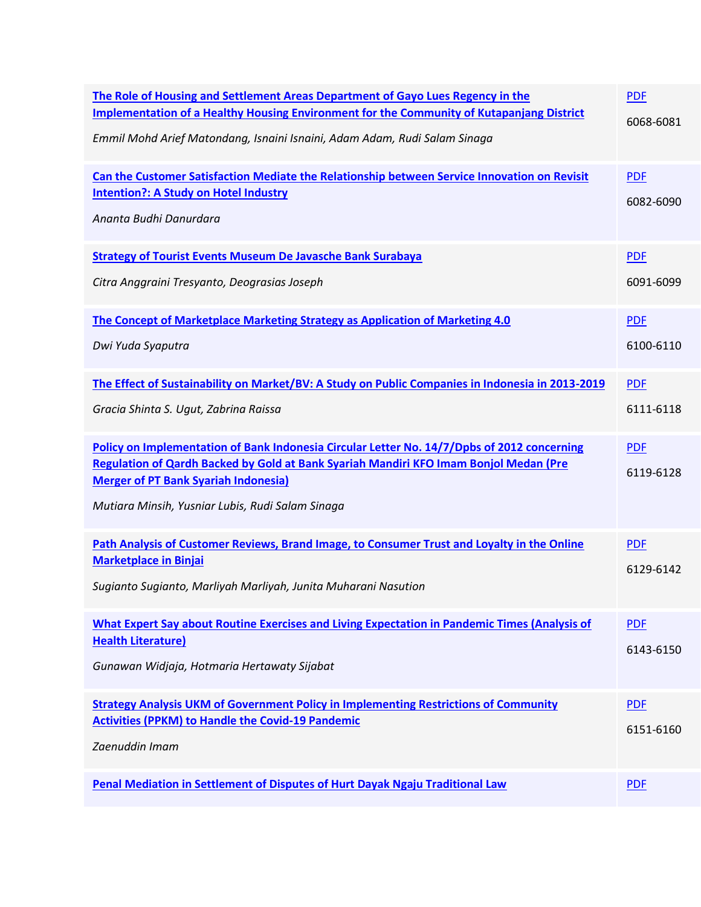| The Role of Housing and Settlement Areas Department of Gayo Lues Regency in the<br><b>Implementation of a Healthy Housing Environment for the Community of Kutapanjang District</b><br>Emmil Mohd Arief Matondang, Isnaini Isnaini, Adam Adam, Rudi Salam Sinaga                        | <b>PDF</b><br>6068-6081 |
|-----------------------------------------------------------------------------------------------------------------------------------------------------------------------------------------------------------------------------------------------------------------------------------------|-------------------------|
| Can the Customer Satisfaction Mediate the Relationship between Service Innovation on Revisit<br><b>Intention?: A Study on Hotel Industry</b><br>Ananta Budhi Danurdara                                                                                                                  | <b>PDF</b><br>6082-6090 |
| <b>Strategy of Tourist Events Museum De Javasche Bank Surabaya</b><br>Citra Anggraini Tresyanto, Deograsias Joseph                                                                                                                                                                      | <b>PDF</b><br>6091-6099 |
| The Concept of Marketplace Marketing Strategy as Application of Marketing 4.0<br>Dwi Yuda Syaputra                                                                                                                                                                                      | <b>PDF</b><br>6100-6110 |
| The Effect of Sustainability on Market/BV: A Study on Public Companies in Indonesia in 2013-2019<br>Gracia Shinta S. Ugut, Zabrina Raissa                                                                                                                                               | <b>PDF</b><br>6111-6118 |
| Policy on Implementation of Bank Indonesia Circular Letter No. 14/7/Dpbs of 2012 concerning<br>Regulation of Qardh Backed by Gold at Bank Syariah Mandiri KFO Imam Bonjol Medan (Pre<br><b>Merger of PT Bank Syariah Indonesia)</b><br>Mutiara Minsih, Yusniar Lubis, Rudi Salam Sinaga | <b>PDF</b><br>6119-6128 |
| Path Analysis of Customer Reviews, Brand Image, to Consumer Trust and Loyalty in the Online<br><b>Marketplace in Binjai</b><br>Sugianto Sugianto, Marliyah Marliyah, Junita Muharani Nasution                                                                                           | <b>PDF</b><br>6129-6142 |
| What Expert Say about Routine Exercises and Living Expectation in Pandemic Times (Analysis of<br><b>Health Literature)</b><br>Gunawan Widjaja, Hotmaria Hertawaty Sijabat                                                                                                               | <b>PDF</b><br>6143-6150 |
| <b>Strategy Analysis UKM of Government Policy in Implementing Restrictions of Community</b><br><b>Activities (PPKM) to Handle the Covid-19 Pandemic</b><br>Zaenuddin Imam                                                                                                               | <b>PDF</b><br>6151-6160 |
| Penal Mediation in Settlement of Disputes of Hurt Dayak Ngaju Traditional Law                                                                                                                                                                                                           | <b>PDF</b>              |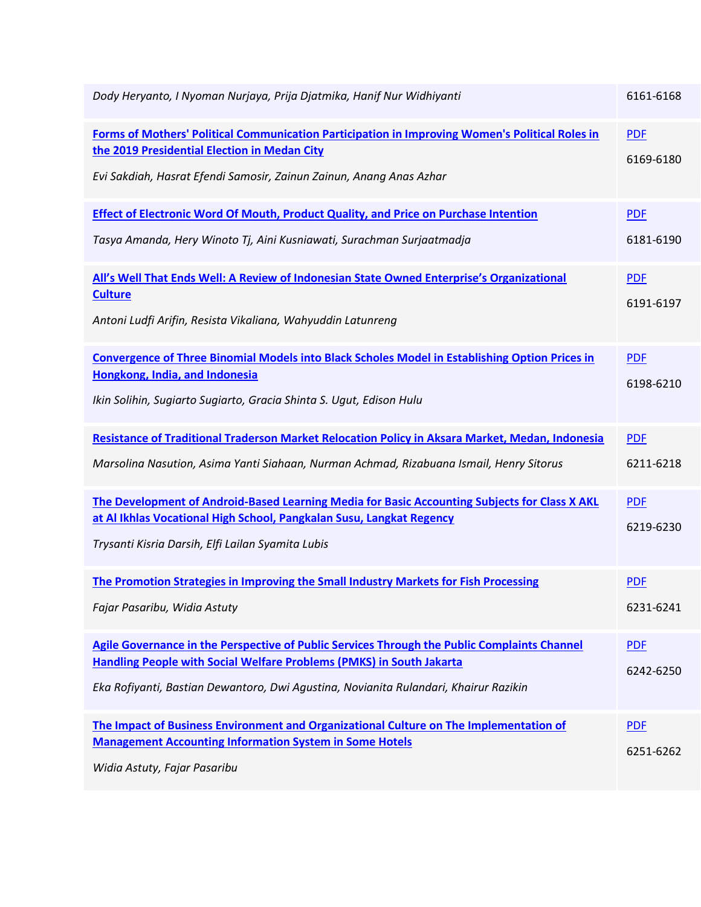| Dody Heryanto, I Nyoman Nurjaya, Prija Djatmika, Hanif Nur Widhiyanti                                                                                                                                                                                               | 6161-6168               |
|---------------------------------------------------------------------------------------------------------------------------------------------------------------------------------------------------------------------------------------------------------------------|-------------------------|
| Forms of Mothers' Political Communication Participation in Improving Women's Political Roles in<br>the 2019 Presidential Election in Medan City<br>Evi Sakdiah, Hasrat Efendi Samosir, Zainun Zainun, Anang Anas Azhar                                              | <b>PDF</b><br>6169-6180 |
| <b>Effect of Electronic Word Of Mouth, Product Quality, and Price on Purchase Intention</b><br>Tasya Amanda, Hery Winoto Tj, Aini Kusniawati, Surachman Surjaatmadja                                                                                                | <b>PDF</b><br>6181-6190 |
| All's Well That Ends Well: A Review of Indonesian State Owned Enterprise's Organizational<br><b>Culture</b><br>Antoni Ludfi Arifin, Resista Vikaliana, Wahyuddin Latunreng                                                                                          | <b>PDF</b><br>6191-6197 |
| <b>Convergence of Three Binomial Models into Black Scholes Model in Establishing Option Prices in</b><br>Hongkong, India, and Indonesia<br>Ikin Solihin, Sugiarto Sugiarto, Gracia Shinta S. Ugut, Edison Hulu                                                      | <b>PDF</b><br>6198-6210 |
| Resistance of Traditional Traderson Market Relocation Policy in Aksara Market, Medan, Indonesia<br>Marsolina Nasution, Asima Yanti Siahaan, Nurman Achmad, Rizabuana Ismail, Henry Sitorus                                                                          | <b>PDF</b><br>6211-6218 |
| The Development of Android-Based Learning Media for Basic Accounting Subjects for Class X AKL<br>at Al Ikhlas Vocational High School, Pangkalan Susu, Langkat Regency<br>Trysanti Kisria Darsih, Elfi Lailan Syamita Lubis                                          | <b>PDF</b><br>6219-6230 |
| The Promotion Strategies in Improving the Small Industry Markets for Fish Processing<br>Fajar Pasaribu, Widia Astuty                                                                                                                                                | <b>PDF</b><br>6231-6241 |
| Agile Governance in the Perspective of Public Services Through the Public Complaints Channel<br><b>Handling People with Social Welfare Problems (PMKS) in South Jakarta</b><br>Eka Rofiyanti, Bastian Dewantoro, Dwi Agustina, Novianita Rulandari, Khairur Razikin | <b>PDF</b><br>6242-6250 |
| The Impact of Business Environment and Organizational Culture on The Implementation of<br><b>Management Accounting Information System in Some Hotels</b><br>Widia Astuty, Fajar Pasaribu                                                                            | <b>PDF</b><br>6251-6262 |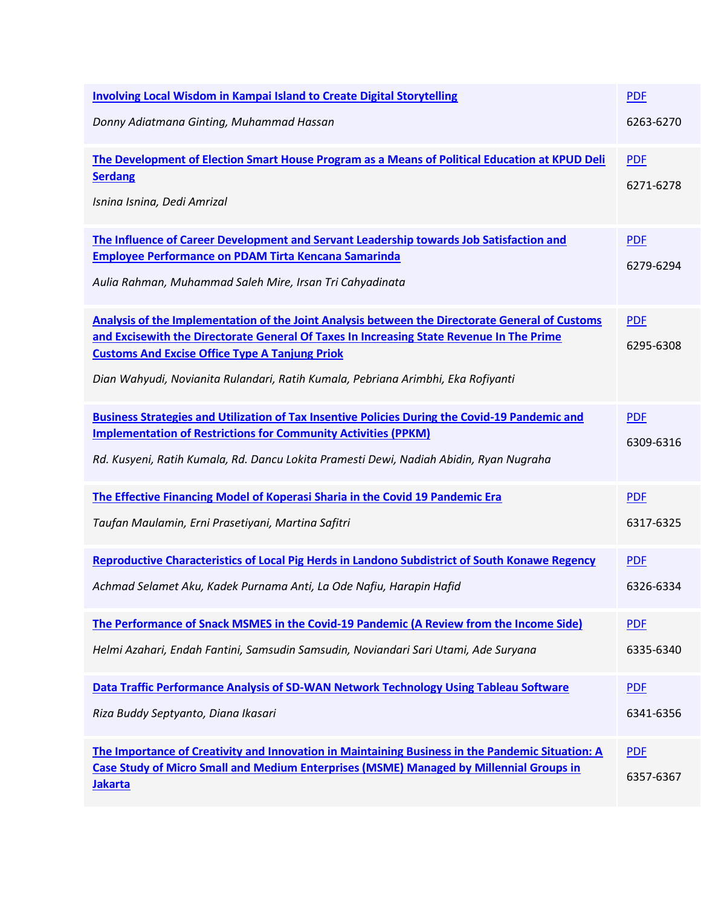| <b>Involving Local Wisdom in Kampai Island to Create Digital Storytelling</b>                                                                                                                                                                                                                                                            | <b>PDF</b>              |
|------------------------------------------------------------------------------------------------------------------------------------------------------------------------------------------------------------------------------------------------------------------------------------------------------------------------------------------|-------------------------|
| Donny Adiatmana Ginting, Muhammad Hassan                                                                                                                                                                                                                                                                                                 | 6263-6270               |
| The Development of Election Smart House Program as a Means of Political Education at KPUD Deli<br><b>Serdang</b><br>Isnina Isnina, Dedi Amrizal                                                                                                                                                                                          | <b>PDF</b><br>6271-6278 |
| The Influence of Career Development and Servant Leadership towards Job Satisfaction and<br><b>Employee Performance on PDAM Tirta Kencana Samarinda</b><br>Aulia Rahman, Muhammad Saleh Mire, Irsan Tri Cahyadinata                                                                                                                       | <b>PDF</b><br>6279-6294 |
| Analysis of the Implementation of the Joint Analysis between the Directorate General of Customs<br>and Excisewith the Directorate General Of Taxes In Increasing State Revenue In The Prime<br><b>Customs And Excise Office Type A Tanjung Priok</b><br>Dian Wahyudi, Novianita Rulandari, Ratih Kumala, Pebriana Arimbhi, Eka Rofiyanti | <b>PDF</b><br>6295-6308 |
| <b>Business Strategies and Utilization of Tax Insentive Policies During the Covid-19 Pandemic and</b><br><b>Implementation of Restrictions for Community Activities (PPKM)</b><br>Rd. Kusyeni, Ratih Kumala, Rd. Dancu Lokita Pramesti Dewi, Nadiah Abidin, Ryan Nugraha                                                                 | <b>PDF</b><br>6309-6316 |
| The Effective Financing Model of Koperasi Sharia in the Covid 19 Pandemic Era<br>Taufan Maulamin, Erni Prasetiyani, Martina Safitri                                                                                                                                                                                                      | <b>PDF</b><br>6317-6325 |
| Reproductive Characteristics of Local Pig Herds in Landono Subdistrict of South Konawe Regency<br>Achmad Selamet Aku, Kadek Purnama Anti, La Ode Nafiu, Harapin Hafid                                                                                                                                                                    | <b>PDF</b><br>6326-6334 |
| The Performance of Snack MSMES in the Covid-19 Pandemic (A Review from the Income Side)<br>Helmi Azahari, Endah Fantini, Samsudin Samsudin, Noviandari Sari Utami, Ade Suryana                                                                                                                                                           | <b>PDF</b><br>6335-6340 |
| Data Traffic Performance Analysis of SD-WAN Network Technology Using Tableau Software<br>Riza Buddy Septyanto, Diana Ikasari                                                                                                                                                                                                             | <b>PDF</b><br>6341-6356 |
| The Importance of Creativity and Innovation in Maintaining Business in the Pandemic Situation: A<br><b>Case Study of Micro Small and Medium Enterprises (MSME) Managed by Millennial Groups in</b><br><b>Jakarta</b>                                                                                                                     | <b>PDF</b><br>6357-6367 |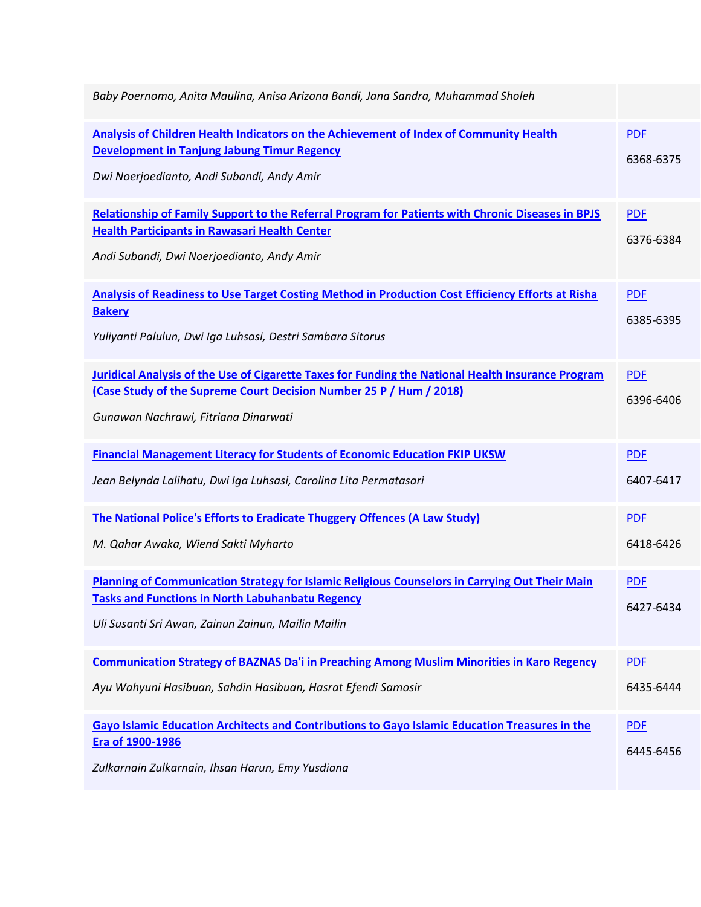| Baby Poernomo, Anita Maulina, Anisa Arizona Bandi, Jana Sandra, Muhammad Sholeh                                                                                                                                   |                         |
|-------------------------------------------------------------------------------------------------------------------------------------------------------------------------------------------------------------------|-------------------------|
| <b>Analysis of Children Health Indicators on the Achievement of Index of Community Health</b><br><b>Development in Tanjung Jabung Timur Regency</b><br>Dwi Noerjoedianto, Andi Subandi, Andy Amir                 | <b>PDF</b><br>6368-6375 |
| <b>Relationship of Family Support to the Referral Program for Patients with Chronic Diseases in BPJS</b><br><b>Health Participants in Rawasari Health Center</b><br>Andi Subandi, Dwi Noerjoedianto, Andy Amir    | <b>PDF</b><br>6376-6384 |
| <b>Analysis of Readiness to Use Target Costing Method in Production Cost Efficiency Efforts at Risha</b><br><b>Bakery</b><br>Yuliyanti Palulun, Dwi Iga Luhsasi, Destri Sambara Sitorus                           | <b>PDF</b><br>6385-6395 |
| Juridical Analysis of the Use of Cigarette Taxes for Funding the National Health Insurance Program<br>(Case Study of the Supreme Court Decision Number 25 P / Hum / 2018)<br>Gunawan Nachrawi, Fitriana Dinarwati | <b>PDF</b><br>6396-6406 |
| <b>Financial Management Literacy for Students of Economic Education FKIP UKSW</b><br>Jean Belynda Lalihatu, Dwi Iga Luhsasi, Carolina Lita Permatasari                                                            | <b>PDF</b><br>6407-6417 |
| The National Police's Efforts to Eradicate Thuggery Offences (A Law Study)<br>M. Qahar Awaka, Wiend Sakti Myharto                                                                                                 | <b>PDF</b><br>6418-6426 |
| Planning of Communication Strategy for Islamic Religious Counselors in Carrying Out Their Main<br><b>Tasks and Functions in North Labuhanbatu Regency</b><br>Uli Susanti Sri Awan, Zainun Zainun, Mailin Mailin   | <b>PDF</b><br>6427-6434 |
| <b>Communication Strategy of BAZNAS Da'i in Preaching Among Muslim Minorities in Karo Regency</b><br>Ayu Wahyuni Hasibuan, Sahdin Hasibuan, Hasrat Efendi Samosir                                                 | <b>PDF</b><br>6435-6444 |
| Gayo Islamic Education Architects and Contributions to Gayo Islamic Education Treasures in the<br>Era of 1900-1986<br>Zulkarnain Zulkarnain, Ihsan Harun, Emy Yusdiana                                            | <b>PDF</b><br>6445-6456 |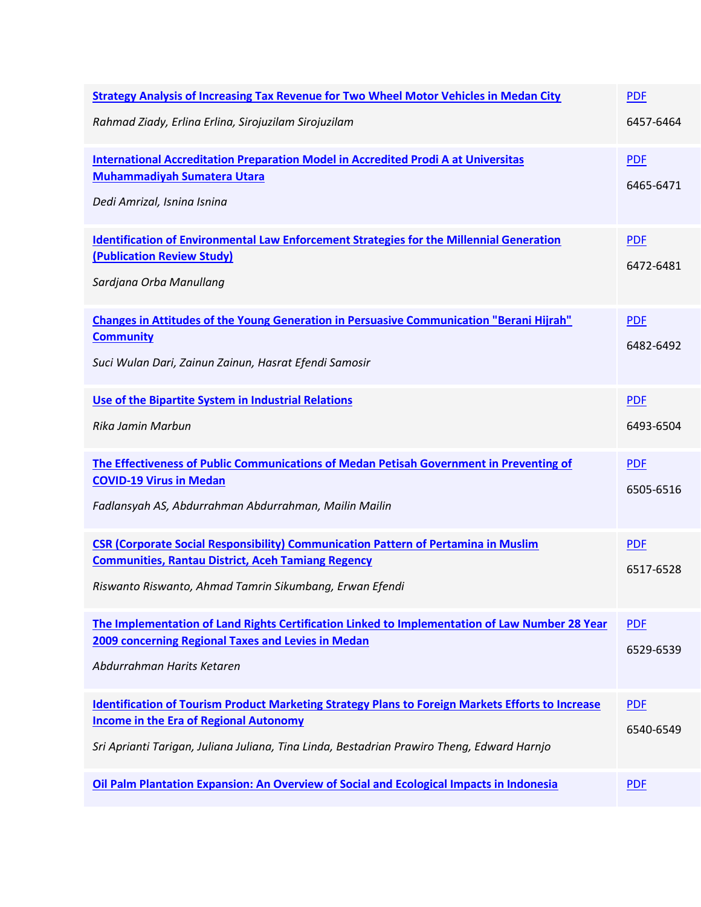| <b>Strategy Analysis of Increasing Tax Revenue for Two Wheel Motor Vehicles in Medan City</b><br>Rahmad Ziady, Erlina Erlina, Sirojuzilam Sirojuzilam                                                                                                   | <b>PDF</b><br>6457-6464 |
|---------------------------------------------------------------------------------------------------------------------------------------------------------------------------------------------------------------------------------------------------------|-------------------------|
| <b>International Accreditation Preparation Model in Accredited Prodi A at Universitas</b><br><b>Muhammadiyah Sumatera Utara</b><br>Dedi Amrizal, Isnina Isnina                                                                                          | <b>PDF</b><br>6465-6471 |
| <b>Identification of Environmental Law Enforcement Strategies for the Millennial Generation</b><br>(Publication Review Study)<br>Sardjana Orba Manullang                                                                                                | <b>PDF</b><br>6472-6481 |
| <b>Changes in Attitudes of the Young Generation in Persuasive Communication "Berani Hijrah"</b><br><b>Community</b><br>Suci Wulan Dari, Zainun Zainun, Hasrat Efendi Samosir                                                                            | <b>PDF</b><br>6482-6492 |
| Use of the Bipartite System in Industrial Relations<br>Rika Jamin Marbun                                                                                                                                                                                | <b>PDF</b><br>6493-6504 |
| The Effectiveness of Public Communications of Medan Petisah Government in Preventing of<br><b>COVID-19 Virus in Medan</b><br>Fadlansyah AS, Abdurrahman Abdurrahman, Mailin Mailin                                                                      | <b>PDF</b><br>6505-6516 |
| <b>CSR (Corporate Social Responsibility) Communication Pattern of Pertamina in Muslim</b><br><b>Communities, Rantau District, Aceh Tamiang Regency</b><br>Riswanto Riswanto, Ahmad Tamrin Sikumbang, Erwan Efendi                                       | <b>PDF</b><br>6517-6528 |
| The Implementation of Land Rights Certification Linked to Implementation of Law Number 28 Year<br>2009 concerning Regional Taxes and Levies in Medan<br>Abdurrahman Harits Ketaren                                                                      | <b>PDF</b><br>6529-6539 |
| <b>Identification of Tourism Product Marketing Strategy Plans to Foreign Markets Efforts to Increase</b><br><b>Income in the Era of Regional Autonomy</b><br>Sri Aprianti Tarigan, Juliana Juliana, Tina Linda, Bestadrian Prawiro Theng, Edward Harnjo | <b>PDF</b><br>6540-6549 |
| Oil Palm Plantation Expansion: An Overview of Social and Ecological Impacts in Indonesia                                                                                                                                                                | <b>PDF</b>              |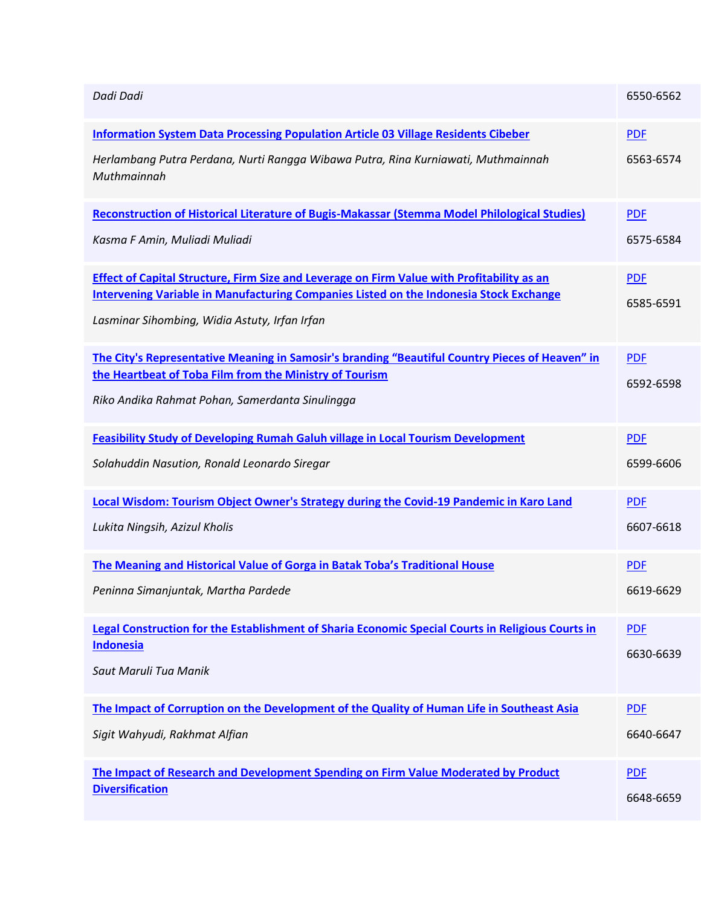| Dadi Dadi                                                                                                                                                                                          | 6550-6562  |
|----------------------------------------------------------------------------------------------------------------------------------------------------------------------------------------------------|------------|
| <b>Information System Data Processing Population Article 03 Village Residents Cibeber</b>                                                                                                          | <b>PDF</b> |
| Herlambang Putra Perdana, Nurti Rangga Wibawa Putra, Rina Kurniawati, Muthmainnah<br>Muthmainnah                                                                                                   | 6563-6574  |
| Reconstruction of Historical Literature of Bugis-Makassar (Stemma Model Philological Studies)                                                                                                      | <b>PDF</b> |
| Kasma F Amin, Muliadi Muliadi                                                                                                                                                                      | 6575-6584  |
| <b>Effect of Capital Structure, Firm Size and Leverage on Firm Value with Profitability as an</b><br><b>Intervening Variable in Manufacturing Companies Listed on the Indonesia Stock Exchange</b> | <b>PDF</b> |
| Lasminar Sihombing, Widia Astuty, Irfan Irfan                                                                                                                                                      | 6585-6591  |
| The City's Representative Meaning in Samosir's branding "Beautiful Country Pieces of Heaven" in<br>the Heartbeat of Toba Film from the Ministry of Tourism                                         | <b>PDF</b> |
| Riko Andika Rahmat Pohan, Samerdanta Sinulingga                                                                                                                                                    | 6592-6598  |
|                                                                                                                                                                                                    |            |
| <b>Feasibility Study of Developing Rumah Galuh village in Local Tourism Development</b>                                                                                                            | <b>PDF</b> |
| Solahuddin Nasution, Ronald Leonardo Siregar                                                                                                                                                       | 6599-6606  |
| Local Wisdom: Tourism Object Owner's Strategy during the Covid-19 Pandemic in Karo Land                                                                                                            | <b>PDF</b> |
| Lukita Ningsih, Azizul Kholis                                                                                                                                                                      | 6607-6618  |
| The Meaning and Historical Value of Gorga in Batak Toba's Traditional House                                                                                                                        | <b>PDF</b> |
| Peninna Simanjuntak, Martha Pardede                                                                                                                                                                | 6619-6629  |
| Legal Construction for the Establishment of Sharia Economic Special Courts in Religious Courts in<br><b>Indonesia</b>                                                                              | <b>PDF</b> |
| Saut Maruli Tua Manik                                                                                                                                                                              | 6630-6639  |
|                                                                                                                                                                                                    |            |
| The Impact of Corruption on the Development of the Quality of Human Life in Southeast Asia                                                                                                         | <b>PDF</b> |
| Sigit Wahyudi, Rakhmat Alfian                                                                                                                                                                      | 6640-6647  |
| The Impact of Research and Development Spending on Firm Value Moderated by Product<br><b>Diversification</b>                                                                                       | <b>PDF</b> |
|                                                                                                                                                                                                    | 6648-6659  |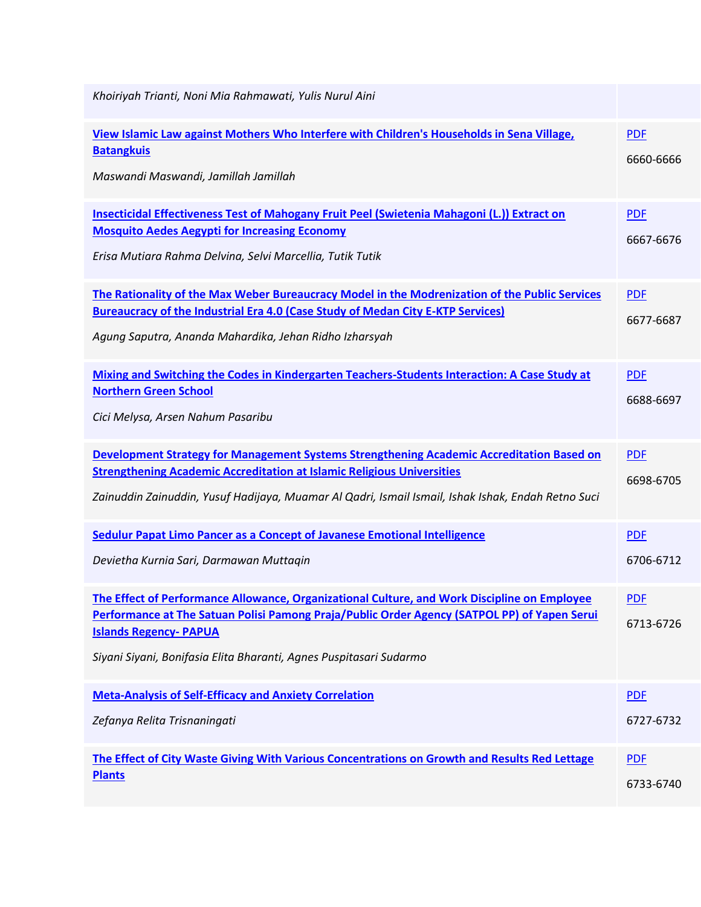| Khoiriyah Trianti, Noni Mia Rahmawati, Yulis Nurul Aini                                                                                                                                                                                                                                             |                         |
|-----------------------------------------------------------------------------------------------------------------------------------------------------------------------------------------------------------------------------------------------------------------------------------------------------|-------------------------|
| View Islamic Law against Mothers Who Interfere with Children's Households in Sena Village,<br><b>Batangkuis</b><br>Maswandi Maswandi, Jamillah Jamillah                                                                                                                                             | <b>PDF</b><br>6660-6666 |
| Insecticidal Effectiveness Test of Mahogany Fruit Peel (Swietenia Mahagoni (L.)) Extract on<br><b>Mosquito Aedes Aegypti for Increasing Economy</b><br>Erisa Mutiara Rahma Delvina, Selvi Marcellia, Tutik Tutik                                                                                    | <b>PDF</b><br>6667-6676 |
| The Rationality of the Max Weber Bureaucracy Model in the Modrenization of the Public Services<br>Bureaucracy of the Industrial Era 4.0 (Case Study of Medan City E-KTP Services)<br>Agung Saputra, Ananda Mahardika, Jehan Ridho Izharsyah                                                         | <b>PDF</b><br>6677-6687 |
| Mixing and Switching the Codes in Kindergarten Teachers-Students Interaction: A Case Study at<br><b>Northern Green School</b><br>Cici Melysa, Arsen Nahum Pasaribu                                                                                                                                  | <b>PDF</b><br>6688-6697 |
|                                                                                                                                                                                                                                                                                                     |                         |
| Development Strategy for Management Systems Strengthening Academic Accreditation Based on<br><b>Strengthening Academic Accreditation at Islamic Religious Universities</b><br>Zainuddin Zainuddin, Yusuf Hadijaya, Muamar Al Qadri, Ismail Ismail, Ishak Ishak, Endah Retno Suci                    | <b>PDF</b><br>6698-6705 |
| Sedulur Papat Limo Pancer as a Concept of Javanese Emotional Intelligence<br>Devietha Kurnia Sari, Darmawan Muttaqin                                                                                                                                                                                | <b>PDF</b><br>6706-6712 |
| The Effect of Performance Allowance, Organizational Culture, and Work Discipline on Employee<br>Performance at The Satuan Polisi Pamong Praja/Public Order Agency (SATPOL PP) of Yapen Serui<br><b>Islands Regency- PAPUA</b><br>Siyani Siyani, Bonifasia Elita Bharanti, Agnes Puspitasari Sudarmo | <b>PDF</b><br>6713-6726 |
| <b>Meta-Analysis of Self-Efficacy and Anxiety Correlation</b><br>Zefanya Relita Trisnaningati                                                                                                                                                                                                       | <b>PDF</b><br>6727-6732 |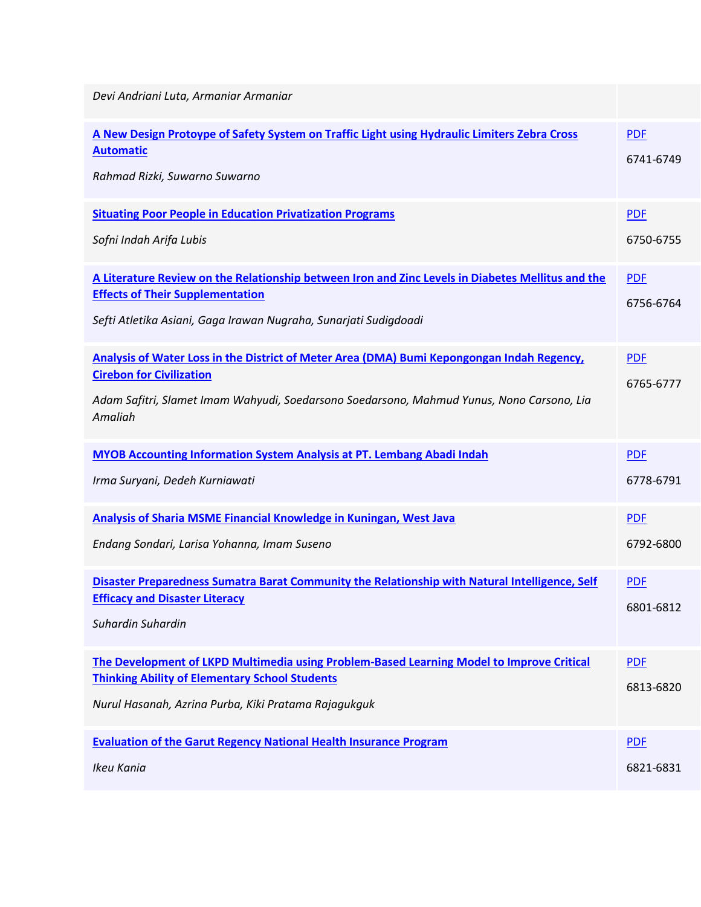| Devi Andriani Luta, Armaniar Armaniar                                                                                                                                                                                                 |                         |
|---------------------------------------------------------------------------------------------------------------------------------------------------------------------------------------------------------------------------------------|-------------------------|
| A New Design Protoype of Safety System on Traffic Light using Hydraulic Limiters Zebra Cross<br><b>Automatic</b><br>Rahmad Rizki, Suwarno Suwarno                                                                                     | <b>PDF</b><br>6741-6749 |
| <b>Situating Poor People in Education Privatization Programs</b><br>Sofni Indah Arifa Lubis                                                                                                                                           | <b>PDF</b><br>6750-6755 |
| A Literature Review on the Relationship between Iron and Zinc Levels in Diabetes Mellitus and the<br><b>Effects of Their Supplementation</b><br>Sefti Atletika Asiani, Gaga Irawan Nugraha, Sunarjati Sudigdoadi                      | <b>PDF</b><br>6756-6764 |
| Analysis of Water Loss in the District of Meter Area (DMA) Bumi Kepongongan Indah Regency,<br><b>Cirebon for Civilization</b><br>Adam Safitri, Slamet Imam Wahyudi, Soedarsono Soedarsono, Mahmud Yunus, Nono Carsono, Lia<br>Amaliah | <b>PDF</b><br>6765-6777 |
| <b>MYOB Accounting Information System Analysis at PT. Lembang Abadi Indah</b><br>Irma Suryani, Dedeh Kurniawati                                                                                                                       | <b>PDF</b><br>6778-6791 |
| <b>Analysis of Sharia MSME Financial Knowledge in Kuningan, West Java</b><br>Endang Sondari, Larisa Yohanna, Imam Suseno                                                                                                              | <b>PDF</b><br>6792-6800 |
| Disaster Preparedness Sumatra Barat Community the Relationship with Natural Intelligence, Self<br><b>Efficacy and Disaster Literacy</b><br>Suhardin Suhardin                                                                          | <b>PDF</b><br>6801-6812 |
| The Development of LKPD Multimedia using Problem-Based Learning Model to Improve Critical<br><b>Thinking Ability of Elementary School Students</b><br>Nurul Hasanah, Azrina Purba, Kiki Pratama Rajagukguk                            | <b>PDF</b><br>6813-6820 |
| <b>Evaluation of the Garut Regency National Health Insurance Program</b><br>Ikeu Kania                                                                                                                                                | <b>PDF</b><br>6821-6831 |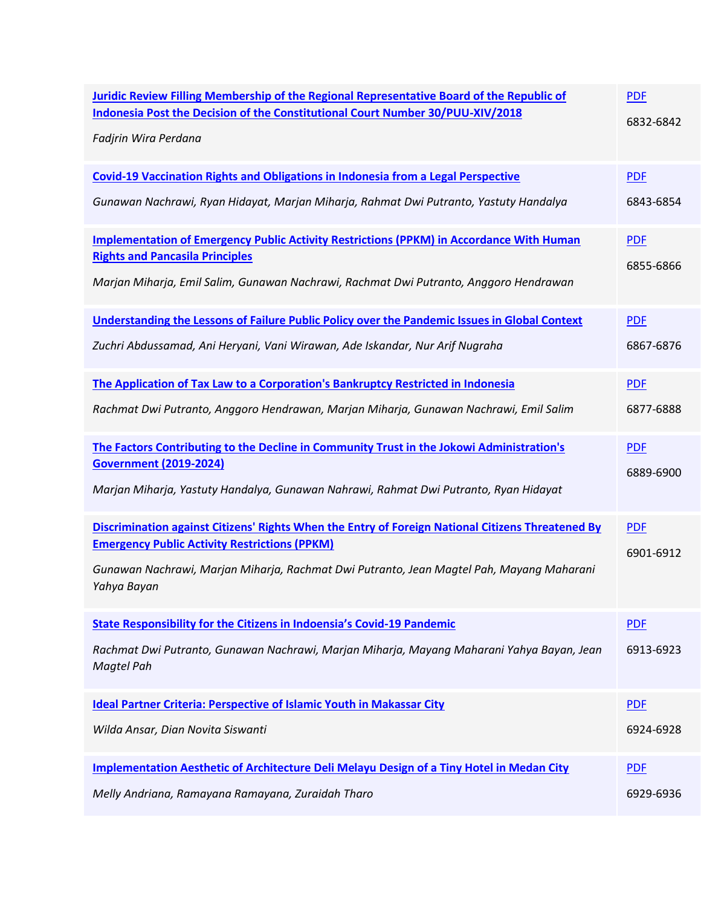| Juridic Review Filling Membership of the Regional Representative Board of the Republic of<br>Indonesia Post the Decision of the Constitutional Court Number 30/PUU-XIV/2018<br>Fadjrin Wira Perdana | <b>PDF</b><br>6832-6842 |
|-----------------------------------------------------------------------------------------------------------------------------------------------------------------------------------------------------|-------------------------|
| <b>Covid-19 Vaccination Rights and Obligations in Indonesia from a Legal Perspective</b>                                                                                                            | <b>PDF</b>              |
| Gunawan Nachrawi, Ryan Hidayat, Marjan Miharja, Rahmat Dwi Putranto, Yastuty Handalya                                                                                                               | 6843-6854               |
| Implementation of Emergency Public Activity Restrictions (PPKM) in Accordance With Human<br><b>Rights and Pancasila Principles</b>                                                                  | <b>PDF</b><br>6855-6866 |
| Marjan Miharja, Emil Salim, Gunawan Nachrawi, Rachmat Dwi Putranto, Anggoro Hendrawan                                                                                                               |                         |
| Understanding the Lessons of Failure Public Policy over the Pandemic Issues in Global Context                                                                                                       | <b>PDF</b>              |
| Zuchri Abdussamad, Ani Heryani, Vani Wirawan, Ade Iskandar, Nur Arif Nugraha                                                                                                                        | 6867-6876               |
| The Application of Tax Law to a Corporation's Bankruptcy Restricted in Indonesia                                                                                                                    | <b>PDF</b>              |
| Rachmat Dwi Putranto, Anggoro Hendrawan, Marjan Miharja, Gunawan Nachrawi, Emil Salim                                                                                                               | 6877-6888               |
| The Factors Contributing to the Decline in Community Trust in the Jokowi Administration's<br><b>Government (2019-2024)</b>                                                                          | <b>PDF</b>              |
| Marjan Miharja, Yastuty Handalya, Gunawan Nahrawi, Rahmat Dwi Putranto, Ryan Hidayat                                                                                                                | 6889-6900               |
| Discrimination against Citizens' Rights When the Entry of Foreign National Citizens Threatened By                                                                                                   | <b>PDF</b>              |
| <b>Emergency Public Activity Restrictions (PPKM)</b><br>Gunawan Nachrawi, Marjan Miharja, Rachmat Dwi Putranto, Jean Magtel Pah, Mayang Maharani<br>Yahya Bayan                                     | 6901-6912               |
| <b>State Responsibility for the Citizens in Indoensia's Covid-19 Pandemic</b>                                                                                                                       | <b>PDF</b>              |
| Rachmat Dwi Putranto, Gunawan Nachrawi, Marjan Miharja, Mayang Maharani Yahya Bayan, Jean<br>Magtel Pah                                                                                             | 6913-6923               |
| <b>Ideal Partner Criteria: Perspective of Islamic Youth in Makassar City</b>                                                                                                                        | <b>PDF</b>              |
| Wilda Ansar, Dian Novita Siswanti                                                                                                                                                                   | 6924-6928               |
| <b>Implementation Aesthetic of Architecture Deli Melayu Design of a Tiny Hotel in Medan City</b>                                                                                                    | <b>PDF</b>              |
| Melly Andriana, Ramayana Ramayana, Zuraidah Tharo                                                                                                                                                   | 6929-6936               |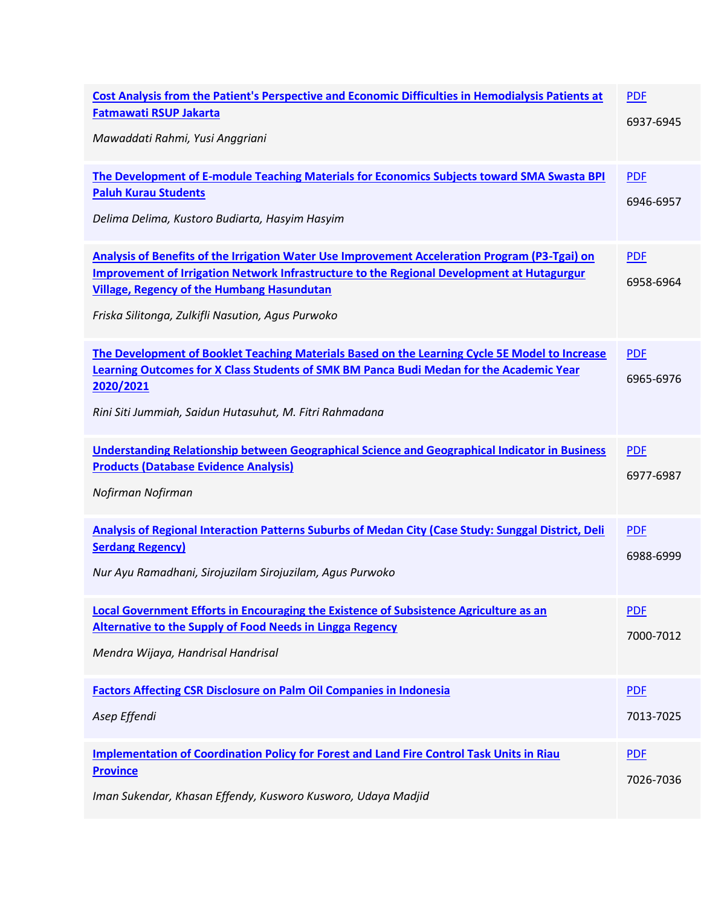| Cost Analysis from the Patient's Perspective and Economic Difficulties in Hemodialysis Patients at<br><b>Fatmawati RSUP Jakarta</b><br>Mawaddati Rahmi, Yusi Anggriani                                                                                                                                 | <b>PDF</b><br>6937-6945 |
|--------------------------------------------------------------------------------------------------------------------------------------------------------------------------------------------------------------------------------------------------------------------------------------------------------|-------------------------|
| The Development of E-module Teaching Materials for Economics Subjects toward SMA Swasta BPI<br><b>Paluh Kurau Students</b><br>Delima Delima, Kustoro Budiarta, Hasyim Hasyim                                                                                                                           | <b>PDF</b><br>6946-6957 |
| Analysis of Benefits of the Irrigation Water Use Improvement Acceleration Program (P3-Tgai) on<br>Improvement of Irrigation Network Infrastructure to the Regional Development at Hutagurgur<br><b>Village, Regency of the Humbang Hasundutan</b><br>Friska Silitonga, Zulkifli Nasution, Agus Purwoko | <b>PDF</b><br>6958-6964 |
| The Development of Booklet Teaching Materials Based on the Learning Cycle 5E Model to Increase<br><b>Learning Outcomes for X Class Students of SMK BM Panca Budi Medan for the Academic Year</b><br>2020/2021<br>Rini Siti Jummiah, Saidun Hutasuhut, M. Fitri Rahmadana                               | <b>PDF</b><br>6965-6976 |
| Understanding Relationship between Geographical Science and Geographical Indicator in Business<br><b>Products (Database Evidence Analysis)</b><br>Nofirman Nofirman                                                                                                                                    | <b>PDF</b><br>6977-6987 |
| Analysis of Regional Interaction Patterns Suburbs of Medan City (Case Study: Sunggal District, Deli<br><b>Serdang Regency)</b><br>Nur Ayu Ramadhani, Sirojuzilam Sirojuzilam, Agus Purwoko                                                                                                             | <b>PDF</b><br>6988-6999 |
| Local Government Efforts in Encouraging the Existence of Subsistence Agriculture as an<br><b>Alternative to the Supply of Food Needs in Lingga Regency</b><br>Mendra Wijaya, Handrisal Handrisal                                                                                                       | <b>PDF</b><br>7000-7012 |
| <b>Factors Affecting CSR Disclosure on Palm Oil Companies in Indonesia</b><br>Asep Effendi                                                                                                                                                                                                             | <b>PDF</b><br>7013-7025 |
| <b>Implementation of Coordination Policy for Forest and Land Fire Control Task Units in Riau</b><br><b>Province</b><br>Iman Sukendar, Khasan Effendy, Kusworo Kusworo, Udaya Madjid                                                                                                                    | <b>PDF</b><br>7026-7036 |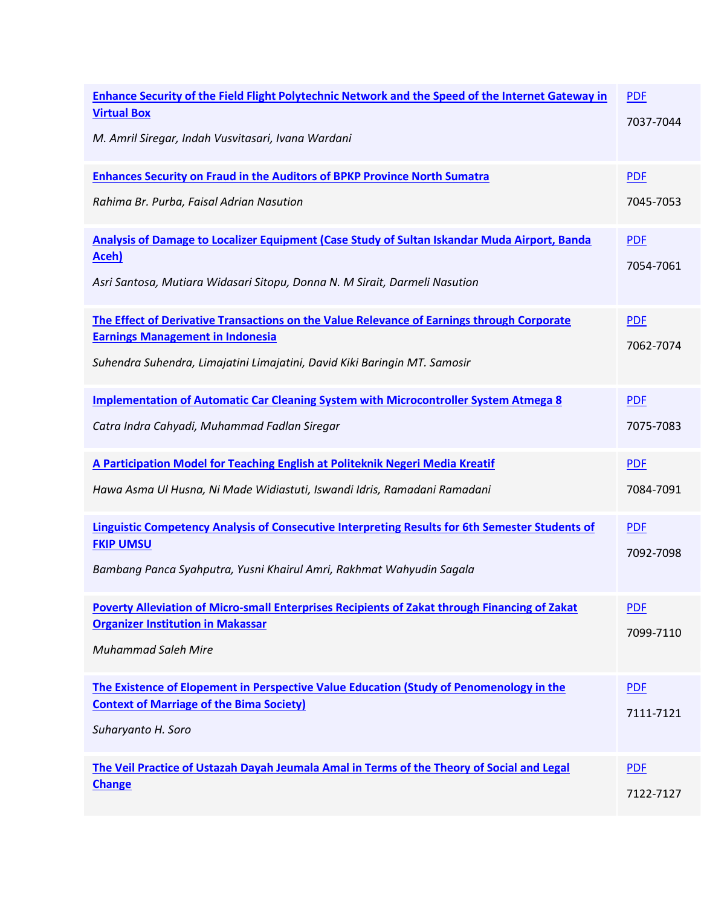| Enhance Security of the Field Flight Polytechnic Network and the Speed of the Internet Gateway in<br><b>Virtual Box</b><br>M. Amril Siregar, Indah Vusvitasari, Ivana Wardani                                      | <b>PDF</b><br>7037-7044 |
|--------------------------------------------------------------------------------------------------------------------------------------------------------------------------------------------------------------------|-------------------------|
| <b>Enhances Security on Fraud in the Auditors of BPKP Province North Sumatra</b><br>Rahima Br. Purba, Faisal Adrian Nasution                                                                                       | <b>PDF</b><br>7045-7053 |
| Analysis of Damage to Localizer Equipment (Case Study of Sultan Iskandar Muda Airport, Banda<br><u>Aceh)</u><br>Asri Santosa, Mutiara Widasari Sitopu, Donna N. M Sirait, Darmeli Nasution                         | <b>PDF</b><br>7054-7061 |
| The Effect of Derivative Transactions on the Value Relevance of Earnings through Corporate<br><b>Earnings Management in Indonesia</b><br>Suhendra Suhendra, Limajatini Limajatini, David Kiki Baringin MT. Samosir | <b>PDF</b><br>7062-7074 |
| Implementation of Automatic Car Cleaning System with Microcontroller System Atmega 8<br>Catra Indra Cahyadi, Muhammad Fadlan Siregar                                                                               | <b>PDF</b><br>7075-7083 |
| A Participation Model for Teaching English at Politeknik Negeri Media Kreatif<br>Hawa Asma Ul Husna, Ni Made Widiastuti, Iswandi Idris, Ramadani Ramadani                                                          | <b>PDF</b><br>7084-7091 |
| <b>Linguistic Competency Analysis of Consecutive Interpreting Results for 6th Semester Students of</b><br><b>FKIP UMSU</b><br>Bambang Panca Syahputra, Yusni Khairul Amri, Rakhmat Wahyudin Sagala                 | <b>PDF</b><br>7092-7098 |
| Poverty Alleviation of Micro-small Enterprises Recipients of Zakat through Financing of Zakat<br><b>Organizer Institution in Makassar</b><br><b>Muhammad Saleh Mire</b>                                            | <b>PDF</b><br>7099-7110 |
| The Existence of Elopement in Perspective Value Education (Study of Penomenology in the<br><b>Context of Marriage of the Bima Society)</b><br>Suharyanto H. Soro                                                   | <b>PDF</b><br>7111-7121 |
| The Veil Practice of Ustazah Dayah Jeumala Amal in Terms of the Theory of Social and Legal<br><b>Change</b>                                                                                                        | <b>PDF</b><br>7122-7127 |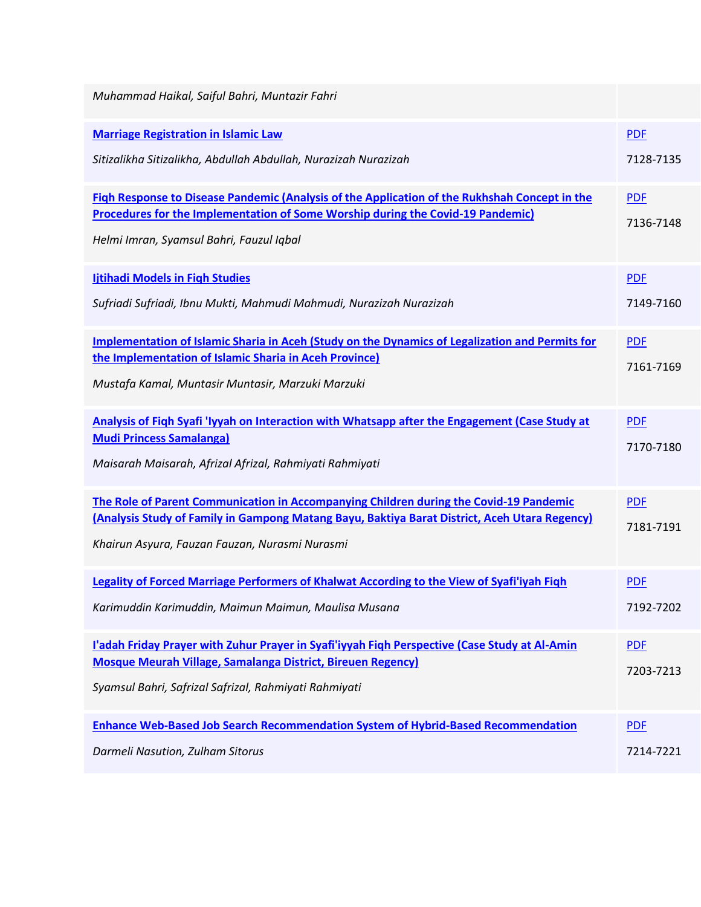| Muhammad Haikal, Saiful Bahri, Muntazir Fahri                                                                                                                                                                                             |                         |
|-------------------------------------------------------------------------------------------------------------------------------------------------------------------------------------------------------------------------------------------|-------------------------|
| <b>Marriage Registration in Islamic Law</b><br>Sitizalikha Sitizalikha, Abdullah Abdullah, Nurazizah Nurazizah                                                                                                                            | <b>PDF</b><br>7128-7135 |
| Figh Response to Disease Pandemic (Analysis of the Application of the Rukhshah Concept in the<br><b>Procedures for the Implementation of Some Worship during the Covid-19 Pandemic)</b><br>Helmi Imran, Syamsul Bahri, Fauzul Iqbal       | <b>PDF</b><br>7136-7148 |
| <b>Ijtihadi Models in Figh Studies</b><br>Sufriadi Sufriadi, Ibnu Mukti, Mahmudi Mahmudi, Nurazizah Nurazizah                                                                                                                             | <b>PDF</b><br>7149-7160 |
| <b>Implementation of Islamic Sharia in Aceh (Study on the Dynamics of Legalization and Permits for</b><br>the Implementation of Islamic Sharia in Aceh Province)<br>Mustafa Kamal, Muntasir Muntasir, Marzuki Marzuki                     | <b>PDF</b><br>7161-7169 |
| Analysis of Figh Syafi 'Iyyah on Interaction with Whatsapp after the Engagement (Case Study at<br><b>Mudi Princess Samalanga)</b><br>Maisarah Maisarah, Afrizal Afrizal, Rahmiyati Rahmiyati                                              | <b>PDF</b><br>7170-7180 |
| The Role of Parent Communication in Accompanying Children during the Covid-19 Pandemic<br>(Analysis Study of Family in Gampong Matang Bayu, Baktiya Barat District, Aceh Utara Regency)<br>Khairun Asyura, Fauzan Fauzan, Nurasmi Nurasmi | <b>PDF</b><br>7181-7191 |
| Legality of Forced Marriage Performers of Khalwat According to the View of Syafi'iyah Figh<br>Karimuddin Karimuddin, Maimun Maimun, Maulisa Musana                                                                                        | <b>PDF</b><br>7192-7202 |
| l'adah Friday Prayer with Zuhur Prayer in Syafi'iyyah Figh Perspective (Case Study at Al-Amin<br><b>Mosque Meurah Village, Samalanga District, Bireuen Regency)</b><br>Syamsul Bahri, Safrizal Safrizal, Rahmiyati Rahmiyati              | <b>PDF</b><br>7203-7213 |
| <b>Enhance Web-Based Job Search Recommendation System of Hybrid-Based Recommendation</b><br>Darmeli Nasution, Zulham Sitorus                                                                                                              | <b>PDF</b><br>7214-7221 |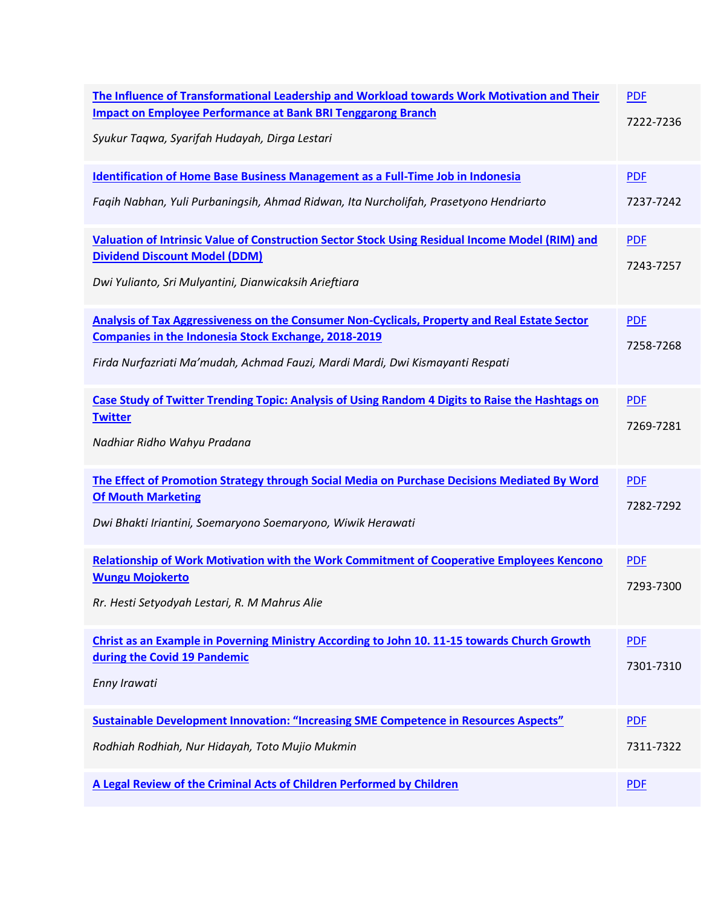| The Influence of Transformational Leadership and Workload towards Work Motivation and Their<br><b>Impact on Employee Performance at Bank BRI Tenggarong Branch</b><br>Syukur Taqwa, Syarifah Hudayah, Dirga Lestari                           | <b>PDF</b><br>7222-7236 |
|-----------------------------------------------------------------------------------------------------------------------------------------------------------------------------------------------------------------------------------------------|-------------------------|
| <b>Identification of Home Base Business Management as a Full-Time Job in Indonesia</b><br>Faqih Nabhan, Yuli Purbaningsih, Ahmad Ridwan, Ita Nurcholifah, Prasetyono Hendriarto                                                               | <b>PDF</b><br>7237-7242 |
| Valuation of Intrinsic Value of Construction Sector Stock Using Residual Income Model (RIM) and<br><b>Dividend Discount Model (DDM)</b><br>Dwi Yulianto, Sri Mulyantini, Dianwicaksih Arieftiara                                              | <b>PDF</b><br>7243-7257 |
| Analysis of Tax Aggressiveness on the Consumer Non-Cyclicals, Property and Real Estate Sector<br><b>Companies in the Indonesia Stock Exchange, 2018-2019</b><br>Firda Nurfazriati Ma'mudah, Achmad Fauzi, Mardi Mardi, Dwi Kismayanti Respati | <b>PDF</b><br>7258-7268 |
| Case Study of Twitter Trending Topic: Analysis of Using Random 4 Digits to Raise the Hashtags on<br><b>Twitter</b><br>Nadhiar Ridho Wahyu Pradana                                                                                             | <b>PDF</b><br>7269-7281 |
| The Effect of Promotion Strategy through Social Media on Purchase Decisions Mediated By Word<br><b>Of Mouth Marketing</b><br>Dwi Bhakti Iriantini, Soemaryono Soemaryono, Wiwik Herawati                                                      | <b>PDF</b><br>7282-7292 |
| <b>Relationship of Work Motivation with the Work Commitment of Cooperative Employees Kencono</b><br><b>Wungu Mojokerto</b><br>Rr. Hesti Setyodyah Lestari, R. M Mahrus Alie                                                                   | <b>PDF</b><br>7293-7300 |
| <b>Christ as an Example in Poverning Ministry According to John 10. 11-15 towards Church Growth</b><br>during the Covid 19 Pandemic<br>Enny Irawati                                                                                           | <b>PDF</b><br>7301-7310 |
| <b>Sustainable Development Innovation: "Increasing SME Competence in Resources Aspects"</b><br>Rodhiah Rodhiah, Nur Hidayah, Toto Mujio Mukmin                                                                                                | <b>PDF</b><br>7311-7322 |
| A Legal Review of the Criminal Acts of Children Performed by Children                                                                                                                                                                         | <b>PDF</b>              |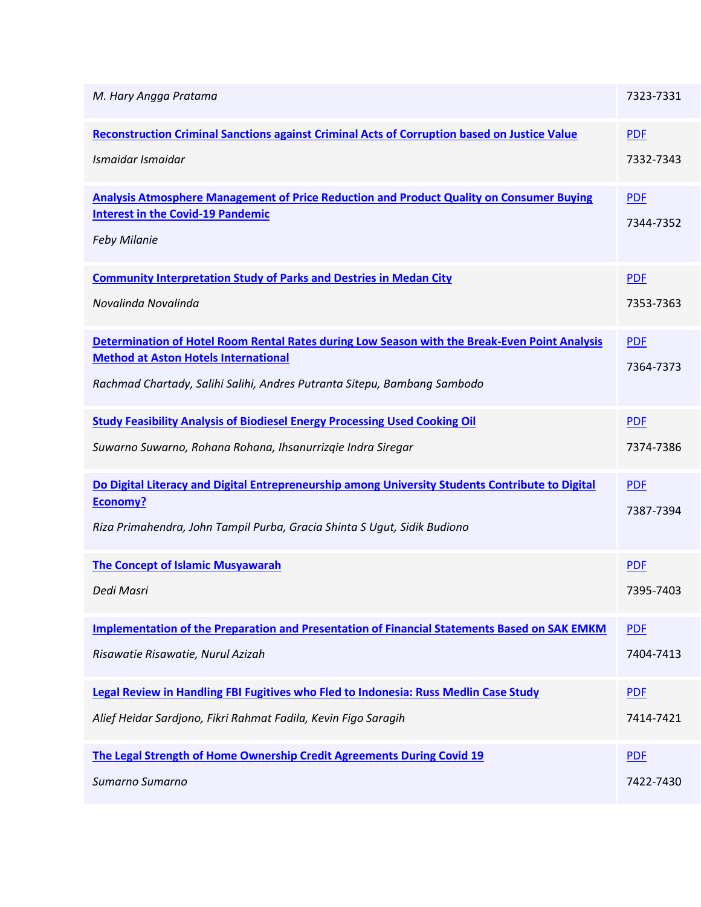| M. Hary Angga Pratama                                                                               | 7323-7331  |
|-----------------------------------------------------------------------------------------------------|------------|
| <b>Reconstruction Criminal Sanctions against Criminal Acts of Corruption based on Justice Value</b> | <b>PDF</b> |
| Ismaidar Ismaidar                                                                                   | 7332-7343  |
| Analysis Atmosphere Management of Price Reduction and Product Quality on Consumer Buying            | <b>PDF</b> |
| <b>Interest in the Covid-19 Pandemic</b>                                                            | 7344-7352  |
| <b>Feby Milanie</b>                                                                                 |            |
| <b>Community Interpretation Study of Parks and Destries in Medan City</b>                           | <b>PDF</b> |
| Novalinda Novalinda                                                                                 | 7353-7363  |
| Determination of Hotel Room Rental Rates during Low Season with the Break-Even Point Analysis       | <b>PDF</b> |
| <b>Method at Aston Hotels International</b>                                                         | 7364-7373  |
| Rachmad Chartady, Salihi Salihi, Andres Putranta Sitepu, Bambang Sambodo                            |            |
| <b>Study Feasibility Analysis of Biodiesel Energy Processing Used Cooking Oil</b>                   | <b>PDF</b> |
| Suwarno Suwarno, Rohana Rohana, Ihsanurrizgie Indra Siregar                                         | 7374-7386  |
| Do Digital Literacy and Digital Entrepreneurship among University Students Contribute to Digital    | <b>PDF</b> |
| <b>Economy?</b>                                                                                     | 7387-7394  |
| Riza Primahendra, John Tampil Purba, Gracia Shinta S Ugut, Sidik Budiono                            |            |
| <b>The Concept of Islamic Musyawarah</b>                                                            | <b>PDF</b> |
| Dedi Masri                                                                                          | 7395-7403  |
| <b>Implementation of the Preparation and Presentation of Financial Statements Based on SAK EMKM</b> | <b>PDF</b> |
| Risawatie Risawatie, Nurul Azizah                                                                   | 7404-7413  |
| Legal Review in Handling FBI Fugitives who Fled to Indonesia: Russ Medlin Case Study                | <b>PDF</b> |
| Alief Heidar Sardjono, Fikri Rahmat Fadila, Kevin Figo Saragih                                      | 7414-7421  |
| The Legal Strength of Home Ownership Credit Agreements During Covid 19                              | <b>PDF</b> |
| Sumarno Sumarno                                                                                     | 7422-7430  |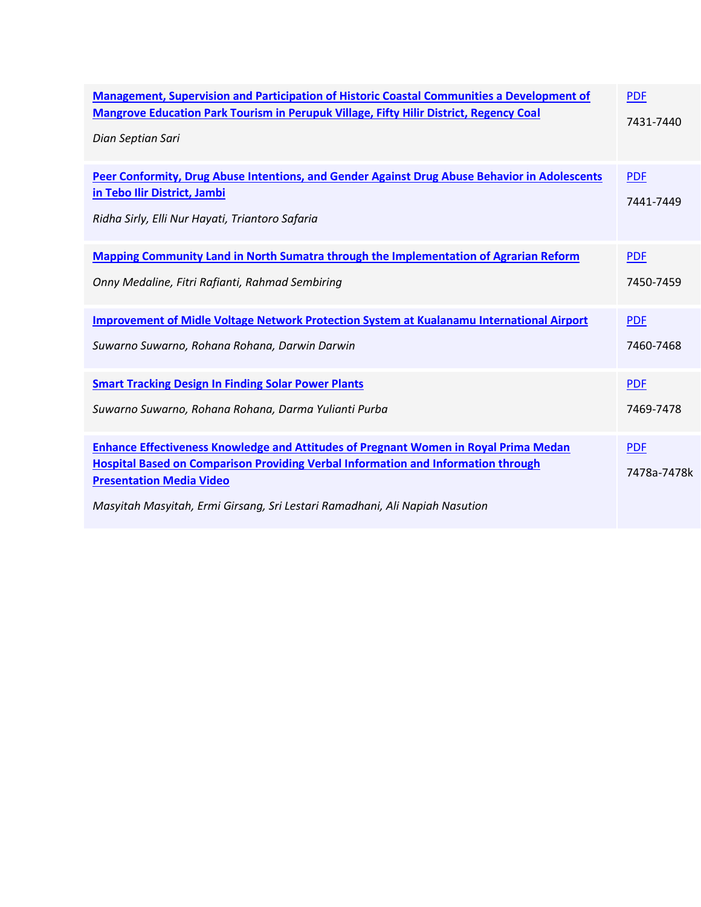| Management, Supervision and Participation of Historic Coastal Communities a Development of                                                                                                                                                                                                                | <b>PDF</b>                |
|-----------------------------------------------------------------------------------------------------------------------------------------------------------------------------------------------------------------------------------------------------------------------------------------------------------|---------------------------|
| <b>Mangrove Education Park Tourism in Perupuk Village, Fifty Hilir District, Regency Coal</b>                                                                                                                                                                                                             | 7431-7440                 |
| Dian Septian Sari                                                                                                                                                                                                                                                                                         |                           |
| Peer Conformity, Drug Abuse Intentions, and Gender Against Drug Abuse Behavior in Adolescents<br>in Tebo Ilir District, Jambi<br>Ridha Sirly, Elli Nur Hayati, Triantoro Safaria                                                                                                                          | <b>PDF</b><br>7441-7449   |
| <b>Mapping Community Land in North Sumatra through the Implementation of Agrarian Reform</b>                                                                                                                                                                                                              | <b>PDF</b>                |
| Onny Medaline, Fitri Rafianti, Rahmad Sembiring                                                                                                                                                                                                                                                           | 7450-7459                 |
| Improvement of Midle Voltage Network Protection System at Kualanamu International Airport                                                                                                                                                                                                                 | <b>PDF</b>                |
| Suwarno Suwarno, Rohana Rohana, Darwin Darwin                                                                                                                                                                                                                                                             | 7460-7468                 |
| <b>Smart Tracking Design In Finding Solar Power Plants</b>                                                                                                                                                                                                                                                | <b>PDF</b>                |
| Suwarno Suwarno, Rohana Rohana, Darma Yulianti Purba                                                                                                                                                                                                                                                      | 7469-7478                 |
| <b>Enhance Effectiveness Knowledge and Attitudes of Pregnant Women in Royal Prima Medan</b><br><b>Hospital Based on Comparison Providing Verbal Information and Information through</b><br><b>Presentation Media Video</b><br>Masyitah Masyitah, Ermi Girsang, Sri Lestari Ramadhani, Ali Napiah Nasution | <b>PDF</b><br>7478a-7478k |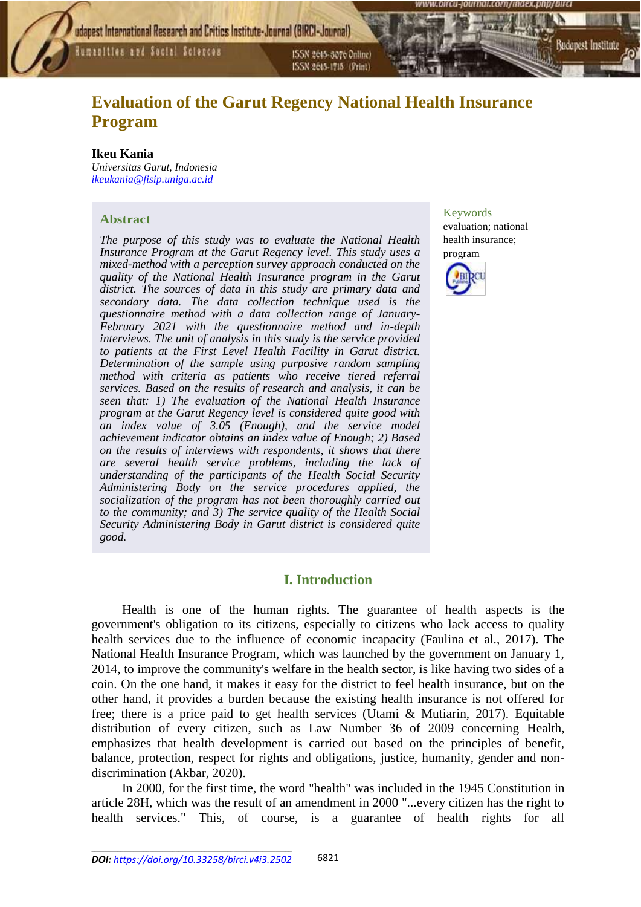Humanities and Social Sciences

ISSN 2015-3070 Online) ISSN 2615-1715 (Print)

# **Evaluation of the Garut Regency National Health Insurance Program**

### **Ikeu Kania**

*Universitas Garut, Indonesia [ikeukania@fisip.uniga.ac.id](mailto:ikeukania@fisip.uniga.ac.id)*

#### **Abstract**

*The purpose of this study was to evaluate the National Health Insurance Program at the Garut Regency level. This study uses a mixed-method with a perception survey approach conducted on the quality of the National Health Insurance program in the Garut district. The sources of data in this study are primary data and secondary data. The data collection technique used is the questionnaire method with a data collection range of January-February 2021 with the questionnaire method and in-depth interviews. The unit of analysis in this study is the service provided to patients at the First Level Health Facility in Garut district. Determination of the sample using purposive random sampling method with criteria as patients who receive tiered referral services. Based on the results of research and analysis, it can be seen that: 1) The evaluation of the National Health Insurance program at the Garut Regency level is considered quite good with an index value of 3.05 (Enough), and the service model achievement indicator obtains an index value of Enough; 2) Based on the results of interviews with respondents, it shows that there are several health service problems, including the lack of understanding of the participants of the Health Social Security Administering Body on the service procedures applied, the socialization of the program has not been thoroughly carried out to the community; and 3) The service quality of the Health Social Security Administering Body in Garut district is considered quite good.*

# Keywords

evaluation; national health insurance; program

Sudapest Institute



# **I. Introduction**

Health is one of the human rights. The guarantee of health aspects is the government's obligation to its citizens, especially to citizens who lack access to quality health services due to the influence of economic incapacity (Faulina et al., 2017). The National Health Insurance Program, which was launched by the government on January 1, 2014, to improve the community's welfare in the health sector, is like having two sides of a coin. On the one hand, it makes it easy for the district to feel health insurance, but on the other hand, it provides a burden because the existing health insurance is not offered for free; there is a price paid to get health services (Utami & Mutiarin, 2017). Equitable distribution of every citizen, such as Law Number 36 of 2009 concerning Health, emphasizes that health development is carried out based on the principles of benefit, balance, protection, respect for rights and obligations, justice, humanity, gender and nondiscrimination (Akbar, 2020).

In 2000, for the first time, the word "health" was included in the 1945 Constitution in article 28H, which was the result of an amendment in 2000 "...every citizen has the right to health services." This, of course, is a guarantee of health rights for all

\_\_\_\_\_\_\_\_\_\_\_\_\_\_\_\_\_\_\_\_\_\_\_\_\_\_\_\_\_\_\_\_\_\_\_\_\_\_\_\_\_\_\_\_\_\_\_\_\_\_\_\_\_\_\_\_\_\_\_\_\_\_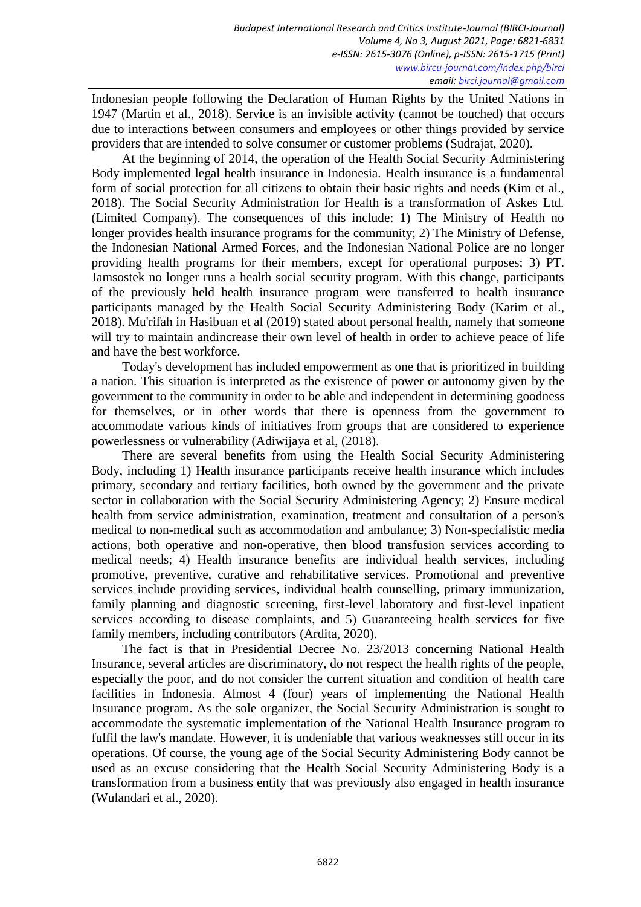Indonesian people following the Declaration of Human Rights by the United Nations in 1947 (Martin et al., 2018). Service is an invisible activity (cannot be touched) that occurs due to interactions between consumers and employees or other things provided by service providers that are intended to solve consumer or customer problems (Sudrajat, 2020).

At the beginning of 2014, the operation of the Health Social Security Administering Body implemented legal health insurance in Indonesia. Health insurance is a fundamental form of social protection for all citizens to obtain their basic rights and needs (Kim et al., 2018). The Social Security Administration for Health is a transformation of Askes Ltd. (Limited Company). The consequences of this include: 1) The Ministry of Health no longer provides health insurance programs for the community; 2) The Ministry of Defense, the Indonesian National Armed Forces, and the Indonesian National Police are no longer providing health programs for their members, except for operational purposes; 3) PT. Jamsostek no longer runs a health social security program. With this change, participants of the previously held health insurance program were transferred to health insurance participants managed by the Health Social Security Administering Body (Karim et al., 2018). Mu'rifah in Hasibuan et al (2019) stated about personal health, namely that someone will try to maintain andincrease their own level of health in order to achieve peace of life and have the best workforce.

Today's development has included empowerment as one that is prioritized in building a nation. This situation is interpreted as the existence of power or autonomy given by the government to the community in order to be able and independent in determining goodness for themselves, or in other words that there is openness from the government to accommodate various kinds of initiatives from groups that are considered to experience powerlessness or vulnerability (Adiwijaya et al, (2018).

There are several benefits from using the Health Social Security Administering Body, including 1) Health insurance participants receive health insurance which includes primary, secondary and tertiary facilities, both owned by the government and the private sector in collaboration with the Social Security Administering Agency; 2) Ensure medical health from service administration, examination, treatment and consultation of a person's medical to non-medical such as accommodation and ambulance; 3) Non-specialistic media actions, both operative and non-operative, then blood transfusion services according to medical needs; 4) Health insurance benefits are individual health services, including promotive, preventive, curative and rehabilitative services. Promotional and preventive services include providing services, individual health counselling, primary immunization, family planning and diagnostic screening, first-level laboratory and first-level inpatient services according to disease complaints, and 5) Guaranteeing health services for five family members, including contributors (Ardita, 2020).

The fact is that in Presidential Decree No. 23/2013 concerning National Health Insurance, several articles are discriminatory, do not respect the health rights of the people, especially the poor, and do not consider the current situation and condition of health care facilities in Indonesia. Almost 4 (four) years of implementing the National Health Insurance program. As the sole organizer, the Social Security Administration is sought to accommodate the systematic implementation of the National Health Insurance program to fulfil the law's mandate. However, it is undeniable that various weaknesses still occur in its operations. Of course, the young age of the Social Security Administering Body cannot be used as an excuse considering that the Health Social Security Administering Body is a transformation from a business entity that was previously also engaged in health insurance (Wulandari et al., 2020).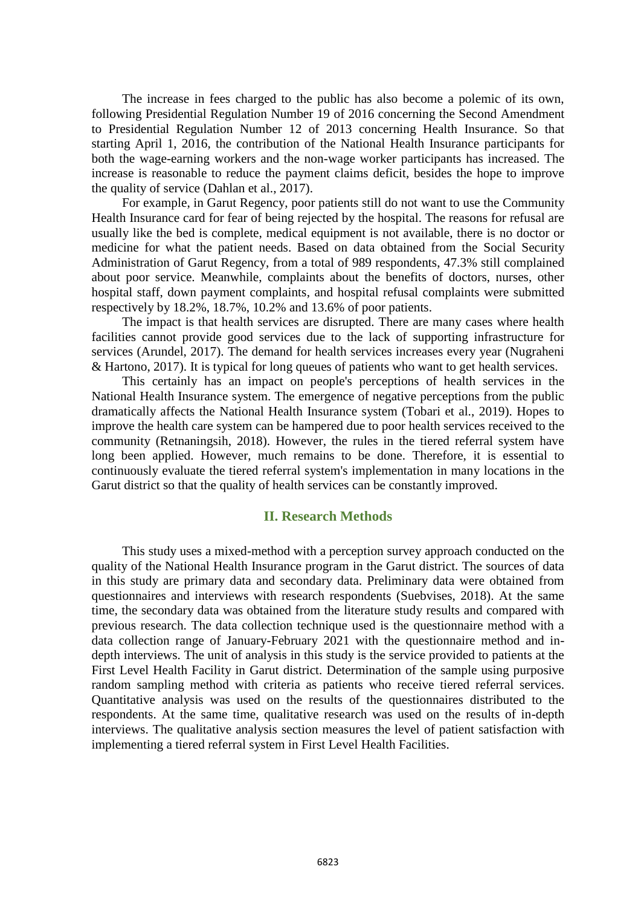The increase in fees charged to the public has also become a polemic of its own, following Presidential Regulation Number 19 of 2016 concerning the Second Amendment to Presidential Regulation Number 12 of 2013 concerning Health Insurance. So that starting April 1, 2016, the contribution of the National Health Insurance participants for both the wage-earning workers and the non-wage worker participants has increased. The increase is reasonable to reduce the payment claims deficit, besides the hope to improve the quality of service (Dahlan et al., 2017).

For example, in Garut Regency, poor patients still do not want to use the Community Health Insurance card for fear of being rejected by the hospital. The reasons for refusal are usually like the bed is complete, medical equipment is not available, there is no doctor or medicine for what the patient needs. Based on data obtained from the Social Security Administration of Garut Regency, from a total of 989 respondents, 47.3% still complained about poor service. Meanwhile, complaints about the benefits of doctors, nurses, other hospital staff, down payment complaints, and hospital refusal complaints were submitted respectively by 18.2%, 18.7%, 10.2% and 13.6% of poor patients.

The impact is that health services are disrupted. There are many cases where health facilities cannot provide good services due to the lack of supporting infrastructure for services (Arundel, 2017). The demand for health services increases every year (Nugraheni & Hartono, 2017). It is typical for long queues of patients who want to get health services.

This certainly has an impact on people's perceptions of health services in the National Health Insurance system. The emergence of negative perceptions from the public dramatically affects the National Health Insurance system (Tobari et al., 2019). Hopes to improve the health care system can be hampered due to poor health services received to the community (Retnaningsih, 2018). However, the rules in the tiered referral system have long been applied. However, much remains to be done. Therefore, it is essential to continuously evaluate the tiered referral system's implementation in many locations in the Garut district so that the quality of health services can be constantly improved.

### **II. Research Methods**

This study uses a mixed-method with a perception survey approach conducted on the quality of the National Health Insurance program in the Garut district. The sources of data in this study are primary data and secondary data. Preliminary data were obtained from questionnaires and interviews with research respondents (Suebvises, 2018). At the same time, the secondary data was obtained from the literature study results and compared with previous research. The data collection technique used is the questionnaire method with a data collection range of January-February 2021 with the questionnaire method and indepth interviews. The unit of analysis in this study is the service provided to patients at the First Level Health Facility in Garut district. Determination of the sample using purposive random sampling method with criteria as patients who receive tiered referral services. Quantitative analysis was used on the results of the questionnaires distributed to the respondents. At the same time, qualitative research was used on the results of in-depth interviews. The qualitative analysis section measures the level of patient satisfaction with implementing a tiered referral system in First Level Health Facilities.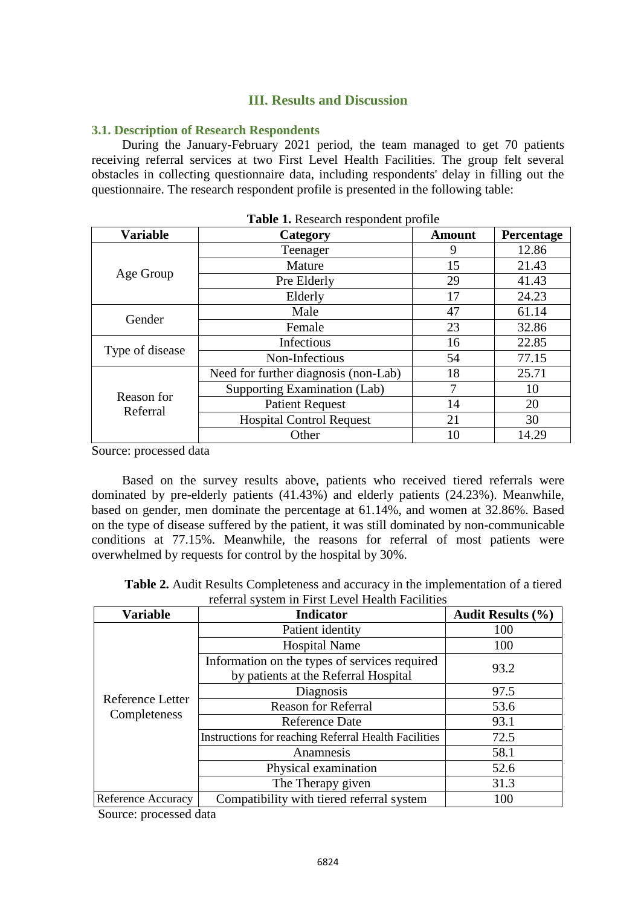# **III. Results and Discussion**

### **3.1. Description of Research Respondents**

During the January-February 2021 period, the team managed to get 70 patients receiving referral services at two First Level Health Facilities. The group felt several obstacles in collecting questionnaire data, including respondents' delay in filling out the questionnaire. The research respondent profile is presented in the following table:

| <b>Variable</b> | Category                             | <b>Amount</b> | Percentage |
|-----------------|--------------------------------------|---------------|------------|
|                 | Teenager                             | 9             | 12.86      |
|                 | Mature                               | 15            | 21.43      |
| Age Group       | Pre Elderly                          | 29            | 41.43      |
|                 | Elderly                              | 17            | 24.23      |
| Gender          | Male                                 | 47            | 61.14      |
|                 | Female                               | 23            | 32.86      |
|                 | Infectious                           | 16            | 22.85      |
| Type of disease | Non-Infectious                       | 54            | 77.15      |
|                 | Need for further diagnosis (non-Lab) | 18            | 25.71      |
| Reason for      | Supporting Examination (Lab)         | 7             | 10         |
| Referral        | <b>Patient Request</b>               | 14            | 20         |
|                 | <b>Hospital Control Request</b>      | 21            | 30         |
|                 | Other                                | 10            | 14.29      |

Source: processed data

Based on the survey results above, patients who received tiered referrals were dominated by pre-elderly patients (41.43%) and elderly patients (24.23%). Meanwhile, based on gender, men dominate the percentage at 61.14%, and women at 32.86%. Based on the type of disease suffered by the patient, it was still dominated by non-communicable conditions at 77.15%. Meanwhile, the reasons for referral of most patients were overwhelmed by requests for control by the hospital by 30%.

**Table 2.** Audit Results Completeness and accuracy in the implementation of a tiered referral system in First Level Health Facilities

| <b>Variable</b>                  | <b>Indicator</b>                                                                      | <b>Audit Results (%)</b> |
|----------------------------------|---------------------------------------------------------------------------------------|--------------------------|
|                                  | Patient identity                                                                      | 100                      |
|                                  | <b>Hospital Name</b>                                                                  | 100                      |
|                                  | Information on the types of services required<br>by patients at the Referral Hospital | 93.2                     |
|                                  | Diagnosis                                                                             | 97.5                     |
| Reference Letter<br>Completeness | <b>Reason for Referral</b>                                                            | 53.6                     |
|                                  | <b>Reference Date</b>                                                                 | 93.1                     |
|                                  | <b>Instructions for reaching Referral Health Facilities</b>                           | 72.5                     |
|                                  | Anamnesis                                                                             | 58.1                     |
|                                  | Physical examination                                                                  | 52.6                     |
|                                  | The Therapy given                                                                     | 31.3                     |
| <b>Reference Accuracy</b>        | Compatibility with tiered referral system                                             | 100                      |

Source: processed data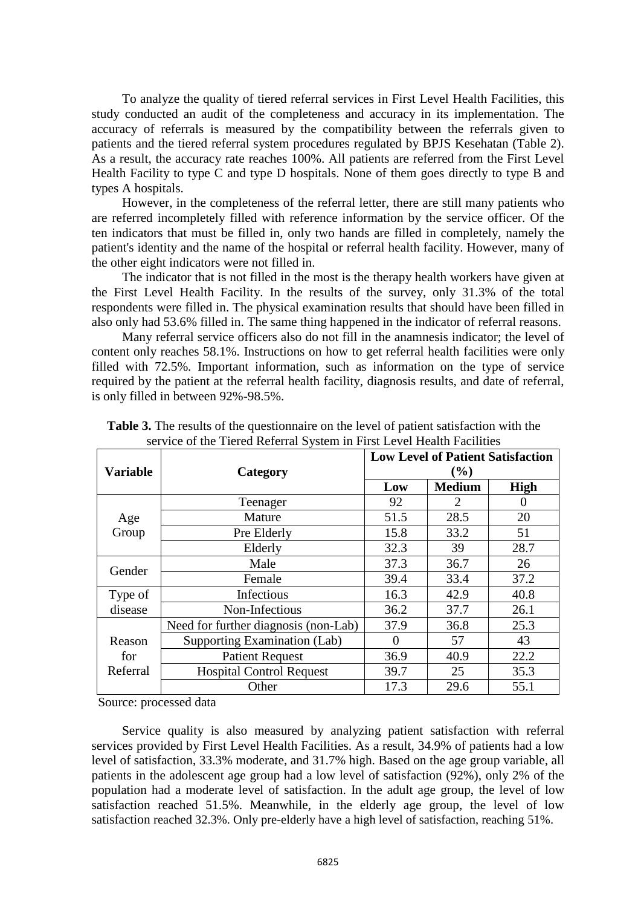To analyze the quality of tiered referral services in First Level Health Facilities, this study conducted an audit of the completeness and accuracy in its implementation. The accuracy of referrals is measured by the compatibility between the referrals given to patients and the tiered referral system procedures regulated by BPJS Kesehatan (Table 2). As a result, the accuracy rate reaches 100%. All patients are referred from the First Level Health Facility to type C and type D hospitals. None of them goes directly to type B and types A hospitals.

However, in the completeness of the referral letter, there are still many patients who are referred incompletely filled with reference information by the service officer. Of the ten indicators that must be filled in, only two hands are filled in completely, namely the patient's identity and the name of the hospital or referral health facility. However, many of the other eight indicators were not filled in.

The indicator that is not filled in the most is the therapy health workers have given at the First Level Health Facility. In the results of the survey, only 31.3% of the total respondents were filled in. The physical examination results that should have been filled in also only had 53.6% filled in. The same thing happened in the indicator of referral reasons.

Many referral service officers also do not fill in the anamnesis indicator; the level of content only reaches 58.1%. Instructions on how to get referral health facilities were only filled with 72.5%. Important information, such as information on the type of service required by the patient at the referral health facility, diagnosis results, and date of referral, is only filled in between 92%-98.5%.

| <b>Variable</b>                        | Category                             | <b>Low Level of Patient Satisfaction</b><br>$(\%)$ |               |             |  |
|----------------------------------------|--------------------------------------|----------------------------------------------------|---------------|-------------|--|
|                                        |                                      | Low                                                | <b>Medium</b> | <b>High</b> |  |
|                                        | Teenager                             | 92                                                 | 2             |             |  |
| Age                                    | Mature                               | 51.5                                               | 28.5          | 20          |  |
| Group                                  | Pre Elderly                          | 15.8                                               | 33.2          | 51          |  |
|                                        | Elderly                              | 32.3                                               | 39            | 28.7        |  |
| Gender                                 | Male                                 | 37.3                                               | 36.7          | 26          |  |
|                                        | Female                               | 39.4                                               | 33.4          | 37.2        |  |
| Type of                                | Infectious                           | 16.3                                               | 42.9          | 40.8        |  |
| disease                                | Non-Infectious                       | 36.2                                               | 37.7          | 26.1        |  |
|                                        | Need for further diagnosis (non-Lab) | 37.9                                               | 36.8          | 25.3        |  |
| Supporting Examination (Lab)<br>Reason |                                      | $\Omega$                                           | 57            | 43          |  |
| for                                    | <b>Patient Request</b>               |                                                    | 40.9          | 22.2        |  |
| Referral                               | <b>Hospital Control Request</b>      | 39.7                                               | 25            | 35.3        |  |
|                                        | Other                                | 17.3                                               | 29.6          | 55.1        |  |

**Table 3.** The results of the questionnaire on the level of patient satisfaction with the service of the Tiered Referral System in First Level Health Facilities

Source: processed data

Service quality is also measured by analyzing patient satisfaction with referral services provided by First Level Health Facilities. As a result, 34.9% of patients had a low level of satisfaction, 33.3% moderate, and 31.7% high. Based on the age group variable, all patients in the adolescent age group had a low level of satisfaction (92%), only 2% of the population had a moderate level of satisfaction. In the adult age group, the level of low satisfaction reached 51.5%. Meanwhile, in the elderly age group, the level of low satisfaction reached 32.3%. Only pre-elderly have a high level of satisfaction, reaching 51%.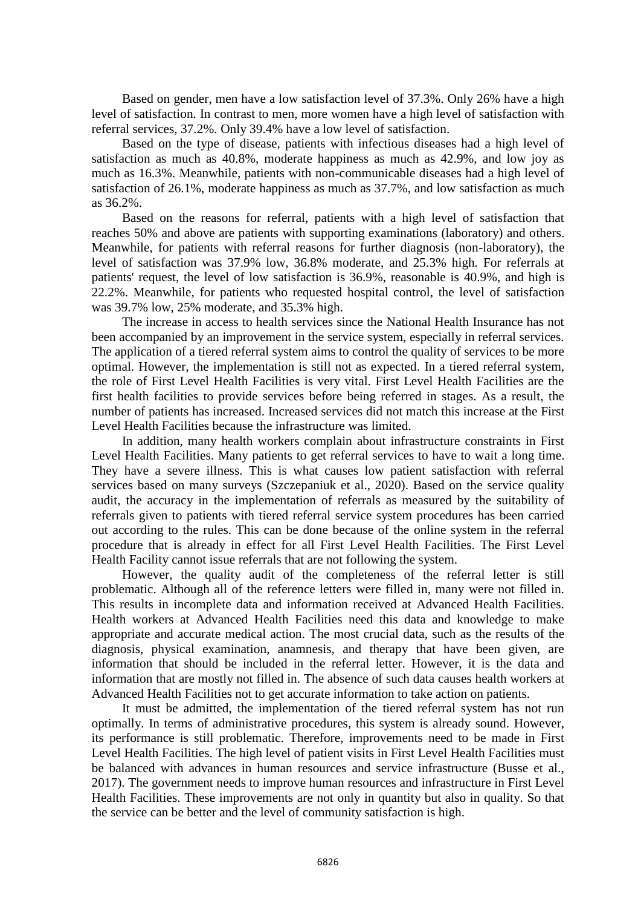Based on gender, men have a low satisfaction level of 37.3%. Only 26% have a high level of satisfaction. In contrast to men, more women have a high level of satisfaction with referral services, 37.2%. Only 39.4% have a low level of satisfaction.

Based on the type of disease, patients with infectious diseases had a high level of satisfaction as much as 40.8%, moderate happiness as much as 42.9%, and low joy as much as 16.3%. Meanwhile, patients with non-communicable diseases had a high level of satisfaction of 26.1%, moderate happiness as much as 37.7%, and low satisfaction as much as 36.2%.

Based on the reasons for referral, patients with a high level of satisfaction that reaches 50% and above are patients with supporting examinations (laboratory) and others. Meanwhile, for patients with referral reasons for further diagnosis (non-laboratory), the level of satisfaction was 37.9% low, 36.8% moderate, and 25.3% high. For referrals at patients' request, the level of low satisfaction is 36.9%, reasonable is 40.9%, and high is 22.2%. Meanwhile, for patients who requested hospital control, the level of satisfaction was 39.7% low, 25% moderate, and 35.3% high.

The increase in access to health services since the National Health Insurance has not been accompanied by an improvement in the service system, especially in referral services. The application of a tiered referral system aims to control the quality of services to be more optimal. However, the implementation is still not as expected. In a tiered referral system, the role of First Level Health Facilities is very vital. First Level Health Facilities are the first health facilities to provide services before being referred in stages. As a result, the number of patients has increased. Increased services did not match this increase at the First Level Health Facilities because the infrastructure was limited.

In addition, many health workers complain about infrastructure constraints in First Level Health Facilities. Many patients to get referral services to have to wait a long time. They have a severe illness. This is what causes low patient satisfaction with referral services based on many surveys (Szczepaniuk et al., 2020). Based on the service quality audit, the accuracy in the implementation of referrals as measured by the suitability of referrals given to patients with tiered referral service system procedures has been carried out according to the rules. This can be done because of the online system in the referral procedure that is already in effect for all First Level Health Facilities. The First Level Health Facility cannot issue referrals that are not following the system.

However, the quality audit of the completeness of the referral letter is still problematic. Although all of the reference letters were filled in, many were not filled in. This results in incomplete data and information received at Advanced Health Facilities. Health workers at Advanced Health Facilities need this data and knowledge to make appropriate and accurate medical action. The most crucial data, such as the results of the diagnosis, physical examination, anamnesis, and therapy that have been given, are information that should be included in the referral letter. However, it is the data and information that are mostly not filled in. The absence of such data causes health workers at Advanced Health Facilities not to get accurate information to take action on patients.

It must be admitted, the implementation of the tiered referral system has not run optimally. In terms of administrative procedures, this system is already sound. However, its performance is still problematic. Therefore, improvements need to be made in First Level Health Facilities. The high level of patient visits in First Level Health Facilities must be balanced with advances in human resources and service infrastructure (Busse et al., 2017). The government needs to improve human resources and infrastructure in First Level Health Facilities. These improvements are not only in quantity but also in quality. So that the service can be better and the level of community satisfaction is high.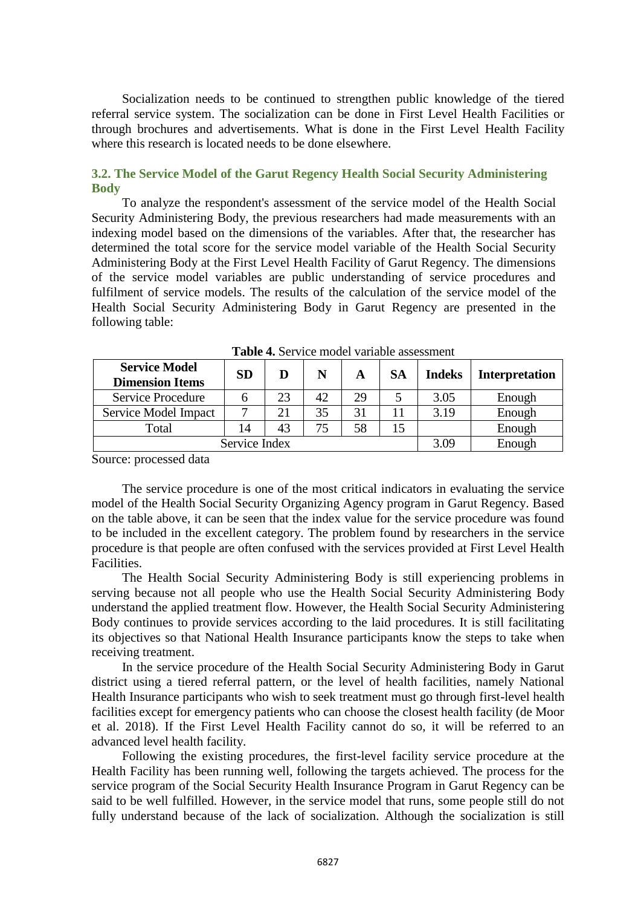Socialization needs to be continued to strengthen public knowledge of the tiered referral service system. The socialization can be done in First Level Health Facilities or through brochures and advertisements. What is done in the First Level Health Facility where this research is located needs to be done elsewhere.

# **3.2. The Service Model of the Garut Regency Health Social Security Administering Body**

To analyze the respondent's assessment of the service model of the Health Social Security Administering Body, the previous researchers had made measurements with an indexing model based on the dimensions of the variables. After that, the researcher has determined the total score for the service model variable of the Health Social Security Administering Body at the First Level Health Facility of Garut Regency. The dimensions of the service model variables are public understanding of service procedures and fulfilment of service models. The results of the calculation of the service model of the Health Social Security Administering Body in Garut Regency are presented in the following table:

| <b>Service Model</b><br><b>Dimension Items</b> | <b>SD</b> | D  | N  | A  | <b>SA</b> | <b>Indeks</b> | <b>Interpretation</b> |
|------------------------------------------------|-----------|----|----|----|-----------|---------------|-----------------------|
| Service Procedure                              |           | 23 | 42 | 29 |           | 3.05          | Enough                |
| Service Model Impact                           |           | 21 | 35 | 31 |           | 3.19          | Enough                |
| Total                                          | 14        | 43 |    | 58 |           |               | Enough                |
| Service Index                                  |           |    |    |    |           | 3.09          | Enough                |

**Table 4.** Service model variable assessment

Source: processed data

The service procedure is one of the most critical indicators in evaluating the service model of the Health Social Security Organizing Agency program in Garut Regency. Based on the table above, it can be seen that the index value for the service procedure was found to be included in the excellent category. The problem found by researchers in the service procedure is that people are often confused with the services provided at First Level Health Facilities.

The Health Social Security Administering Body is still experiencing problems in serving because not all people who use the Health Social Security Administering Body understand the applied treatment flow. However, the Health Social Security Administering Body continues to provide services according to the laid procedures. It is still facilitating its objectives so that National Health Insurance participants know the steps to take when receiving treatment.

In the service procedure of the Health Social Security Administering Body in Garut district using a tiered referral pattern, or the level of health facilities, namely National Health Insurance participants who wish to seek treatment must go through first-level health facilities except for emergency patients who can choose the closest health facility (de Moor et al. 2018). If the First Level Health Facility cannot do so, it will be referred to an advanced level health facility.

Following the existing procedures, the first-level facility service procedure at the Health Facility has been running well, following the targets achieved. The process for the service program of the Social Security Health Insurance Program in Garut Regency can be said to be well fulfilled. However, in the service model that runs, some people still do not fully understand because of the lack of socialization. Although the socialization is still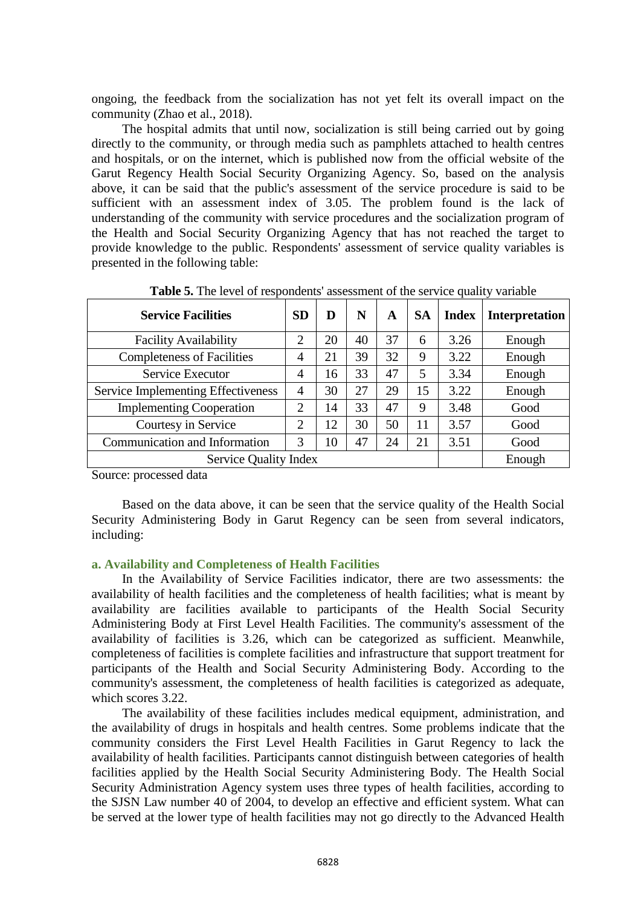ongoing, the feedback from the socialization has not yet felt its overall impact on the community (Zhao et al., 2018).

The hospital admits that until now, socialization is still being carried out by going directly to the community, or through media such as pamphlets attached to health centres and hospitals, or on the internet, which is published now from the official website of the Garut Regency Health Social Security Organizing Agency. So, based on the analysis above, it can be said that the public's assessment of the service procedure is said to be sufficient with an assessment index of 3.05. The problem found is the lack of understanding of the community with service procedures and the socialization program of the Health and Social Security Organizing Agency that has not reached the target to provide knowledge to the public. Respondents' assessment of service quality variables is presented in the following table:

| <b>Service Facilities</b>          | <b>SD</b> | D  | N  | A  | <b>SA</b> | <b>Index</b> | <b>Interpretation</b> |
|------------------------------------|-----------|----|----|----|-----------|--------------|-----------------------|
| <b>Facility Availability</b>       | 2         | 20 | 40 | 37 | 6         | 3.26         | Enough                |
| <b>Completeness of Facilities</b>  | 4         | 21 | 39 | 32 | 9         | 3.22         | Enough                |
| Service Executor                   | 4         | 16 | 33 | 47 | 5         | 3.34         | Enough                |
| Service Implementing Effectiveness | 4         | 30 | 27 | 29 | 15        | 3.22         | Enough                |
| <b>Implementing Cooperation</b>    | 2         | 14 | 33 | 47 | 9         | 3.48         | Good                  |
| Courtesy in Service                | 2         | 12 | 30 | 50 | 11        | 3.57         | Good                  |
| Communication and Information      | 3         | 10 | 47 | 24 | 21        | 3.51         | Good                  |
| <b>Service Quality Index</b>       |           |    |    |    |           |              | Enough                |

**Table 5.** The level of respondents' assessment of the service quality variable

Source: processed data

Based on the data above, it can be seen that the service quality of the Health Social Security Administering Body in Garut Regency can be seen from several indicators, including:

### **a. Availability and Completeness of Health Facilities**

In the Availability of Service Facilities indicator, there are two assessments: the availability of health facilities and the completeness of health facilities; what is meant by availability are facilities available to participants of the Health Social Security Administering Body at First Level Health Facilities. The community's assessment of the availability of facilities is 3.26, which can be categorized as sufficient. Meanwhile, completeness of facilities is complete facilities and infrastructure that support treatment for participants of the Health and Social Security Administering Body. According to the community's assessment, the completeness of health facilities is categorized as adequate, which scores 3.22.

The availability of these facilities includes medical equipment, administration, and the availability of drugs in hospitals and health centres. Some problems indicate that the community considers the First Level Health Facilities in Garut Regency to lack the availability of health facilities. Participants cannot distinguish between categories of health facilities applied by the Health Social Security Administering Body. The Health Social Security Administration Agency system uses three types of health facilities, according to the SJSN Law number 40 of 2004, to develop an effective and efficient system. What can be served at the lower type of health facilities may not go directly to the Advanced Health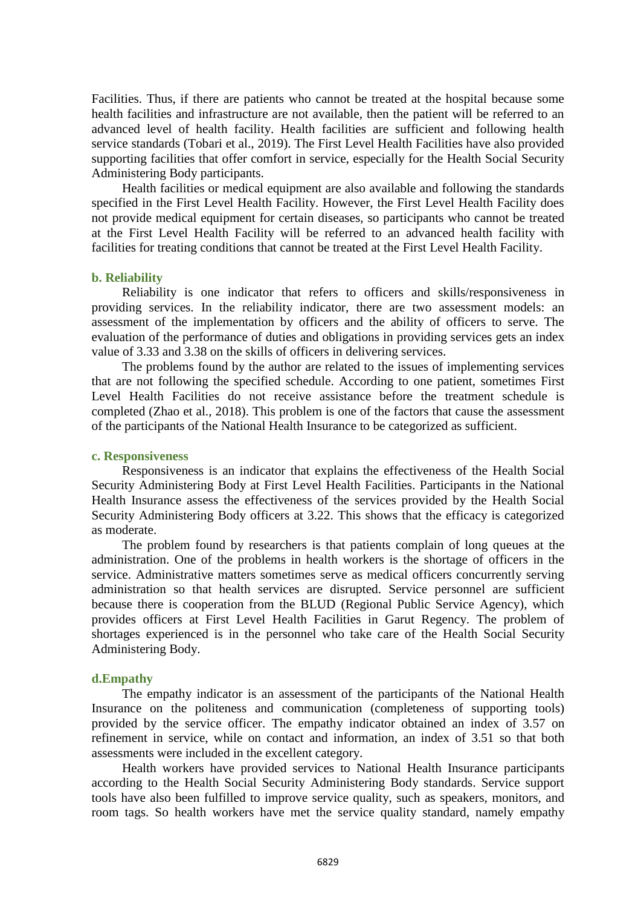Facilities. Thus, if there are patients who cannot be treated at the hospital because some health facilities and infrastructure are not available, then the patient will be referred to an advanced level of health facility. Health facilities are sufficient and following health service standards (Tobari et al., 2019). The First Level Health Facilities have also provided supporting facilities that offer comfort in service, especially for the Health Social Security Administering Body participants.

Health facilities or medical equipment are also available and following the standards specified in the First Level Health Facility. However, the First Level Health Facility does not provide medical equipment for certain diseases, so participants who cannot be treated at the First Level Health Facility will be referred to an advanced health facility with facilities for treating conditions that cannot be treated at the First Level Health Facility.

#### **b. Reliability**

Reliability is one indicator that refers to officers and skills/responsiveness in providing services. In the reliability indicator, there are two assessment models: an assessment of the implementation by officers and the ability of officers to serve. The evaluation of the performance of duties and obligations in providing services gets an index value of 3.33 and 3.38 on the skills of officers in delivering services.

The problems found by the author are related to the issues of implementing services that are not following the specified schedule. According to one patient, sometimes First Level Health Facilities do not receive assistance before the treatment schedule is completed (Zhao et al., 2018). This problem is one of the factors that cause the assessment of the participants of the National Health Insurance to be categorized as sufficient.

#### **c. Responsiveness**

Responsiveness is an indicator that explains the effectiveness of the Health Social Security Administering Body at First Level Health Facilities. Participants in the National Health Insurance assess the effectiveness of the services provided by the Health Social Security Administering Body officers at 3.22. This shows that the efficacy is categorized as moderate.

The problem found by researchers is that patients complain of long queues at the administration. One of the problems in health workers is the shortage of officers in the service. Administrative matters sometimes serve as medical officers concurrently serving administration so that health services are disrupted. Service personnel are sufficient because there is cooperation from the BLUD (Regional Public Service Agency), which provides officers at First Level Health Facilities in Garut Regency. The problem of shortages experienced is in the personnel who take care of the Health Social Security Administering Body.

#### **d.Empathy**

The empathy indicator is an assessment of the participants of the National Health Insurance on the politeness and communication (completeness of supporting tools) provided by the service officer. The empathy indicator obtained an index of 3.57 on refinement in service, while on contact and information, an index of 3.51 so that both assessments were included in the excellent category.

Health workers have provided services to National Health Insurance participants according to the Health Social Security Administering Body standards. Service support tools have also been fulfilled to improve service quality, such as speakers, monitors, and room tags. So health workers have met the service quality standard, namely empathy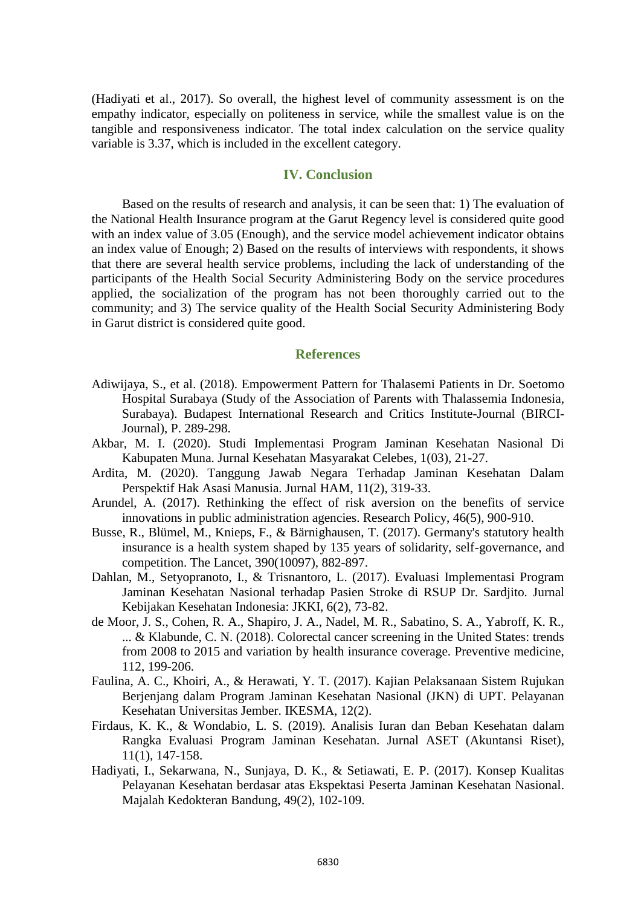(Hadiyati et al., 2017). So overall, the highest level of community assessment is on the empathy indicator, especially on politeness in service, while the smallest value is on the tangible and responsiveness indicator. The total index calculation on the service quality variable is 3.37, which is included in the excellent category.

## **IV. Conclusion**

Based on the results of research and analysis, it can be seen that: 1) The evaluation of the National Health Insurance program at the Garut Regency level is considered quite good with an index value of 3.05 (Enough), and the service model achievement indicator obtains an index value of Enough; 2) Based on the results of interviews with respondents, it shows that there are several health service problems, including the lack of understanding of the participants of the Health Social Security Administering Body on the service procedures applied, the socialization of the program has not been thoroughly carried out to the community; and 3) The service quality of the Health Social Security Administering Body in Garut district is considered quite good.

#### **References**

- Adiwijaya, S., et al. (2018). Empowerment Pattern for Thalasemi Patients in Dr. Soetomo Hospital Surabaya (Study of the Association of Parents with Thalassemia Indonesia, Surabaya). Budapest International Research and Critics Institute-Journal (BIRCI-Journal), P. 289-298.
- Akbar, M. I. (2020). Studi Implementasi Program Jaminan Kesehatan Nasional Di Kabupaten Muna. Jurnal Kesehatan Masyarakat Celebes, 1(03), 21-27.
- Ardita, M. (2020). Tanggung Jawab Negara Terhadap Jaminan Kesehatan Dalam Perspektif Hak Asasi Manusia. Jurnal HAM, 11(2), 319-33.
- Arundel, A. (2017). Rethinking the effect of risk aversion on the benefits of service innovations in public administration agencies. Research Policy, 46(5), 900-910.
- Busse, R., Blümel, M., Knieps, F., & Bärnighausen, T. (2017). Germany's statutory health insurance is a health system shaped by 135 years of solidarity, self-governance, and competition. The Lancet, 390(10097), 882-897.
- Dahlan, M., Setyopranoto, I., & Trisnantoro, L. (2017). Evaluasi Implementasi Program Jaminan Kesehatan Nasional terhadap Pasien Stroke di RSUP Dr. Sardjito. Jurnal Kebijakan Kesehatan Indonesia: JKKI, 6(2), 73-82.
- de Moor, J. S., Cohen, R. A., Shapiro, J. A., Nadel, M. R., Sabatino, S. A., Yabroff, K. R., ... & Klabunde, C. N. (2018). Colorectal cancer screening in the United States: trends from 2008 to 2015 and variation by health insurance coverage. Preventive medicine, 112, 199-206.
- Faulina, A. C., Khoiri, A., & Herawati, Y. T. (2017). Kajian Pelaksanaan Sistem Rujukan Berjenjang dalam Program Jaminan Kesehatan Nasional (JKN) di UPT. Pelayanan Kesehatan Universitas Jember. IKESMA, 12(2).
- Firdaus, K. K., & Wondabio, L. S. (2019). Analisis Iuran dan Beban Kesehatan dalam Rangka Evaluasi Program Jaminan Kesehatan. Jurnal ASET (Akuntansi Riset), 11(1), 147-158.
- Hadiyati, I., Sekarwana, N., Sunjaya, D. K., & Setiawati, E. P. (2017). Konsep Kualitas Pelayanan Kesehatan berdasar atas Ekspektasi Peserta Jaminan Kesehatan Nasional. Majalah Kedokteran Bandung, 49(2), 102-109.